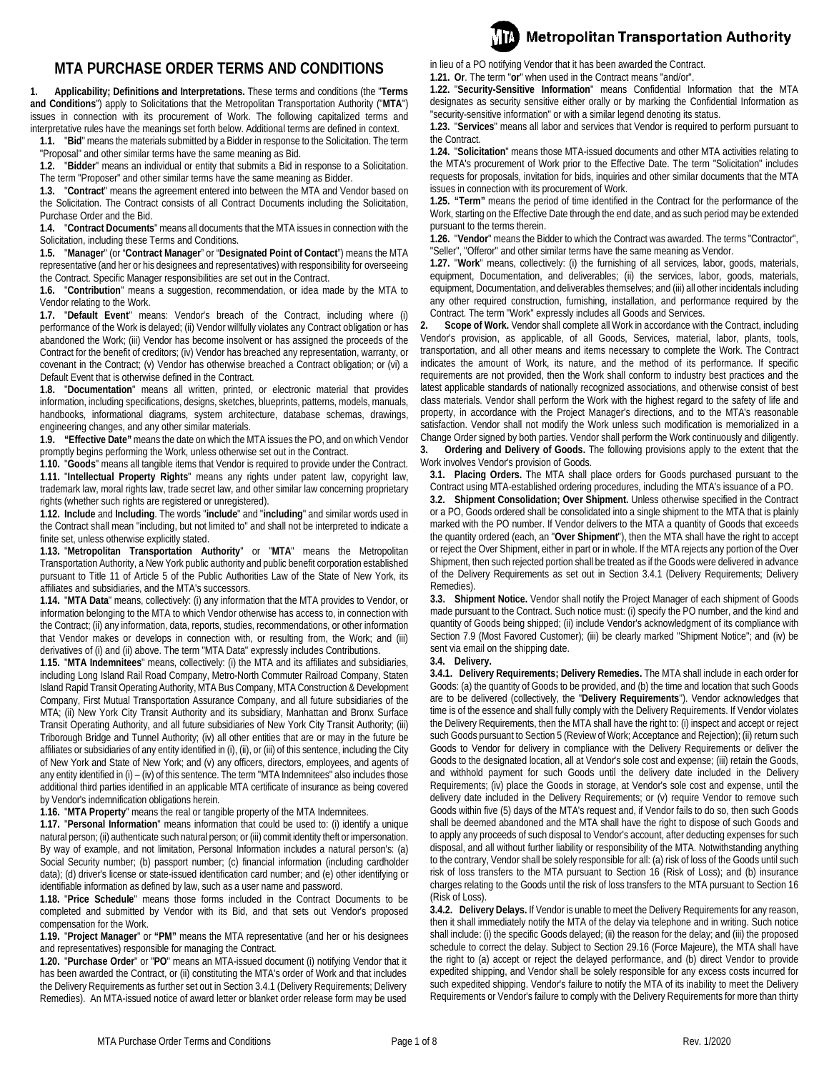# **MTA PURCHASE ORDER TERMS AND CONDITIONS**

<span id="page-0-1"></span>**1. Applicability; Definitions and Interpretations.** These terms and conditions (the "**Terms and Conditions**") apply to Solicitations that the Metropolitan Transportation Authority ("**MTA**") issues in connection with its procurement of Work. The following capitalized terms and interpretative rules have the meanings set forth below. Additional terms are defined in context.

**1.1.** "**Bid**" means the materials submitted by a Bidder in response to the Solicitation. The term "Proposal" and other similar terms have the same meaning as Bid.

**1.2.** "**Bidder**" means an individual or entity that submits a Bid in response to a Solicitation. The term "Proposer" and other similar terms have the same meaning as Bidder.

**1.3.** "**Contract**" means the agreement entered into between the MTA and Vendor based on the Solicitation. The Contract consists of all Contract Documents including the Solicitation, Purchase Order and the Bid.

**1.4.** "**Contract Documents**" means all documents that the MTA issues in connection with the Solicitation, including these Terms and Conditions.

**1.5.** "**Manager**" (or "**Contract Manager**" or "**Designated Point of Contact**") means the MTA representative (and her or his designees and representatives) with responsibility for overseeing the Contract. Specific Manager responsibilities are set out in the Contract.

**1.6.** "**Contribution**" means a suggestion, recommendation, or idea made by the MTA to Vendor relating to the Work.

**1.7.** "**Default Event**" means: Vendor's breach of the Contract, including where (i) performance of the Work is delayed; (ii) Vendor willfully violates any Contract obligation or has abandoned the Work; (iii) Vendor has become insolvent or has assigned the proceeds of the Contract for the benefit of creditors; (iv) Vendor has breached any representation, warranty, or covenant in the Contract; (v) Vendor has otherwise breached a Contract obligation; or (vi) a Default Event that is otherwise defined in the Contract.

**1.8.** "**Documentation**" means all written, printed, or electronic material that provides information, including specifications, designs, sketches, blueprints, patterns, models, manuals, handbooks, informational diagrams, system architecture, database schemas, drawings, engineering changes, and any other similar materials.

**1.9. "Effective Date"** means the date on which the MTA issues the PO, and on which Vendor promptly begins performing the Work, unless otherwise set out in the Contract.

**1.10.** "**Goods**" means all tangible items that Vendor is required to provide under the Contract. **1.11.** "**Intellectual Property Rights**" means any rights under patent law, copyright law, trademark law, moral rights law, trade secret law, and other similar law concerning proprietary rights (whether such rights are registered or unregistered).

**1.12. Include** and **Including**. The words "**include**" and "**including**" and similar words used in the Contract shall mean "including, but not limited to" and shall not be interpreted to indicate a finite set, unless otherwise explicitly stated.

**1.13.** "**Metropolitan Transportation Authority**" or "**MTA**" means the Metropolitan Transportation Authority, a New York public authority and public benefit corporation established pursuant to Title 11 of Article 5 of the Public Authorities Law of the State of New York, its affiliates and subsidiaries, and the MTA's successors.

**1.14.** "**MTA Data**" means, collectively: (i) any information that the MTA provides to Vendor, or information belonging to the MTA to which Vendor otherwise has access to, in connection with the Contract; (ii) any information, data, reports, studies, recommendations, or other information that Vendor makes or develops in connection with, or resulting from, the Work; and (iii) derivatives of (i) and (ii) above. The term "MTA Data" expressly includes Contributions.

**1.15.** "**MTA Indemnitees**" means, collectively: (i) the MTA and its affiliates and subsidiaries, including Long Island Rail Road Company, Metro-North Commuter Railroad Company, Staten Island Rapid Transit Operating Authority, MTA Bus Company, MTA Construction & Development Company, First Mutual Transportation Assurance Company, and all future subsidiaries of the MTA; (ii) New York City Transit Authority and its subsidiary, Manhattan and Bronx Surface Transit Operating Authority, and all future subsidiaries of New York City Transit Authority; (iii) Triborough Bridge and Tunnel Authority; (iv) all other entities that are or may in the future be affiliates or subsidiaries of any entity identified in (i), (ii), or (iii) of this sentence, including the City of New York and State of New York; and (v) any officers, directors, employees, and agents of any entity identified in (i) - (iv) of this sentence. The term "MTA Indemnitees" also includes those additional third parties identified in an applicable MTA certificate of insurance as being covered by Vendor's indemnification obligations herein.

**1.16.** "**MTA Property**" means the real or tangible property of the MTA Indemnitees.

**1.17.** "**Personal Information**" means information that could be used to: (i) identify a unique natural person; (ii) authenticate such natural person; or (iii) commit identity theft or impersonation. By way of example, and not limitation, Personal Information includes a natural person's: (a) Social Security number; (b) passport number; (c) financial information (including cardholder data); (d) driver's license or state-issued identification card number; and (e) other identifying or identifiable information as defined by law, such as a user name and password.

**1.18.** "**Price Schedule**" means those forms included in the Contract Documents to be completed and submitted by Vendor with its Bid, and that sets out Vendor's proposed compensation for the Work.

**1.19.** "**Project Manager**" or **"PM"** means the MTA representative (and her or his designees and representatives) responsible for managing the Contract.

**1.20.** "**Purchase Order**" or "**PO**" means an MTA-issued document (i) notifying Vendor that it has been awarded the Contract, or (ii) constituting the MTA's order of Work and that includes the Delivery Requirements as further set out in Sectio[n 3.4.1](#page-0-0) (Delivery Requirements; Delivery Remedies). An MTA-issued notice of award letter or blanket order release form may be used

in lieu of a PO notifying Vendor that it has been awarded the Contract.

**1.21. Or**. The term "**or**" when used in the Contract means "and/or".

**1.22.** "**Security-Sensitive Information**" means Confidential Information that the MTA designates as security sensitive either orally or by marking the Confidential Information as "security-sensitive information" or with a similar legend denoting its status.

**Metropolitan Transportation Authority** 

**1.23.** "**Services**" means all labor and services that Vendor is required to perform pursuant to the Contract.

**1.24.** "**Solicitation**" means those MTA-issued documents and other MTA activities relating to the MTA's procurement of Work prior to the Effective Date. The term "Solicitation" includes requests for proposals, invitation for bids, inquiries and other similar documents that the MTA issues in connection with its procurement of Work.

**1.25. "Term"** means the period of time identified in the Contract for the performance of the Work, starting on the Effective Date through the end date, and as such period may be extended pursuant to the terms therein.

**1.26.** "**Vendor**" means the Bidder to which the Contract was awarded. The terms "Contractor", "Seller", "Offeror" and other similar terms have the same meaning as Vendor.

**1.27.** "**Work**" means, collectively: (i) the furnishing of all services, labor, goods, materials, equipment, Documentation, and deliverables; (ii) the services, labor, goods, materials, equipment, Documentation, and deliverables themselves; and (iii) all other incidentals including any other required construction, furnishing, installation, and performance required by the Contract. The term "Work" expressly includes all Goods and Services.

**2. Scope of Work.** Vendor shall complete all Work in accordance with the Contract, including Vendor's provision, as applicable, of all Goods, Services, material, labor, plants, tools, transportation, and all other means and items necessary to complete the Work. The Contract indicates the amount of Work, its nature, and the method of its performance. If specific requirements are not provided, then the Work shall conform to industry best practices and the latest applicable standards of nationally recognized associations, and otherwise consist of best class materials. Vendor shall perform the Work with the highest regard to the safety of life and property, in accordance with the Project Manager's directions, and to the MTA's reasonable satisfaction. Vendor shall not modify the Work unless such modification is memorialized in a Change Order signed by both parties. Vendor shall perform the Work continuously and diligently. **3. Ordering and Delivery of Goods.** The following provisions apply to the extent that the Work involves Vendor's provision of Goods.

**3.1. Placing Orders.** The MTA shall place orders for Goods purchased pursuant to the Contract using MTA-established ordering procedures, including the MTA's issuance of a PO.

**3.2. Shipment Consolidation; Over Shipment.** Unless otherwise specified in the Contract or a PO, Goods ordered shall be consolidated into a single shipment to the MTA that is plainly marked with the PO number. If Vendor delivers to the MTA a quantity of Goods that exceeds the quantity ordered (each, an "**Over Shipment**"), then the MTA shall have the right to accept or reject the Over Shipment, either in part or in whole. If the MTA rejects any portion of the Over Shipment, then such rejected portion shall be treated as if the Goods were delivered in advance of the Delivery Requirements as set out in Section [3.4.1](#page-0-0) (Delivery Requirements; Delivery Remedies).

**3.3. Shipment Notice.** Vendor shall notify the Project Manager of each shipment of Goods made pursuant to the Contract. Such notice must: (i) specify the PO number, and the kind and quantity of Goods being shipped; (ii) include Vendor's acknowledgment of its compliance with Section 7.9 (Most Favored Customer); (iii) be clearly marked "Shipment Notice"; and (iv) be sent via email on the shipping date.

**3.4. Delivery.**

<span id="page-0-0"></span>**3.4.1. Delivery Requirements; Delivery Remedies.** The MTA shall include in each order for Goods: (a) the quantity of Goods to be provided, and (b) the time and location that such Goods are to be delivered (collectively, the "**Delivery Requirements**"). Vendor acknowledges that time is of the essence and shall fully comply with the Delivery Requirements. If Vendor violates the Delivery Requirements, then the MTA shall have the right to: (i) inspect and accept or reject such Goods pursuant to Sectio[n 5](#page-1-0) (Review of Work; Acceptance and Rejection); (ii) return such Goods to Vendor for delivery in compliance with the Delivery Requirements or deliver the Goods to the designated location, all at Vendor's sole cost and expense; (iii) retain the Goods, and withhold payment for such Goods until the delivery date included in the Delivery Requirements; (iv) place the Goods in storage, at Vendor's sole cost and expense, until the delivery date included in the Delivery Requirements; or (v) require Vendor to remove such Goods within five (5) days of the MTA's request and, if Vendor fails to do so, then such Goods shall be deemed abandoned and the MTA shall have the right to dispose of such Goods and to apply any proceeds of such disposal to Vendor's account, after deducting expenses for such disposal, and all without further liability or responsibility of the MTA. Notwithstanding anything to the contrary, Vendor shall be solely responsible for all: (a) risk of loss of the Goods until such risk of loss transfers to the MTA pursuant to Section [16](#page-3-0) (Risk of Loss); and (b) insurance charges relating to the Goods until the risk of loss transfers to the MTA pursuant to Sectio[n 16](#page-3-0) (Risk of Loss).

**3.4.2. Delivery Delays.** If Vendor is unable to meet the Delivery Requirements for any reason, then it shall immediately notify the MTA of the delay via telephone and in writing. Such notice shall include: (i) the specific Goods delayed; (ii) the reason for the delay; and (iii) the proposed schedule to correct the delay. Subject to Section [29.16](#page-7-0) (Force Majeure), the MTA shall have the right to (a) accept or reject the delayed performance, and (b) direct Vendor to provide expedited shipping, and Vendor shall be solely responsible for any excess costs incurred for such expedited shipping. Vendor's failure to notify the MTA of its inability to meet the Delivery Requirements or Vendor's failure to comply with the Delivery Requirements for more than thirty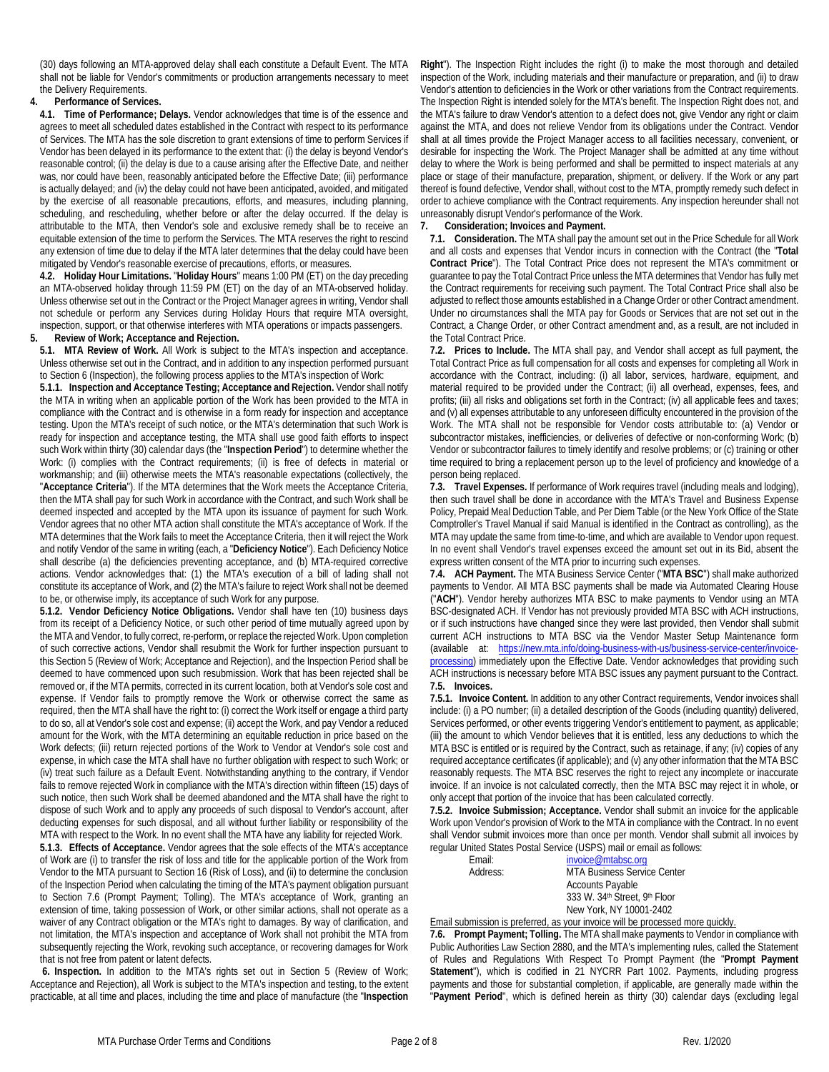(30) days following an MTA-approved delay shall each constitute a Default Event. The MTA shall not be liable for Vendor's commitments or production arrangements necessary to meet the Delivery Requirements.

#### **4. Performance of Services.**

**4.1. Time of Performance; Delays.** Vendor acknowledges that time is of the essence and agrees to meet all scheduled dates established in the Contract with respect to its performance of Services. The MTA has the sole discretion to grant extensions of time to perform Services if Vendor has been delayed in its performance to the extent that: (i) the delay is beyond Vendor's reasonable control; (ii) the delay is due to a cause arising after the Effective Date, and neither was, nor could have been, reasonably anticipated before the Effective Date; (iii) performance is actually delayed; and (iv) the delay could not have been anticipated, avoided, and mitigated by the exercise of all reasonable precautions, efforts, and measures, including planning, scheduling, and rescheduling, whether before or after the delay occurred. If the delay is attributable to the MTA, then Vendor's sole and exclusive remedy shall be to receive an equitable extension of the time to perform the Services. The MTA reserves the right to rescind any extension of time due to delay if the MTA later determines that the delay could have been mitigated by Vendor's reasonable exercise of precautions, efforts, or measures.

**4.2. Holiday Hour Limitations.** "**Holiday Hours**" means 1:00 PM (ET) on the day preceding an MTA-observed holiday through 11:59 PM (ET) on the day of an MTA-observed holiday. Unless otherwise set out in the Contract or the Project Manager agrees in writing, Vendor shall not schedule or perform any Services during Holiday Hours that require MTA oversight, inspection, support, or that otherwise interferes with MTA operations or impacts passengers.

## <span id="page-1-0"></span>**5. Review of Work; Acceptance and Rejection.**

**5.1. MTA Review of Work.** All Work is subject to the MTA's inspection and acceptance. Unless otherwise set out in the Contract, and in addition to any inspection performed pursuant to Sectio[n 6](#page-1-1) (Inspection), the following process applies to the MTA's inspection of Work:

**5.1.1. Inspection and Acceptance Testing; Acceptance and Rejection.** Vendor shall notify the MTA in writing when an applicable portion of the Work has been provided to the MTA in compliance with the Contract and is otherwise in a form ready for inspection and acceptance testing. Upon the MTA's receipt of such notice, or the MTA's determination that such Work is ready for inspection and acceptance testing, the MTA shall use good faith efforts to inspect such Work within thirty (30) calendar days (the "**Inspection Period**") to determine whether the Work: (i) complies with the Contract requirements; (ii) is free of defects in material or workmanship; and (iii) otherwise meets the MTA's reasonable expectations (collectively, the "**Acceptance Criteria**"). If the MTA determines that the Work meets the Acceptance Criteria, then the MTA shall pay for such Work in accordance with the Contract, and such Work shall be deemed inspected and accepted by the MTA upon its issuance of payment for such Work. Vendor agrees that no other MTA action shall constitute the MTA's acceptance of Work. If the MTA determines that the Work fails to meet the Acceptance Criteria, then it will reject the Work and notify Vendor of the same in writing (each, a "**Deficiency Notice**"). Each Deficiency Notice shall describe (a) the deficiencies preventing acceptance, and (b) MTA-required corrective actions. Vendor acknowledges that: (1) the MTA's execution of a bill of lading shall not constitute its acceptance of Work, and (2) the MTA's failure to reject Work shall not be deemed to be, or otherwise imply, its acceptance of such Work for any purpose.

**5.1.2. Vendor Deficiency Notice Obligations.** Vendor shall have ten (10) business days from its receipt of a Deficiency Notice, or such other period of time mutually agreed upon by the MTA and Vendor, to fully correct, re-perform, or replace the rejected Work. Upon completion of such corrective actions, Vendor shall resubmit the Work for further inspection pursuant to this Sectio[n 5](#page-1-0) (Review of Work; Acceptance and Rejection), and the Inspection Period shall be deemed to have commenced upon such resubmission. Work that has been rejected shall be removed or, if the MTA permits, corrected in its current location, both at Vendor's sole cost and expense. If Vendor fails to promptly remove the Work or otherwise correct the same as required, then the MTA shall have the right to: (i) correct the Work itself or engage a third party to do so, all at Vendor's sole cost and expense; (ii) accept the Work, and pay Vendor a reduced amount for the Work, with the MTA determining an equitable reduction in price based on the Work defects; (iii) return rejected portions of the Work to Vendor at Vendor's sole cost and expense, in which case the MTA shall have no further obligation with respect to such Work; or (iv) treat such failure as a Default Event. Notwithstanding anything to the contrary, if Vendor fails to remove rejected Work in compliance with the MTA's direction within fifteen (15) days of such notice, then such Work shall be deemed abandoned and the MTA shall have the right to dispose of such Work and to apply any proceeds of such disposal to Vendor's account, after deducting expenses for such disposal, and all without further liability or responsibility of the MTA with respect to the Work. In no event shall the MTA have any liability for rejected Work.

<span id="page-1-4"></span>**5.1.3. Effects of Acceptance.** Vendor agrees that the sole effects of the MTA's acceptance of Work are (i) to transfer the risk of loss and title for the applicable portion of the Work from Vendor to the MTA pursuant to Sectio[n 16](#page-3-0) (Risk of Loss), and (ii) to determine the conclusion of the Inspection Period when calculating the timing of the MTA's payment obligation pursuant to Section [7.6](#page-1-2) (Prompt Payment; Tolling). The MTA's acceptance of Work, granting an extension of time, taking possession of Work, or other similar actions, shall not operate as a waiver of any Contract obligation or the MTA's right to damages. By way of clarification, and not limitation, the MTA's inspection and acceptance of Work shall not prohibit the MTA from subsequently rejecting the Work, revoking such acceptance, or recovering damages for Work that is not free from patent or latent defects.

<span id="page-1-1"></span>**6. Inspection.** In addition to the MTA's rights set out in Section [5](#page-1-0) (Review of Work; Acceptance and Rejection), all Work is subject to the MTA's inspection and testing, to the extent practicable, at all time and places, including the time and place of manufacture (the "**Inspection** 

**Right**"). The Inspection Right includes the right (i) to make the most thorough and detailed inspection of the Work, including materials and their manufacture or preparation, and (ii) to draw Vendor's attention to deficiencies in the Work or other variations from the Contract requirements. The Inspection Right is intended solely for the MTA's benefit. The Inspection Right does not, and the MTA's failure to draw Vendor's attention to a defect does not, give Vendor any right or claim against the MTA, and does not relieve Vendor from its obligations under the Contract. Vendor shall at all times provide the Project Manager access to all facilities necessary, convenient, or desirable for inspecting the Work. The Project Manager shall be admitted at any time without delay to where the Work is being performed and shall be permitted to inspect materials at any place or stage of their manufacture, preparation, shipment, or delivery. If the Work or any part thereof is found defective, Vendor shall, without cost to the MTA, promptly remedy such defect in order to achieve compliance with the Contract requirements. Any inspection hereunder shall not unreasonably disrupt Vendor's performance of the Work.

## <span id="page-1-3"></span>**7. Consideration; Invoices and Payment.**

**7.1. Consideration.** The MTA shall pay the amount set out in the Price Schedule for all Work and all costs and expenses that Vendor incurs in connection with the Contract (the "**Total Contract Price**"). The Total Contract Price does not represent the MTA's commitment or guarantee to pay the Total Contract Price unless the MTA determines that Vendor has fully met the Contract requirements for receiving such payment. The Total Contract Price shall also be adjusted to reflect those amounts established in a Change Order or other Contract amendment. Under no circumstances shall the MTA pay for Goods or Services that are not set out in the Contract, a Change Order, or other Contract amendment and, as a result, are not included in the Total Contract Price.

**7.2. Prices to Include.** The MTA shall pay, and Vendor shall accept as full payment, the Total Contract Price as full compensation for all costs and expenses for completing all Work in accordance with the Contract, including: (i) all labor, services, hardware, equipment, and material required to be provided under the Contract; (ii) all overhead, expenses, fees, and profits; (iii) all risks and obligations set forth in the Contract; (iv) all applicable fees and taxes; and (v) all expenses attributable to any unforeseen difficulty encountered in the provision of the Work. The MTA shall not be responsible for Vendor costs attributable to: (a) Vendor or subcontractor mistakes, inefficiencies, or deliveries of defective or non-conforming Work; (b) Vendor or subcontractor failures to timely identify and resolve problems; or (c) training or other time required to bring a replacement person up to the level of proficiency and knowledge of a person being replaced.

**7.3. Travel Expenses.** If performance of Work requires travel (including meals and lodging), then such travel shall be done in accordance with the MTA's Travel and Business Expense Policy, Prepaid Meal Deduction Table, and Per Diem Table (or the New York Office of the State Comptroller's Travel Manual if said Manual is identified in the Contract as controlling), as the MTA may update the same from time-to-time, and which are available to Vendor upon request. In no event shall Vendor's travel expenses exceed the amount set out in its Bid, absent the express written consent of the MTA prior to incurring such expenses.

**7.4. ACH Payment.** The MTA Business Service Center ("**MTA BSC**") shall make authorized payments to Vendor. All MTA BSC payments shall be made via Automated Clearing House ("**ACH**"). Vendor hereby authorizes MTA BSC to make payments to Vendor using an MTA BSC-designated ACH. If Vendor has not previously provided MTA BSC with ACH instructions, or if such instructions have changed since they were last provided, then Vendor shall submit current ACH instructions to MTA BSC via the Vendor Master Setup Maintenance form (available at: [https://new.mta.info/doing-business-with-us/business-service-center/invoice](https://new.mta.info/doing-business-with-us/business-service-center/invoice-processing)[processing\)](https://new.mta.info/doing-business-with-us/business-service-center/invoice-processing) immediately upon the Effective Date. Vendor acknowledges that providing such ACH instructions is necessary before MTA BSC issues any payment pursuant to the Contract. **7.5. Invoices.**

**7.5.1. Invoice Content.** In addition to any other Contract requirements, Vendor invoices shall include: (i) a PO number; (ii) a detailed description of the Goods (including quantity) delivered, Services performed, or other events triggering Vendor's entitlement to payment, as applicable; (iii) the amount to which Vendor believes that it is entitled, less any deductions to which the MTA BSC is entitled or is required by the Contract, such as retainage, if any; (iv) copies of any required acceptance certificates (if applicable); and (v) any other information that the MTA BSC reasonably requests. The MTA BSC reserves the right to reject any incomplete or inaccurate invoice. If an invoice is not calculated correctly, then the MTA BSC may reject it in whole, or only accept that portion of the invoice that has been calculated correctly.

**7.5.2. Invoice Submission; Acceptance.** Vendor shall submit an invoice for the applicable Work upon Vendor's provision of Work to the MTA in compliance with the Contract. In no event shall Vendor submit invoices more than once per month. Vendor shall submit all invoices by regular United States Postal Service (USPS) mail or email as follows:

> Email: [invoice@mtabsc.org](mailto:invoice@mtabsc.org)<br>Address: MTA Business Service MTA Business Service Center Accounts Payable 333 W. 34th Street, 9th Floor New York, NY 10001-2402

Email submission is preferred, as your invoice will be processed more quickly.

<span id="page-1-2"></span>**7.6. Prompt Payment; Tolling.** The MTA shall make payments to Vendor in compliance with Public Authorities Law Section 2880, and the MTA's implementing rules, called the Statement of Rules and Regulations With Respect To Prompt Payment (the "**Prompt Payment Statement**"), which is codified in 21 NYCRR Part 1002. Payments, including progress payments and those for substantial completion, if applicable, are generally made within the "**Payment Period**", which is defined herein as thirty (30) calendar days (excluding legal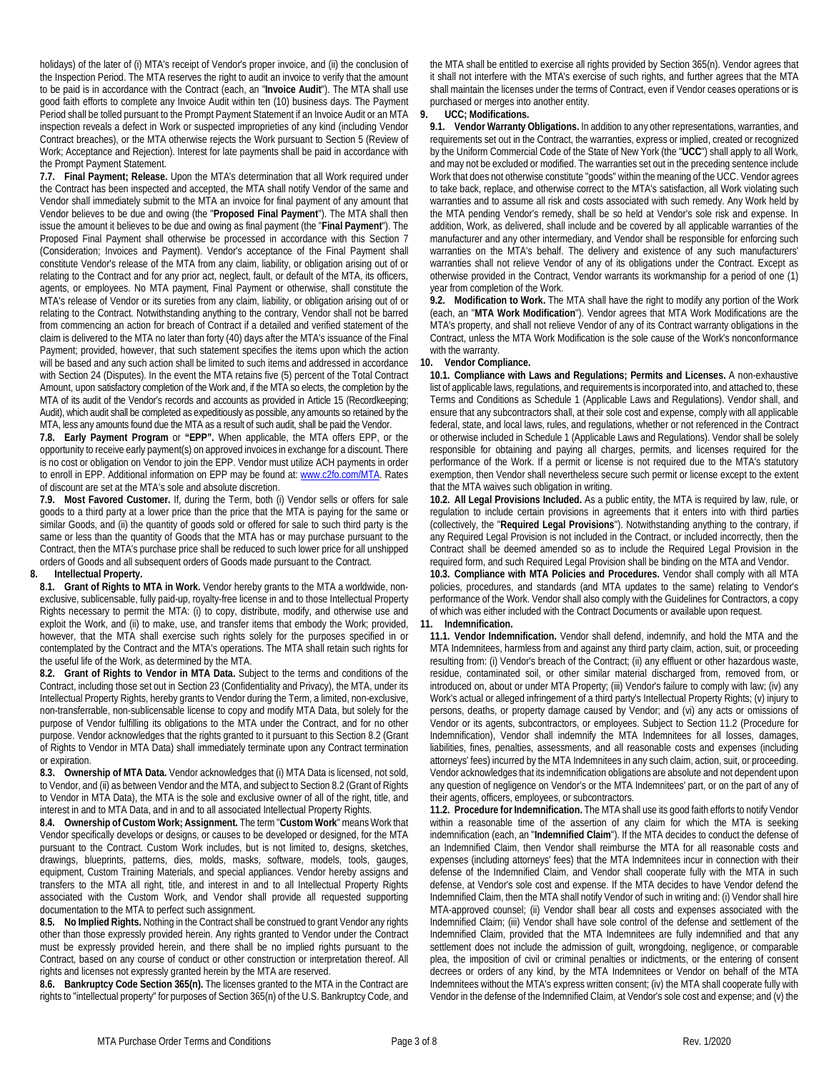holidays) of the later of (i) MTA's receipt of Vendor's proper invoice, and (ii) the conclusion of the Inspection Period. The MTA reserves the right to audit an invoice to verify that the amount to be paid is in accordance with the Contract (each, an "**Invoice Audit**"). The MTA shall use good faith efforts to complete any Invoice Audit within ten (10) business days. The Payment Period shall be tolled pursuant to the Prompt Payment Statement if an Invoice Audit or an MTA inspection reveals a defect in Work or suspected improprieties of any kind (including Vendor Contract breaches), or the MTA otherwise rejects the Work pursuant to Sectio[n 5](#page-1-0) (Review of Work; Acceptance and Rejection). Interest for late payments shall be paid in accordance with the Prompt Payment Statement.

**7.7. Final Payment; Release.** Upon the MTA's determination that all Work required under the Contract has been inspected and accepted, the MTA shall notify Vendor of the same and Vendor shall immediately submit to the MTA an invoice for final payment of any amount that Vendor believes to be due and owing (the "**Proposed Final Payment**"). The MTA shall then issue the amount it believes to be due and owing as final payment (the "**Final Payment**"). The Proposed Final Payment shall otherwise be processed in accordance with this Section [7](#page-1-3) (Consideration; Invoices and Payment). Vendor's acceptance of the Final Payment shall constitute Vendor's release of the MTA from any claim, liability, or obligation arising out of or relating to the Contract and for any prior act, neglect, fault, or default of the MTA, its officers, agents, or employees. No MTA payment, Final Payment or otherwise, shall constitute the MTA's release of Vendor or its sureties from any claim, liability, or obligation arising out of or relating to the Contract. Notwithstanding anything to the contrary, Vendor shall not be barred from commencing an action for breach of Contract if a detailed and verified statement of the claim is delivered to the MTA no later than forty (40) days after the MTA's issuance of the Final Payment; provided, however, that such statement specifies the items upon which the action will be based and any such action shall be limited to such items and addressed in accordance with Sectio[n 24](#page-6-0) (Disputes). In the event the MTA retains five (5) percent of the Total Contract Amount, upon satisfactory completion of the Work and, if the MTA so elects, the completion by the MTA of its audit of the Vendor's records and accounts as provided in Article 15 (Recordkeeping; Audit), which audit shall be completed as expeditiously as possible, any amounts so retained by the MTA, less any amounts found due the MTA as a result of such audit, shall be paid the Vendor.

**7.8. Early Payment Program** or **"EPP".** When applicable, the MTA offers EPP, or the opportunity to receive early payment(s) on approved invoices in exchange for a discount. There is no cost or obligation on Vendor to join the EPP. Vendor must utilize ACH payments in order to enroll in EPP. Additional information on EPP may be found at[: www.c2fo.com/MTA.](http://www.c2fo.com/MTA) Rates of discount are set at the MTA's sole and absolute discretion.

**7.9. Most Favored Customer.** If, during the Term, both (i) Vendor sells or offers for sale goods to a third party at a lower price than the price that the MTA is paying for the same or similar Goods, and (ii) the quantity of goods sold or offered for sale to such third party is the same or less than the quantity of Goods that the MTA has or may purchase pursuant to the Contract, then the MTA's purchase price shall be reduced to such lower price for all unshipped orders of Goods and all subsequent orders of Goods made pursuant to the Contract.

## **8. Intellectual Property.**

**8.1. Grant of Rights to MTA in Work.** Vendor hereby grants to the MTA a worldwide, nonexclusive, sublicensable, fully paid-up, royalty-free license in and to those Intellectual Property Rights necessary to permit the MTA: (i) to copy, distribute, modify, and otherwise use and exploit the Work, and (ii) to make, use, and transfer items that embody the Work; provided, however, that the MTA shall exercise such rights solely for the purposes specified in or contemplated by the Contract and the MTA's operations. The MTA shall retain such rights for the useful life of the Work, as determined by the MTA.

<span id="page-2-0"></span>**8.2. Grant of Rights to Vendor in MTA Data.** Subject to the terms and conditions of the Contract, including those set out in Sectio[n 23](#page-5-0) (Confidentiality and Privacy), the MTA, under its Intellectual Property Rights, hereby grants to Vendor during the Term, a limited, non-exclusive, non-transferrable, non-sublicensable license to copy and modify MTA Data, but solely for the purpose of Vendor fulfilling its obligations to the MTA under the Contract, and for no other purpose. Vendor acknowledges that the rights granted to it pursuant to this Sectio[n 8.2](#page-2-0) (Grant of Rights to Vendor in MTA Data) shall immediately terminate upon any Contract termination or expiration.

**8.3. Ownership of MTA Data.** Vendor acknowledges that (i) MTA Data is licensed, not sold, to Vendor, and (ii) as between Vendor and the MTA, and subject to Sectio[n 8.2](#page-2-0) (Grant of Rights to Vendor in MTA Data), the MTA is the sole and exclusive owner of all of the right, title, and interest in and to MTA Data, and in and to all associated Intellectual Property Rights.

**8.4. Ownership of Custom Work; Assignment.** The term "**Custom Work**" means Work that Vendor specifically develops or designs, or causes to be developed or designed, for the MTA pursuant to the Contract. Custom Work includes, but is not limited to, designs, sketches, drawings, blueprints, patterns, dies, molds, masks, software, models, tools, gauges, equipment, Custom Training Materials, and special appliances. Vendor hereby assigns and transfers to the MTA all right, title, and interest in and to all Intellectual Property Rights associated with the Custom Work, and Vendor shall provide all requested supporting documentation to the MTA to perfect such assignment.

**8.5. No Implied Rights.** Nothing in the Contract shall be construed to grant Vendor any rights other than those expressly provided herein. Any rights granted to Vendor under the Contract must be expressly provided herein, and there shall be no implied rights pursuant to the Contract, based on any course of conduct or other construction or interpretation thereof. All rights and licenses not expressly granted herein by the MTA are reserved.

<span id="page-2-3"></span>**8.6. Bankruptcy Code Section 365(n).** The licenses granted to the MTA in the Contract are rights to "intellectual property" for purposes of Section 365(n) of the U.S. Bankruptcy Code, and

the MTA shall be entitled to exercise all rights provided by Section 365(n). Vendor agrees that it shall not interfere with the MTA's exercise of such rights, and further agrees that the MTA shall maintain the licenses under the terms of Contract, even if Vendor ceases operations or is purchased or merges into another entity.

## **9. UCC; Modifications.**

**9.1. Vendor Warranty Obligations.** In addition to any other representations, warranties, and requirements set out in the Contract, the warranties, express or implied, created or recognized by the Uniform Commercial Code of the State of New York (the "**UCC**") shall apply to all Work, and may not be excluded or modified. The warranties set out in the preceding sentence include Work that does not otherwise constitute "goods" within the meaning of the UCC. Vendor agrees to take back, replace, and otherwise correct to the MTA's satisfaction, all Work violating such warranties and to assume all risk and costs associated with such remedy. Any Work held by the MTA pending Vendor's remedy, shall be so held at Vendor's sole risk and expense. In addition, Work, as delivered, shall include and be covered by all applicable warranties of the manufacturer and any other intermediary, and Vendor shall be responsible for enforcing such warranties on the MTA's behalf. The delivery and existence of any such manufacturers' warranties shall not relieve Vendor of any of its obligations under the Contract. Except as otherwise provided in the Contract, Vendor warrants its workmanship for a period of one (1) year from completion of the Work.

**9.2. Modification to Work.** The MTA shall have the right to modify any portion of the Work (each, an "**MTA Work Modification**"). Vendor agrees that MTA Work Modifications are the MTA's property, and shall not relieve Vendor of any of its Contract warranty obligations in the Contract, unless the MTA Work Modification is the sole cause of the Work's nonconformance with the warranty

#### **10. Vendor Compliance.**

**10.1. Compliance with Laws and Regulations; Permits and Licenses.** A non-exhaustive list of applicable laws, regulations, and requirements is incorporated into, and attached to, these Terms and Conditions as Schedul[e 1](#page-0-1) (Applicable Laws and Regulations). Vendor shall, and ensure that any subcontractors shall, at their sole cost and expense, comply with all applicable federal, state, and local laws, rules, and regulations, whether or not referenced in the Contract or otherwise included in Schedul[e 1](#page-0-1) (Applicable Laws and Regulations). Vendor shall be solely responsible for obtaining and paying all charges, permits, and licenses required for the performance of the Work. If a permit or license is not required due to the MTA's statutory exemption, then Vendor shall nevertheless secure such permit or license except to the extent that the MTA waives such obligation in writing.

**10.2. All Legal Provisions Included.** As a public entity, the MTA is required by law, rule, or regulation to include certain provisions in agreements that it enters into with third parties (collectively, the "**Required Legal Provisions**"). Notwithstanding anything to the contrary, if any Required Legal Provision is not included in the Contract, or included incorrectly, then the Contract shall be deemed amended so as to include the Required Legal Provision in the required form, and such Required Legal Provision shall be binding on the MTA and Vendor.

**10.3. Compliance with MTA Policies and Procedures.** Vendor shall comply with all MTA policies, procedures, and standards (and MTA updates to the same) relating to Vendor's performance of the Work. Vendor shall also comply with the Guidelines for Contractors, a copy of which was either included with the Contract Documents or available upon request.

#### <span id="page-2-2"></span>**11. Indemnification.**

**11.1. Vendor Indemnification.** Vendor shall defend, indemnify, and hold the MTA and the MTA Indemnitees, harmless from and against any third party claim, action, suit, or proceeding resulting from: (i) Vendor's breach of the Contract; (ii) any effluent or other hazardous waste, residue, contaminated soil, or other similar material discharged from, removed from, or introduced on, about or under MTA Property; (iii) Vendor's failure to comply with law; (iv) any Work's actual or alleged infringement of a third party's Intellectual Property Rights; (v) injury to persons, deaths, or property damage caused by Vendor; and (vi) any acts or omissions of Vendor or its agents, subcontractors, or employees. Subject to Sectio[n 11.2](#page-2-1) (Procedure for Indemnification), Vendor shall indemnify the MTA Indemnitees for all losses, damages, liabilities, fines, penalties, assessments, and all reasonable costs and expenses (including attorneys' fees) incurred by the MTA Indemnitees in any such claim, action, suit, or proceeding. Vendor acknowledges that its indemnification obligations are absolute and not dependent upon any question of negligence on Vendor's or the MTA Indemnitees' part, or on the part of any of their agents, officers, employees, or subcontractors.

<span id="page-2-1"></span>**11.2. Procedure for Indemnification.** The MTA shall use its good faith efforts to notify Vendor within a reasonable time of the assertion of any claim for which the MTA is seeking indemnification (each, an "**Indemnified Claim**"). If the MTA decides to conduct the defense of an Indemnified Claim, then Vendor shall reimburse the MTA for all reasonable costs and expenses (including attorneys' fees) that the MTA Indemnitees incur in connection with their defense of the Indemnified Claim, and Vendor shall cooperate fully with the MTA in such defense, at Vendor's sole cost and expense. If the MTA decides to have Vendor defend the Indemnified Claim, then the MTA shall notify Vendor of such in writing and: (i) Vendor shall hire MTA-approved counsel; (ii) Vendor shall bear all costs and expenses associated with the Indemnified Claim; (iii) Vendor shall have sole control of the defense and settlement of the Indemnified Claim, provided that the MTA Indemnitees are fully indemnified and that any settlement does not include the admission of guilt, wrongdoing, negligence, or comparable plea, the imposition of civil or criminal penalties or indictments, or the entering of consent decrees or orders of any kind, by the MTA Indemnitees or Vendor on behalf of the MTA Indemnitees without the MTA's express written consent; (iv) the MTA shall cooperate fully with Vendor in the defense of the Indemnified Claim, at Vendor's sole cost and expense; and (v) the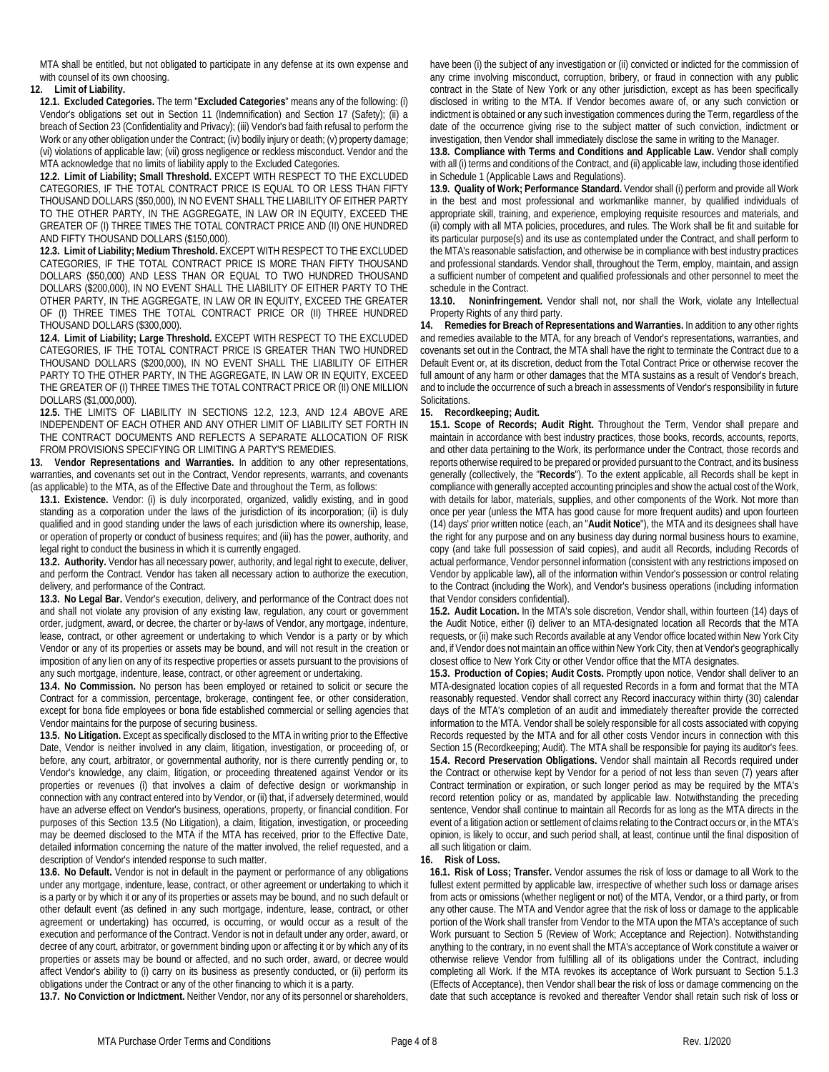MTA shall be entitled, but not obligated to participate in any defense at its own expense and with counsel of its own choosing.

## <span id="page-3-3"></span>**12. Limit of Liability.**

**12.1. Excluded Categories.** The term "**Excluded Categories**" means any of the following: (i) Vendor's obligations set out in Section [11](#page-2-2) (Indemnification) and Section [17](#page-4-0) (Safety); (ii) a breach of Sectio[n 23](#page-5-0) (Confidentiality and Privacy); (iii) Vendor's bad faith refusal to perform the Work or any other obligation under the Contract; (iv) bodily injury or death; (v) property damage; (vi) violations of applicable law; (vii) gross negligence or reckless misconduct. Vendor and the MTA acknowledge that no limits of liability apply to the Excluded Categories.

**12.2. Limit of Liability; Small Threshold.** EXCEPT WITH RESPECT TO THE EXCLUDED CATEGORIES, IF THE TOTAL CONTRACT PRICE IS EQUAL TO OR LESS THAN FIFTY THOUSAND DOLLARS (\$50,000), IN NO EVENT SHALL THE LIABILITY OF EITHER PARTY TO THE OTHER PARTY, IN THE AGGREGATE, IN LAW OR IN EQUITY, EXCEED THE GREATER OF (I) THREE TIMES THE TOTAL CONTRACT PRICE AND (II) ONE HUNDRED AND FIFTY THOUSAND DOLLARS (\$150,000).

**12.3. Limit of Liability; Medium Threshold.** EXCEPT WITH RESPECT TO THE EXCLUDED CATEGORIES, IF THE TOTAL CONTRACT PRICE IS MORE THAN FIFTY THOUSAND DOLLARS (\$50,000) AND LESS THAN OR EQUAL TO TWO HUNDRED THOUSAND DOLLARS (\$200,000), IN NO EVENT SHALL THE LIABILITY OF EITHER PARTY TO THE OTHER PARTY, IN THE AGGREGATE, IN LAW OR IN EQUITY, EXCEED THE GREATER OF (I) THREE TIMES THE TOTAL CONTRACT PRICE OR (II) THREE HUNDRED THOUSAND DOLLARS (\$300,000).

**12.4. Limit of Liability; Large Threshold.** EXCEPT WITH RESPECT TO THE EXCLUDED CATEGORIES, IF THE TOTAL CONTRACT PRICE IS GREATER THAN TWO HUNDRED THOUSAND DOLLARS (\$200,000), IN NO EVENT SHALL THE LIABILITY OF EITHER PARTY TO THE OTHER PARTY, IN THE AGGREGATE, IN LAW OR IN EQUITY, EXCEED THE GREATER OF (I) THREE TIMES THE TOTAL CONTRACT PRICE OR (II) ONE MILLION DOLLARS (\$1,000,000).

**12.5.** THE LIMITS OF LIABILITY IN SECTIONS 12.2, 12.3, AND 12.4 ABOVE ARE INDEPENDENT OF EACH OTHER AND ANY OTHER LIMIT OF LIABILITY SET FORTH IN THE CONTRACT DOCUMENTS AND REFLECTS A SEPARATE ALLOCATION OF RISK FROM PROVISIONS SPECIFYING OR LIMITING A PARTY'S REMEDIES.

**13. Vendor Representations and Warranties.** In addition to any other representations, warranties, and covenants set out in the Contract, Vendor represents, warrants, and covenants (as applicable) to the MTA, as of the Effective Date and throughout the Term, as follows:

**13.1. Existence.** Vendor: (i) is duly incorporated, organized, validly existing, and in good standing as a corporation under the laws of the jurisdiction of its incorporation; (ii) is duly qualified and in good standing under the laws of each jurisdiction where its ownership, lease, or operation of property or conduct of business requires; and (iii) has the power, authority, and legal right to conduct the business in which it is currently engaged.

**13.2. Authority.** Vendor has all necessary power, authority, and legal right to execute, deliver, and perform the Contract. Vendor has taken all necessary action to authorize the execution, delivery, and performance of the Contract.

**13.3. No Legal Bar.** Vendor's execution, delivery, and performance of the Contract does not and shall not violate any provision of any existing law, regulation, any court or government order, judgment, award, or decree, the charter or by-laws of Vendor, any mortgage, indenture, lease, contract, or other agreement or undertaking to which Vendor is a party or by which Vendor or any of its properties or assets may be bound, and will not result in the creation or imposition of any lien on any of its respective properties or assets pursuant to the provisions of any such mortgage, indenture, lease, contract, or other agreement or undertaking.

**13.4. No Commission.** No person has been employed or retained to solicit or secure the Contract for a commission, percentage, brokerage, contingent fee, or other consideration, except for bona fide employees or bona fide established commercial or selling agencies that Vendor maintains for the purpose of securing business.

<span id="page-3-1"></span>**13.5. No Litigation.** Except as specifically disclosed to the MTA in writing prior to the Effective Date, Vendor is neither involved in any claim, litigation, investigation, or proceeding of, or before, any court, arbitrator, or governmental authority, nor is there currently pending or, to Vendor's knowledge, any claim, litigation, or proceeding threatened against Vendor or its properties or revenues (i) that involves a claim of defective design or workmanship in connection with any contract entered into by Vendor, or (ii) that, if adversely determined, would have an adverse effect on Vendor's business, operations, property, or financial condition. For purposes of this Section [13.5](#page-3-1) (No Litigation), a claim, litigation, investigation, or proceeding may be deemed disclosed to the MTA if the MTA has received, prior to the Effective Date, detailed information concerning the nature of the matter involved, the relief requested, and a description of Vendor's intended response to such matter.

**13.6. No Default.** Vendor is not in default in the payment or performance of any obligations under any mortgage, indenture, lease, contract, or other agreement or undertaking to which it is a party or by which it or any of its properties or assets may be bound, and no such default or other default event (as defined in any such mortgage, indenture, lease, contract, or other agreement or undertaking) has occurred, is occurring, or would occur as a result of the execution and performance of the Contract. Vendor is not in default under any order, award, or decree of any court, arbitrator, or government binding upon or affecting it or by which any of its properties or assets may be bound or affected, and no such order, award, or decree would affect Vendor's ability to (i) carry on its business as presently conducted, or (ii) perform its obligations under the Contract or any of the other financing to which it is a party.

**13.7. No Conviction or Indictment.** Neither Vendor, nor any of its personnel or shareholders,

have been (i) the subject of any investigation or (ii) convicted or indicted for the commission of any crime involving misconduct, corruption, bribery, or fraud in connection with any public contract in the State of New York or any other jurisdiction, except as has been specifically disclosed in writing to the MTA. If Vendor becomes aware of, or any such conviction or indictment is obtained or any such investigation commences during the Term, regardless of the date of the occurrence giving rise to the subject matter of such conviction, indictment or investigation, then Vendor shall immediately disclose the same in writing to the Manager.

**13.8. Compliance with Terms and Conditions and Applicable Law.** Vendor shall comply with all (i) terms and conditions of the Contract, and (ii) applicable law, including those identified in Schedul[e 1](#page-0-1) (Applicable Laws and Regulations).

**13.9. Quality of Work; Performance Standard.** Vendor shall (i) perform and provide all Work in the best and most professional and workmanlike manner, by qualified individuals of appropriate skill, training, and experience, employing requisite resources and materials, and (ii) comply with all MTA policies, procedures, and rules. The Work shall be fit and suitable for its particular purpose(s) and its use as contemplated under the Contract, and shall perform to the MTA's reasonable satisfaction, and otherwise be in compliance with best industry practices and professional standards. Vendor shall, throughout the Term, employ, maintain, and assign a sufficient number of competent and qualified professionals and other personnel to meet the schedule in the Contract.

**13.10. Noninfringement.** Vendor shall not, nor shall the Work, violate any Intellectual Property Rights of any third party.

**14. Remedies for Breach of Representations and Warranties.** In addition to any other rights and remedies available to the MTA, for any breach of Vendor's representations, warranties, and covenants set out in the Contract, the MTA shall have the right to terminate the Contract due to a Default Event or, at its discretion, deduct from the Total Contract Price or otherwise recover the full amount of any harm or other damages that the MTA sustains as a result of Vendor's breach, and to include the occurrence of such a breach in assessments of Vendor's responsibility in future Solicitations.

# <span id="page-3-2"></span>**15. Recordkeeping; Audit.**

**15.1. Scope of Records; Audit Right.** Throughout the Term, Vendor shall prepare and maintain in accordance with best industry practices, those books, records, accounts, reports, and other data pertaining to the Work, its performance under the Contract, those records and reports otherwise required to be prepared or provided pursuant to the Contract, and its business generally (collectively, the "**Records**"). To the extent applicable, all Records shall be kept in compliance with generally accepted accounting principles and show the actual cost of the Work, with details for labor, materials, supplies, and other components of the Work. Not more than once per year (unless the MTA has good cause for more frequent audits) and upon fourteen (14) days' prior written notice (each, an "**Audit Notice**"), the MTA and its designees shall have the right for any purpose and on any business day during normal business hours to examine, copy (and take full possession of said copies), and audit all Records, including Records of actual performance, Vendor personnel information (consistent with any restrictions imposed on Vendor by applicable law), all of the information within Vendor's possession or control relating to the Contract (including the Work), and Vendor's business operations (including information that Vendor considers confidential).

**15.2. Audit Location.** In the MTA's sole discretion, Vendor shall, within fourteen (14) days of the Audit Notice, either (i) deliver to an MTA-designated location all Records that the MTA requests, or (ii) make such Records available at any Vendor office located within New York City and, if Vendor does not maintain an office within New York City, then at Vendor's geographically closest office to New York City or other Vendor office that the MTA designates.

**15.3. Production of Copies; Audit Costs.** Promptly upon notice, Vendor shall deliver to an MTA-designated location copies of all requested Records in a form and format that the MTA reasonably requested. Vendor shall correct any Record inaccuracy within thirty (30) calendar days of the MTA's completion of an audit and immediately thereafter provide the corrected information to the MTA. Vendor shall be solely responsible for all costs associated with copying Records requested by the MTA and for all other costs Vendor incurs in connection with this Sectio[n 15](#page-3-2) (Recordkeeping; Audit). The MTA shall be responsible for paying its auditor's fees. **15.4. Record Preservation Obligations.** Vendor shall maintain all Records required under the Contract or otherwise kept by Vendor for a period of not less than seven (7) years after Contract termination or expiration, or such longer period as may be required by the MTA's record retention policy or as, mandated by applicable law. Notwithstanding the preceding sentence, Vendor shall continue to maintain all Records for as long as the MTA directs in the event of a litigation action or settlement of claims relating to the Contract occurs or, in the MTA's opinion, is likely to occur, and such period shall, at least, continue until the final disposition of all such litigation or claim.

## <span id="page-3-0"></span>**16. Risk of Loss.**

**16.1. Risk of Loss; Transfer.** Vendor assumes the risk of loss or damage to all Work to the fullest extent permitted by applicable law, irrespective of whether such loss or damage arises from acts or omissions (whether negligent or not) of the MTA, Vendor, or a third party, or from any other cause. The MTA and Vendor agree that the risk of loss or damage to the applicable portion of the Work shall transfer from Vendor to the MTA upon the MTA's acceptance of such Work pursuant to Section [5](#page-1-0) (Review of Work; Acceptance and Rejection). Notwithstanding anything to the contrary, in no event shall the MTA's acceptance of Work constitute a waiver or otherwise relieve Vendor from fulfilling all of its obligations under the Contract, including completing all Work. If the MTA revokes its acceptance of Work pursuant to Section [5.1.3](#page-1-4) (Effects of Acceptance), then Vendor shall bear the risk of loss or damage commencing on the date that such acceptance is revoked and thereafter Vendor shall retain such risk of loss or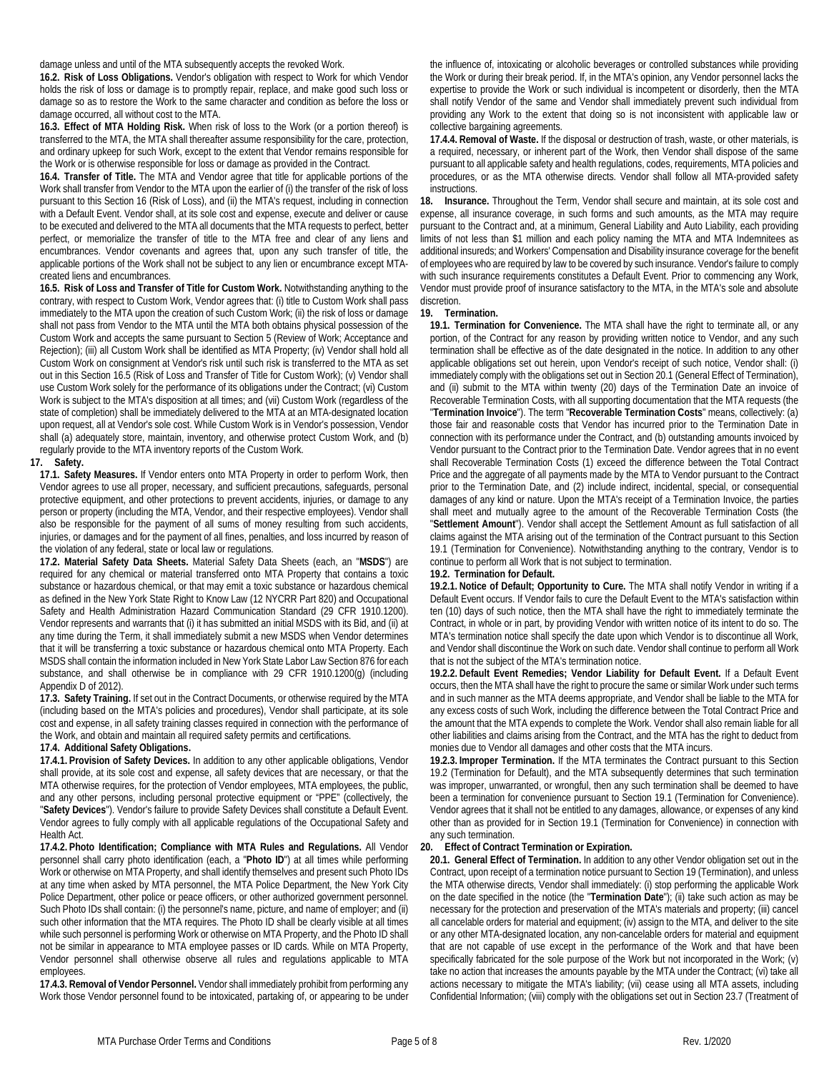damage unless and until of the MTA subsequently accepts the revoked Work.

**16.2. Risk of Loss Obligations.** Vendor's obligation with respect to Work for which Vendor holds the risk of loss or damage is to promptly repair, replace, and make good such loss or damage so as to restore the Work to the same character and condition as before the loss or damage occurred, all without cost to the MTA.

**16.3. Effect of MTA Holding Risk.** When risk of loss to the Work (or a portion thereof) is transferred to the MTA, the MTA shall thereafter assume responsibility for the care, protection, and ordinary upkeep for such Work, except to the extent that Vendor remains responsible for the Work or is otherwise responsible for loss or damage as provided in the Contract.

**16.4. Transfer of Title.** The MTA and Vendor agree that title for applicable portions of the Work shall transfer from Vendor to the MTA upon the earlier of (i) the transfer of the risk of loss pursuant to this Section [16](#page-3-0) (Risk of Loss), and (ii) the MTA's request, including in connection with a Default Event. Vendor shall, at its sole cost and expense, execute and deliver or cause to be executed and delivered to the MTA all documents that the MTA requests to perfect, better perfect, or memorialize the transfer of title to the MTA free and clear of any liens and encumbrances. Vendor covenants and agrees that, upon any such transfer of title, the applicable portions of the Work shall not be subject to any lien or encumbrance except MTAcreated liens and encumbrances.

**16.5. Risk of Loss and Transfer of Title for Custom Work.** Notwithstanding anything to the contrary, with respect to Custom Work, Vendor agrees that: (i) title to Custom Work shall pass immediately to the MTA upon the creation of such Custom Work; (ii) the risk of loss or damage shall not pass from Vendor to the MTA until the MTA both obtains physical possession of the Custom Work and accepts the same pursuant to Sectio[n 5](#page-1-0) (Review of Work; Acceptance and Rejection); (iii) all Custom Work shall be identified as MTA Property; (iv) Vendor shall hold all Custom Work on consignment at Vendor's risk until such risk is transferred to the MTA as set out in this Section 16.5 (Risk of Loss and Transfer of Title for Custom Work); (v) Vendor shall use Custom Work solely for the performance of its obligations under the Contract; (vi) Custom Work is subject to the MTA's disposition at all times; and (vii) Custom Work (regardless of the state of completion) shall be immediately delivered to the MTA at an MTA-designated location upon request, all at Vendor's sole cost. While Custom Work is in Vendor's possession, Vendor shall (a) adequately store, maintain, inventory, and otherwise protect Custom Work, and (b) regularly provide to the MTA inventory reports of the Custom Work.

## <span id="page-4-0"></span>**17. Safety.**

**17.1. Safety Measures.** If Vendor enters onto MTA Property in order to perform Work, then Vendor agrees to use all proper, necessary, and sufficient precautions, safeguards, personal protective equipment, and other protections to prevent accidents, injuries, or damage to any person or property (including the MTA, Vendor, and their respective employees). Vendor shall also be responsible for the payment of all sums of money resulting from such accidents, injuries, or damages and for the payment of all fines, penalties, and loss incurred by reason of the violation of any federal, state or local law or regulations.

**17.2. Material Safety Data Sheets.** Material Safety Data Sheets (each, an "**MSDS**") are required for any chemical or material transferred onto MTA Property that contains a toxic substance or hazardous chemical, or that may emit a toxic substance or hazardous chemical as defined in the New York State Right to Know Law (12 NYCRR Part 820) and Occupational Safety and Health Administration Hazard Communication Standard (29 CFR 1910.1200). Vendor represents and warrants that (i) it has submitted an initial MSDS with its Bid, and (ii) at any time during the Term, it shall immediately submit a new MSDS when Vendor determines that it will be transferring a toxic substance or hazardous chemical onto MTA Property. Each MSDS shall contain the information included in New York State Labor Law Section 876 for each substance, and shall otherwise be in compliance with 29 CFR 1910.1200(g) (including Appendix D of 2012).

**17.3. Safety Training.** If set out in the Contract Documents, or otherwise required by the MTA (including based on the MTA's policies and procedures), Vendor shall participate, at its sole cost and expense, in all safety training classes required in connection with the performance of the Work, and obtain and maintain all required safety permits and certifications.

## **17.4. Additional Safety Obligations.**

**17.4.1. Provision of Safety Devices.** In addition to any other applicable obligations, Vendor shall provide, at its sole cost and expense, all safety devices that are necessary, or that the MTA otherwise requires, for the protection of Vendor employees, MTA employees, the public, and any other persons, including personal protective equipment or "PPE" (collectively, the "**Safety Devices**"). Vendor's failure to provide Safety Devices shall constitute a Default Event. Vendor agrees to fully comply with all applicable regulations of the Occupational Safety and Health Act.

**17.4.2. Photo Identification; Compliance with MTA Rules and Regulations.** All Vendor personnel shall carry photo identification (each, a "**Photo ID**") at all times while performing Work or otherwise on MTA Property, and shall identify themselves and present such Photo IDs at any time when asked by MTA personnel, the MTA Police Department, the New York City Police Department, other police or peace officers, or other authorized government personnel. Such Photo IDs shall contain: (i) the personnel's name, picture, and name of employer; and (ii) such other information that the MTA requires. The Photo ID shall be clearly visible at all times while such personnel is performing Work or otherwise on MTA Property, and the Photo ID shall not be similar in appearance to MTA employee passes or ID cards. While on MTA Property, Vendor personnel shall otherwise observe all rules and regulations applicable to MTA employees.

**17.4.3. Removal of Vendor Personnel.** Vendor shall immediately prohibit from performing any Work those Vendor personnel found to be intoxicated, partaking of, or appearing to be under

the influence of, intoxicating or alcoholic beverages or controlled substances while providing the Work or during their break period. If, in the MTA's opinion, any Vendor personnel lacks the expertise to provide the Work or such individual is incompetent or disorderly, then the MTA shall notify Vendor of the same and Vendor shall immediately prevent such individual from providing any Work to the extent that doing so is not inconsistent with applicable law or collective bargaining agreements.

**17.4.4. Removal of Waste.** If the disposal or destruction of trash, waste, or other materials, is a required, necessary, or inherent part of the Work, then Vendor shall dispose of the same pursuant to all applicable safety and health regulations, codes, requirements, MTA policies and procedures, or as the MTA otherwise directs. Vendor shall follow all MTA-provided safety instructions.

**18. Insurance.** Throughout the Term, Vendor shall secure and maintain, at its sole cost and expense, all insurance coverage, in such forms and such amounts, as the MTA may require pursuant to the Contract and, at a minimum, General Liability and Auto Liability, each providing limits of not less than \$1 million and each policy naming the MTA and MTA Indemnitees as additional insureds; and Workers' Compensation and Disability insurance coverage for the benefit of employees who are required by law to be covered by such insurance. Vendor's failure to comply with such insurance requirements constitutes a Default Event. Prior to commencing any Work, Vendor must provide proof of insurance satisfactory to the MTA, in the MTA's sole and absolute discretion.

## <span id="page-4-4"></span><span id="page-4-2"></span>**19. Termination.**

**19.1. Termination for Convenience.** The MTA shall have the right to terminate all, or any portion, of the Contract for any reason by providing written notice to Vendor, and any such termination shall be effective as of the date designated in the notice. In addition to any other applicable obligations set out herein, upon Vendor's receipt of such notice, Vendor shall: (i) immediately comply with the obligations set out in Sectio[n 20.1](#page-4-1) (General Effect of Termination), and (ii) submit to the MTA within twenty (20) days of the Termination Date an invoice of Recoverable Termination Costs, with all supporting documentation that the MTA requests (the "**Termination Invoice**"). The term "**Recoverable Termination Costs**" means, collectively: (a) those fair and reasonable costs that Vendor has incurred prior to the Termination Date in connection with its performance under the Contract, and (b) outstanding amounts invoiced by Vendor pursuant to the Contract prior to the Termination Date. Vendor agrees that in no event shall Recoverable Termination Costs (1) exceed the difference between the Total Contract Price and the aggregate of all payments made by the MTA to Vendor pursuant to the Contract prior to the Termination Date, and (2) include indirect, incidental, special, or consequential damages of any kind or nature. Upon the MTA's receipt of a Termination Invoice, the parties shall meet and mutually agree to the amount of the Recoverable Termination Costs (the "**Settlement Amount**"). Vendor shall accept the Settlement Amount as full satisfaction of all claims against the MTA arising out of the termination of the Contract pursuant to this Section [19.1](#page-4-2) (Termination for Convenience). Notwithstanding anything to the contrary, Vendor is to continue to perform all Work that is not subject to termination.

## <span id="page-4-3"></span>**19.2. Termination for Default.**

**19.2.1. Notice of Default; Opportunity to Cure.** The MTA shall notify Vendor in writing if a Default Event occurs. If Vendor fails to cure the Default Event to the MTA's satisfaction within ten (10) days of such notice, then the MTA shall have the right to immediately terminate the Contract, in whole or in part, by providing Vendor with written notice of its intent to do so. The MTA's termination notice shall specify the date upon which Vendor is to discontinue all Work, and Vendor shall discontinue the Work on such date. Vendor shall continue to perform all Work that is not the subject of the MTA's termination notice.

**19.2.2. Default Event Remedies; Vendor Liability for Default Event.** If a Default Event occurs, then the MTA shall have the right to procure the same or similar Work under such terms and in such manner as the MTA deems appropriate, and Vendor shall be liable to the MTA for any excess costs of such Work, including the difference between the Total Contract Price and the amount that the MTA expends to complete the Work. Vendor shall also remain liable for all other liabilities and claims arising from the Contract, and the MTA has the right to deduct from monies due to Vendor all damages and other costs that the MTA incurs.

**19.2.3. Improper Termination.** If the MTA terminates the Contract pursuant to this Section [19.2](#page-4-3) (Termination for Default), and the MTA subsequently determines that such termination was improper, unwarranted, or wrongful, then any such termination shall be deemed to have been a termination for convenience pursuant to Sectio[n 19.1](#page-4-2) (Termination for Convenience). Vendor agrees that it shall not be entitled to any damages, allowance, or expenses of any kind other than as provided for in Section [19.1](#page-4-2) (Termination for Convenience) in connection with any such termination.

# <span id="page-4-5"></span>**20. Effect of Contract Termination or Expiration.**

<span id="page-4-1"></span>**20.1. General Effect of Termination.** In addition to any other Vendor obligation set out in the Contract, upon receipt of a termination notice pursuant to Sectio[n 19](#page-4-4) (Termination), and unless the MTA otherwise directs, Vendor shall immediately: (i) stop performing the applicable Work on the date specified in the notice (the "**Termination Date**"); (ii) take such action as may be necessary for the protection and preservation of the MTA's materials and property; (iii) cancel all cancelable orders for material and equipment; (iv) assign to the MTA, and deliver to the site or any other MTA-designated location, any non-cancelable orders for material and equipment that are not capable of use except in the performance of the Work and that have been specifically fabricated for the sole purpose of the Work but not incorporated in the Work; (v) take no action that increases the amounts payable by the MTA under the Contract; (vi) take all actions necessary to mitigate the MTA's liability; (vii) cease using all MTA assets, including Confidential Information; (viii) comply with the obligations set out in Sectio[n 23.7](#page-5-1) (Treatment of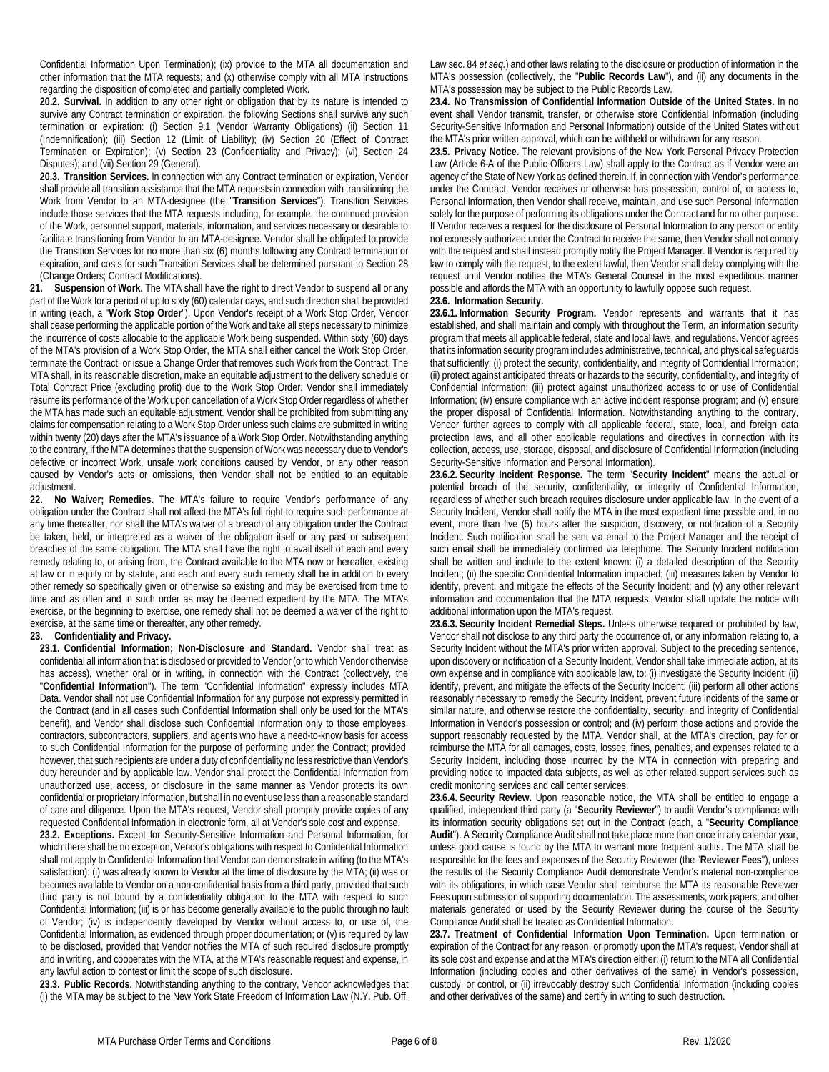Confidential Information Upon Termination); (ix) provide to the MTA all documentation and other information that the MTA requests; and (x) otherwise comply with all MTA instructions regarding the disposition of completed and partially completed Work.

**20.2. Survival.** In addition to any other right or obligation that by its nature is intended to survive any Contract termination or expiration, the following Sections shall survive any such termination or expiration: (i) Section 9.1 (Vendor Warranty Obligations) (ii) Section [11](#page-2-2) (Indemnification); (iii) Section [12](#page-3-3) (Limit of Liability); (iv) Section [20](#page-4-5) (Effect of Contract Termination or Expiration); (v) Section [23](#page-5-0) (Confidentiality and Privacy); (vi) Section 24 Disputes); and (vii) Sectio[n 29](#page-6-1) (General).

**20.3. Transition Services.** In connection with any Contract termination or expiration, Vendor shall provide all transition assistance that the MTA requests in connection with transitioning the Work from Vendor to an MTA-designee (the "**Transition Services**"). Transition Services include those services that the MTA requests including, for example, the continued provision of the Work, personnel support, materials, information, and services necessary or desirable to facilitate transitioning from Vendor to an MTA-designee. Vendor shall be obligated to provide the Transition Services for no more than six (6) months following any Contract termination or expiration, and costs for such Transition Services shall be determined pursuant to Sectio[n 28](#page-6-2) (Change Orders; Contract Modifications).

**21. Suspension of Work.** The MTA shall have the right to direct Vendor to suspend all or any part of the Work for a period of up to sixty (60) calendar days, and such direction shall be provided in writing (each, a "**Work Stop Order**"). Upon Vendor's receipt of a Work Stop Order, Vendor shall cease performing the applicable portion of the Work and take all steps necessary to minimize the incurrence of costs allocable to the applicable Work being suspended. Within sixty (60) days of the MTA's provision of a Work Stop Order, the MTA shall either cancel the Work Stop Order, terminate the Contract, or issue a Change Order that removes such Work from the Contract. The MTA shall, in its reasonable discretion, make an equitable adjustment to the delivery schedule or Total Contract Price (excluding profit) due to the Work Stop Order. Vendor shall immediately resume its performance of the Work upon cancellation of a Work Stop Order regardless of whether the MTA has made such an equitable adjustment. Vendor shall be prohibited from submitting any claims for compensation relating to a Work Stop Order unless such claims are submitted in writing within twenty (20) days after the MTA's issuance of a Work Stop Order. Notwithstanding anything to the contrary, if the MTA determines that the suspension of Work was necessary due to Vendor's defective or incorrect Work, unsafe work conditions caused by Vendor, or any other reason caused by Vendor's acts or omissions, then Vendor shall not be entitled to an equitable adjustment.

**22. No Waiver; Remedies.** The MTA's failure to require Vendor's performance of any obligation under the Contract shall not affect the MTA's full right to require such performance at any time thereafter, nor shall the MTA's waiver of a breach of any obligation under the Contract be taken, held, or interpreted as a waiver of the obligation itself or any past or subsequent breaches of the same obligation. The MTA shall have the right to avail itself of each and every remedy relating to, or arising from, the Contract available to the MTA now or hereafter, existing at law or in equity or by statute, and each and every such remedy shall be in addition to every other remedy so specifically given or otherwise so existing and may be exercised from time to time and as often and in such order as may be deemed expedient by the MTA. The MTA's exercise, or the beginning to exercise, one remedy shall not be deemed a waiver of the right to exercise, at the same time or thereafter, any other remedy.

## <span id="page-5-0"></span>**23. Confidentiality and Privacy.**

**23.1. Confidential Information; Non-Disclosure and Standard.** Vendor shall treat as confidential all information that is disclosed or provided to Vendor (or to which Vendor otherwise has access), whether oral or in writing, in connection with the Contract (collectively, the "**Confidential Information**"). The term "Confidential Information" expressly includes MTA Data. Vendor shall not use Confidential Information for any purpose not expressly permitted in the Contract (and in all cases such Confidential Information shall only be used for the MTA's benefit), and Vendor shall disclose such Confidential Information only to those employees, contractors, subcontractors, suppliers, and agents who have a need-to-know basis for access to such Confidential Information for the purpose of performing under the Contract; provided, however, that such recipients are under a duty of confidentiality no less restrictive than Vendor's duty hereunder and by applicable law. Vendor shall protect the Confidential Information from unauthorized use, access, or disclosure in the same manner as Vendor protects its own confidential or proprietary information, but shall in no event use less than a reasonable standard of care and diligence. Upon the MTA's request, Vendor shall promptly provide copies of any requested Confidential Information in electronic form, all at Vendor's sole cost and expense.

**23.2. Exceptions.** Except for Security-Sensitive Information and Personal Information, for which there shall be no exception, Vendor's obligations with respect to Confidential Information shall not apply to Confidential Information that Vendor can demonstrate in writing (to the MTA's satisfaction): (i) was already known to Vendor at the time of disclosure by the MTA; (ii) was or becomes available to Vendor on a non-confidential basis from a third party, provided that such third party is not bound by a confidentiality obligation to the MTA with respect to such Confidential Information; (iii) is or has become generally available to the public through no fault of Vendor; (iv) is independently developed by Vendor without access to, or use of, the Confidential Information, as evidenced through proper documentation; or (v) is required by law to be disclosed, provided that Vendor notifies the MTA of such required disclosure promptly and in writing, and cooperates with the MTA, at the MTA's reasonable request and expense, in any lawful action to contest or limit the scope of such disclosure.

**23.3. Public Records.** Notwithstanding anything to the contrary, Vendor acknowledges that (i) the MTA may be subject to the New York State Freedom of Information Law (N.Y. Pub. Off.

Law sec. 84 *et seq.*) and other laws relating to the disclosure or production of information in the MTA's possession (collectively, the "**Public Records Law**"), and (ii) any documents in the MTA's possession may be subject to the Public Records Law.

**23.4. No Transmission of Confidential Information Outside of the United States.** In no event shall Vendor transmit, transfer, or otherwise store Confidential Information (including Security-Sensitive Information and Personal Information) outside of the United States without the MTA's prior written approval, which can be withheld or withdrawn for any reason.

**23.5. Privacy Notice.** The relevant provisions of the New York Personal Privacy Protection Law (Article 6-A of the Public Officers Law) shall apply to the Contract as if Vendor were an agency of the State of New York as defined therein. If, in connection with Vendor's performance under the Contract, Vendor receives or otherwise has possession, control of, or access to, Personal Information, then Vendor shall receive, maintain, and use such Personal Information solely for the purpose of performing its obligations under the Contract and for no other purpose. If Vendor receives a request for the disclosure of Personal Information to any person or entity not expressly authorized under the Contract to receive the same, then Vendor shall not comply with the request and shall instead promptly notify the Project Manager. If Vendor is required by law to comply with the request, to the extent lawful, then Vendor shall delay complying with the request until Vendor notifies the MTA's General Counsel in the most expeditious manner possible and affords the MTA with an opportunity to lawfully oppose such request.

## **23.6. Information Security.**

**23.6.1. Information Security Program.** Vendor represents and warrants that it has established, and shall maintain and comply with throughout the Term, an information security program that meets all applicable federal, state and local laws, and regulations. Vendor agrees that its information security program includes administrative, technical, and physical safeguards that sufficiently: (i) protect the security, confidentiality, and integrity of Confidential Information; (ii) protect against anticipated threats or hazards to the security, confidentiality, and integrity of Confidential Information; (iii) protect against unauthorized access to or use of Confidential Information; (iv) ensure compliance with an active incident response program; and (v) ensure the proper disposal of Confidential Information. Notwithstanding anything to the contrary, Vendor further agrees to comply with all applicable federal, state, local, and foreign data protection laws, and all other applicable regulations and directives in connection with its collection, access, use, storage, disposal, and disclosure of Confidential Information (including Security-Sensitive Information and Personal Information).

**23.6.2. Security Incident Response.** The term "**Security Incident**" means the actual or potential breach of the security, confidentiality, or integrity of Confidential Information, regardless of whether such breach requires disclosure under applicable law. In the event of a Security Incident, Vendor shall notify the MTA in the most expedient time possible and, in no event, more than five (5) hours after the suspicion, discovery, or notification of a Security Incident. Such notification shall be sent via email to the Project Manager and the receipt of such email shall be immediately confirmed via telephone. The Security Incident notification shall be written and include to the extent known: (i) a detailed description of the Security Incident; (ii) the specific Confidential Information impacted; (iii) measures taken by Vendor to identify, prevent, and mitigate the effects of the Security Incident; and (v) any other relevant information and documentation that the MTA requests. Vendor shall update the notice with additional information upon the MTA's request.

**23.6.3. Security Incident Remedial Steps.** Unless otherwise required or prohibited by law, Vendor shall not disclose to any third party the occurrence of, or any information relating to, a Security Incident without the MTA's prior written approval. Subject to the preceding sentence, upon discovery or notification of a Security Incident, Vendor shall take immediate action, at its own expense and in compliance with applicable law, to: (i) investigate the Security Incident; (ii) identify, prevent, and mitigate the effects of the Security Incident; (iii) perform all other actions reasonably necessary to remedy the Security Incident, prevent future incidents of the same or similar nature, and otherwise restore the confidentiality, security, and integrity of Confidential Information in Vendor's possession or control; and (iv) perform those actions and provide the support reasonably requested by the MTA. Vendor shall, at the MTA's direction, pay for or reimburse the MTA for all damages, costs, losses, fines, penalties, and expenses related to a Security Incident, including those incurred by the MTA in connection with preparing and providing notice to impacted data subjects, as well as other related support services such as credit monitoring services and call center services.

**23.6.4. Security Review.** Upon reasonable notice, the MTA shall be entitled to engage a qualified, independent third party (a "**Security Reviewer**") to audit Vendor's compliance with its information security obligations set out in the Contract (each, a "**Security Compliance Audit**"). A Security Compliance Audit shall not take place more than once in any calendar year, unless good cause is found by the MTA to warrant more frequent audits. The MTA shall be responsible for the fees and expenses of the Security Reviewer (the "**Reviewer Fees**"), unless the results of the Security Compliance Audit demonstrate Vendor's material non-compliance with its obligations, in which case Vendor shall reimburse the MTA its reasonable Reviewer Fees upon submission of supporting documentation. The assessments, work papers, and other materials generated or used by the Security Reviewer during the course of the Security Compliance Audit shall be treated as Confidential Information.

<span id="page-5-1"></span>**23.7. Treatment of Confidential Information Upon Termination.** Upon termination or expiration of the Contract for any reason, or promptly upon the MTA's request, Vendor shall at its sole cost and expense and at the MTA's direction either: (i) return to the MTA all Confidential Information (including copies and other derivatives of the same) in Vendor's possession, custody, or control, or (ii) irrevocably destroy such Confidential Information (including copies and other derivatives of the same) and certify in writing to such destruction.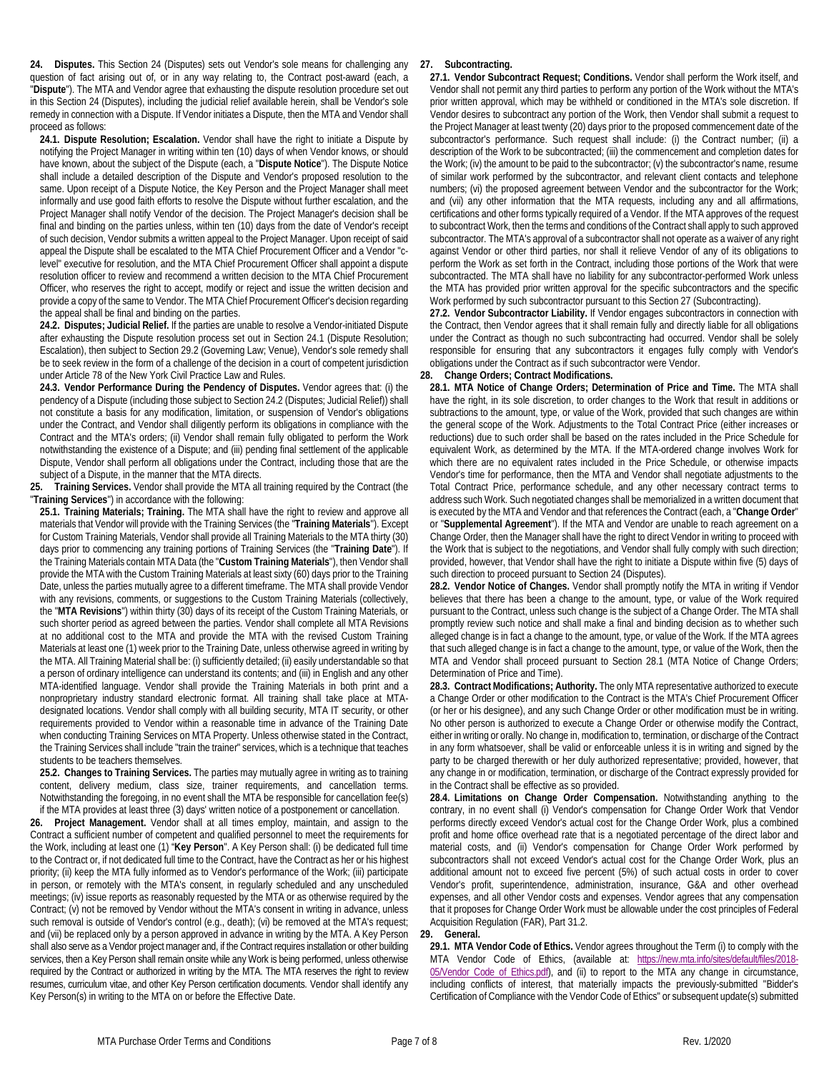<span id="page-6-0"></span>**24. Disputes.** This Sectio[n 24](#page-6-0) (Disputes) sets out Vendor's sole means for challenging any question of fact arising out of, or in any way relating to, the Contract post-award (each, a "**Dispute**"). The MTA and Vendor agree that exhausting the dispute resolution procedure set out in this Section [24](#page-6-0) (Disputes), including the judicial relief available herein, shall be Vendor's sole remedy in connection with a Dispute. If Vendor initiates a Dispute, then the MTA and Vendor shall proceed as follows:

<span id="page-6-3"></span>**24.1. Dispute Resolution; Escalation.** Vendor shall have the right to initiate a Dispute by notifying the Project Manager in writing within ten (10) days of when Vendor knows, or should have known, about the subject of the Dispute (each, a "**Dispute Notice**"). The Dispute Notice shall include a detailed description of the Dispute and Vendor's proposed resolution to the same. Upon receipt of a Dispute Notice, the Key Person and the Project Manager shall meet informally and use good faith efforts to resolve the Dispute without further escalation, and the Project Manager shall notify Vendor of the decision. The Project Manager's decision shall be final and binding on the parties unless, within ten (10) days from the date of Vendor's receipt of such decision, Vendor submits a written appeal to the Project Manager. Upon receipt of said appeal the Dispute shall be escalated to the MTA Chief Procurement Officer and a Vendor "clevel" executive for resolution, and the MTA Chief Procurement Officer shall appoint a dispute resolution officer to review and recommend a written decision to the MTA Chief Procurement Officer, who reserves the right to accept, modify or reject and issue the written decision and provide a copy of the same to Vendor. The MTA Chief Procurement Officer's decision regarding the appeal shall be final and binding on the parties.

<span id="page-6-4"></span>**24.2. Disputes; Judicial Relief.** If the parties are unable to resolve a Vendor-initiated Dispute after exhausting the Dispute resolution process set out in Sectio[n 24.1](#page-6-3) (Dispute Resolution; Escalation), then subject to Sectio[n 29.2](#page-7-1) (Governing Law; Venue), Vendor's sole remedy shall be to seek review in the form of a challenge of the decision in a court of competent jurisdiction under Article 78 of the New York Civil Practice Law and Rules.

**24.3. Vendor Performance During the Pendency of Disputes.** Vendor agrees that: (i) the pendency of a Dispute (including those subject to Sectio[n 24.2](#page-6-4) (Disputes; Judicial Relief)) shall not constitute a basis for any modification, limitation, or suspension of Vendor's obligations under the Contract, and Vendor shall diligently perform its obligations in compliance with the Contract and the MTA's orders; (ii) Vendor shall remain fully obligated to perform the Work notwithstanding the existence of a Dispute; and (iii) pending final settlement of the applicable Dispute, Vendor shall perform all obligations under the Contract, including those that are the subject of a Dispute, in the manner that the MTA directs.

**25. Training Services.** Vendor shall provide the MTA all training required by the Contract (the "**Training Services**") in accordance with the following:

**25.1. Training Materials; Training.** The MTA shall have the right to review and approve all materials that Vendor will provide with the Training Services (the "**Training Materials**"). Except for Custom Training Materials, Vendor shall provide all Training Materials to the MTA thirty (30) days prior to commencing any training portions of Training Services (the "**Training Date**"). If the Training Materials contain MTA Data (the "**Custom Training Materials**"), then Vendor shall provide the MTA with the Custom Training Materials at least sixty (60) days prior to the Training Date, unless the parties mutually agree to a different timeframe. The MTA shall provide Vendor with any revisions, comments, or suggestions to the Custom Training Materials (collectively, the "**MTA Revisions**") within thirty (30) days of its receipt of the Custom Training Materials, or such shorter period as agreed between the parties. Vendor shall complete all MTA Revisions at no additional cost to the MTA and provide the MTA with the revised Custom Training Materials at least one (1) week prior to the Training Date, unless otherwise agreed in writing by the MTA. All Training Material shall be: (i) sufficiently detailed; (ii) easily understandable so that a person of ordinary intelligence can understand its contents; and (iii) in English and any other MTA-identified language. Vendor shall provide the Training Materials in both print and a nonproprietary industry standard electronic format. All training shall take place at MTAdesignated locations. Vendor shall comply with all building security, MTA IT security, or other requirements provided to Vendor within a reasonable time in advance of the Training Date when conducting Training Services on MTA Property. Unless otherwise stated in the Contract, the Training Services shall include "train the trainer" services, which is a technique that teaches students to be teachers themselves.

**25.2. Changes to Training Services.** The parties may mutually agree in writing as to training content, delivery medium, class size, trainer requirements, and cancellation terms. Notwithstanding the foregoing, in no event shall the MTA be responsible for cancellation fee(s) if the MTA provides at least three (3) days' written notice of a postponement or cancellation.

**26. Project Management.** Vendor shall at all times employ, maintain, and assign to the Contract a sufficient number of competent and qualified personnel to meet the requirements for the Work, including at least one (1) "**Key Person**". A Key Person shall: (i) be dedicated full time to the Contract or, if not dedicated full time to the Contract, have the Contract as her or his highest priority; (ii) keep the MTA fully informed as to Vendor's performance of the Work; (iii) participate in person, or remotely with the MTA's consent, in regularly scheduled and any unscheduled meetings; (iv) issue reports as reasonably requested by the MTA or as otherwise required by the Contract; (v) not be removed by Vendor without the MTA's consent in writing in advance, unless such removal is outside of Vendor's control (e.g., death); (vi) be removed at the MTA's request; and (vii) be replaced only by a person approved in advance in writing by the MTA. A Key Person shall also serve as a Vendor project manager and, if the Contract requires installation or other building services, then a Key Person shall remain onsite while any Work is being performed, unless otherwise required by the Contract or authorized in writing by the MTA. The MTA reserves the right to review resumes, curriculum vitae, and other Key Person certification documents. Vendor shall identify any Key Person(s) in writing to the MTA on or before the Effective Date.

## <span id="page-6-5"></span>**27. Subcontracting.**

**27.1. Vendor Subcontract Request; Conditions.** Vendor shall perform the Work itself, and Vendor shall not permit any third parties to perform any portion of the Work without the MTA's prior written approval, which may be withheld or conditioned in the MTA's sole discretion. If Vendor desires to subcontract any portion of the Work, then Vendor shall submit a request to the Project Manager at least twenty (20) days prior to the proposed commencement date of the subcontractor's performance. Such request shall include: (i) the Contract number; (ii) a description of the Work to be subcontracted; (iii) the commencement and completion dates for the Work; (iv) the amount to be paid to the subcontractor; (v) the subcontractor's name, resume of similar work performed by the subcontractor, and relevant client contacts and telephone numbers; (vi) the proposed agreement between Vendor and the subcontractor for the Work; and (vii) any other information that the MTA requests, including any and all affirmations, certifications and other forms typically required of a Vendor. If the MTA approves of the request to subcontract Work, then the terms and conditions of the Contract shall apply to such approved subcontractor. The MTA's approval of a subcontractor shall not operate as a waiver of any right against Vendor or other third parties, nor shall it relieve Vendor of any of its obligations to perform the Work as set forth in the Contract, including those portions of the Work that were subcontracted. The MTA shall have no liability for any subcontractor-performed Work unless the MTA has provided prior written approval for the specific subcontractors and the specific Work performed by such subcontractor pursuant to this Sectio[n 27](#page-6-5) (Subcontracting).

**27.2. Vendor Subcontractor Liability.** If Vendor engages subcontractors in connection with the Contract, then Vendor agrees that it shall remain fully and directly liable for all obligations under the Contract as though no such subcontracting had occurred. Vendor shall be solely responsible for ensuring that any subcontractors it engages fully comply with Vendor's obligations under the Contract as if such subcontractor were Vendor.

## <span id="page-6-2"></span>**28. Change Orders; Contract Modifications.**

<span id="page-6-6"></span>**28.1. MTA Notice of Change Orders; Determination of Price and Time.** The MTA shall have the right, in its sole discretion, to order changes to the Work that result in additions or subtractions to the amount, type, or value of the Work, provided that such changes are within the general scope of the Work. Adjustments to the Total Contract Price (either increases or reductions) due to such order shall be based on the rates included in the Price Schedule for equivalent Work, as determined by the MTA. If the MTA-ordered change involves Work for which there are no equivalent rates included in the Price Schedule, or otherwise impacts Vendor's time for performance, then the MTA and Vendor shall negotiate adjustments to the Total Contract Price, performance schedule, and any other necessary contract terms to address such Work. Such negotiated changes shall be memorialized in a written document that is executed by the MTA and Vendor and that references the Contract (each, a "**Change Order**" or "**Supplemental Agreement**"). If the MTA and Vendor are unable to reach agreement on a Change Order, then the Manager shall have the right to direct Vendor in writing to proceed with the Work that is subject to the negotiations, and Vendor shall fully comply with such direction; provided, however, that Vendor shall have the right to initiate a Dispute within five (5) days of such direction to proceed pursuant to Sectio[n 24](#page-6-0) (Disputes).

**28.2. Vendor Notice of Changes.** Vendor shall promptly notify the MTA in writing if Vendor believes that there has been a change to the amount, type, or value of the Work required pursuant to the Contract, unless such change is the subject of a Change Order. The MTA shall promptly review such notice and shall make a final and binding decision as to whether such alleged change is in fact a change to the amount, type, or value of the Work. If the MTA agrees that such alleged change is in fact a change to the amount, type, or value of the Work, then the MTA and Vendor shall proceed pursuant to Section [28.1](#page-6-6) (MTA Notice of Change Orders; Determination of Price and Time).

**28.3. Contract Modifications; Authority.** The only MTA representative authorized to execute a Change Order or other modification to the Contract is the MTA's Chief Procurement Officer (or her or his designee), and any such Change Order or other modification must be in writing. No other person is authorized to execute a Change Order or otherwise modify the Contract, either in writing or orally. No change in, modification to, termination, or discharge of the Contract in any form whatsoever, shall be valid or enforceable unless it is in writing and signed by the party to be charged therewith or her duly authorized representative; provided, however, that any change in or modification, termination, or discharge of the Contract expressly provided for in the Contract shall be effective as so provided.

**28.4. Limitations on Change Order Compensation.** Notwithstanding anything to the contrary, in no event shall (i) Vendor's compensation for Change Order Work that Vendor performs directly exceed Vendor's actual cost for the Change Order Work, plus a combined profit and home office overhead rate that is a negotiated percentage of the direct labor and material costs, and (ii) Vendor's compensation for Change Order Work performed by subcontractors shall not exceed Vendor's actual cost for the Change Order Work, plus an additional amount not to exceed five percent (5%) of such actual costs in order to cover Vendor's profit, superintendence, administration, insurance, G&A and other overhead expenses, and all other Vendor costs and expenses. Vendor agrees that any compensation that it proposes for Change Order Work must be allowable under the cost principles of Federal Acquisition Regulation (FAR), Part 31.2.

#### <span id="page-6-1"></span>**29. General.**

**29.1. MTA Vendor Code of Ethics.** Vendor agrees throughout the Term (i) to comply with the MTA Vendor Code of Ethics, (available at: [https://new.mta.info/sites/default/files/2018-](https://new.mta.info/sites/default/files/2018-05/Vendor_Code_of_Ethics.pdf) [05/Vendor\\_Code\\_of\\_Ethics.pdf\)](https://new.mta.info/sites/default/files/2018-05/Vendor_Code_of_Ethics.pdf), and (ii) to report to the MTA any change in circumstance, including conflicts of interest, that materially impacts the previously-submitted "Bidder's Certification of Compliance with the Vendor Code of Ethics" or subsequent update(s) submitted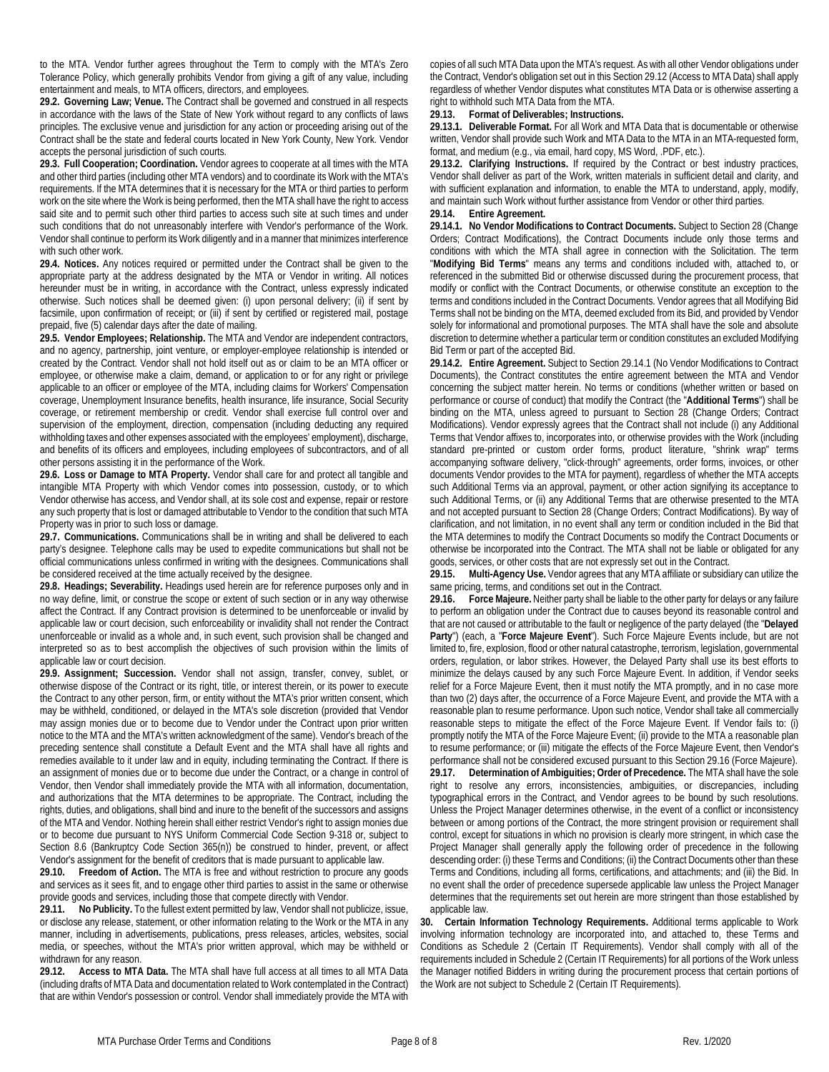to the MTA. Vendor further agrees throughout the Term to comply with the MTA's Zero Tolerance Policy, which generally prohibits Vendor from giving a gift of any value, including entertainment and meals, to MTA officers, directors, and employees.

<span id="page-7-1"></span>**29.2. Governing Law; Venue.** The Contract shall be governed and construed in all respects in accordance with the laws of the State of New York without regard to any conflicts of laws principles. The exclusive venue and jurisdiction for any action or proceeding arising out of the Contract shall be the state and federal courts located in New York County, New York. Vendor accepts the personal jurisdiction of such courts.

**29.3. Full Cooperation; Coordination.** Vendor agrees to cooperate at all times with the MTA and other third parties (including other MTA vendors) and to coordinate its Work with the MTA's requirements. If the MTA determines that it is necessary for the MTA or third parties to perform work on the site where the Work is being performed, then the MTA shall have the right to access said site and to permit such other third parties to access such site at such times and under such conditions that do not unreasonably interfere with Vendor's performance of the Work. Vendor shall continue to perform its Work diligently and in a manner that minimizes interference with such other work.

**29.4. Notices.** Any notices required or permitted under the Contract shall be given to the appropriate party at the address designated by the MTA or Vendor in writing. All notices hereunder must be in writing, in accordance with the Contract, unless expressly indicated otherwise. Such notices shall be deemed given: (i) upon personal delivery; (ii) if sent by facsimile, upon confirmation of receipt; or (iii) if sent by certified or registered mail, postage prepaid, five (5) calendar days after the date of mailing.

**29.5. Vendor Employees; Relationship.** The MTA and Vendor are independent contractors, and no agency, partnership, joint venture, or employer-employee relationship is intended or created by the Contract. Vendor shall not hold itself out as or claim to be an MTA officer or employee, or otherwise make a claim, demand, or application to or for any right or privilege applicable to an officer or employee of the MTA, including claims for Workers' Compensation coverage, Unemployment Insurance benefits, health insurance, life insurance, Social Security coverage, or retirement membership or credit. Vendor shall exercise full control over and supervision of the employment, direction, compensation (including deducting any required withholding taxes and other expenses associated with the employees' employment), discharge, and benefits of its officers and employees, including employees of subcontractors, and of all other persons assisting it in the performance of the Work.

**29.6. Loss or Damage to MTA Property.** Vendor shall care for and protect all tangible and intangible MTA Property with which Vendor comes into possession, custody, or to which Vendor otherwise has access, and Vendor shall, at its sole cost and expense, repair or restore any such property that is lost or damaged attributable to Vendor to the condition that such MTA Property was in prior to such loss or damage.

**29.7. Communications.** Communications shall be in writing and shall be delivered to each party's designee. Telephone calls may be used to expedite communications but shall not be official communications unless confirmed in writing with the designees. Communications shall be considered received at the time actually received by the designee.

**29.8. Headings; Severability.** Headings used herein are for reference purposes only and in no way define, limit, or construe the scope or extent of such section or in any way otherwise affect the Contract. If any Contract provision is determined to be unenforceable or invalid by applicable law or court decision, such enforceability or invalidity shall not render the Contract unenforceable or invalid as a whole and, in such event, such provision shall be changed and interpreted so as to best accomplish the objectives of such provision within the limits of applicable law or court decision.

**29.9. Assignment; Succession.** Vendor shall not assign, transfer, convey, sublet, or otherwise dispose of the Contract or its right, title, or interest therein, or its power to execute the Contract to any other person, firm, or entity without the MTA's prior written consent, which may be withheld, conditioned, or delayed in the MTA's sole discretion (provided that Vendor may assign monies due or to become due to Vendor under the Contract upon prior written notice to the MTA and the MTA's written acknowledgment of the same). Vendor's breach of the preceding sentence shall constitute a Default Event and the MTA shall have all rights and remedies available to it under law and in equity, including terminating the Contract. If there is an assignment of monies due or to become due under the Contract, or a change in control of Vendor, then Vendor shall immediately provide the MTA with all information, documentation, and authorizations that the MTA determines to be appropriate. The Contract, including the rights, duties, and obligations, shall bind and inure to the benefit of the successors and assigns of the MTA and Vendor. Nothing herein shall either restrict Vendor's right to assign monies due or to become due pursuant to NYS Uniform Commercial Code Section 9-318 or, subject to Section [8.6](#page-2-3) (Bankruptcy Code Section 365(n)) be construed to hinder, prevent, or affect Vendor's assignment for the benefit of creditors that is made pursuant to applicable law.

**29.10. Freedom of Action.** The MTA is free and without restriction to procure any goods and services as it sees fit, and to engage other third parties to assist in the same or otherwise provide goods and services, including those that compete directly with Vendor.

**29.11. No Publicity.** To the fullest extent permitted by law, Vendor shall not publicize, issue, or disclose any release, statement, or other information relating to the Work or the MTA in any manner, including in advertisements, publications, press releases, articles, websites, social media, or speeches, without the MTA's prior written approval, which may be withheld or withdrawn for any reason.

<span id="page-7-2"></span>**29.12. Access to MTA Data.** The MTA shall have full access at all times to all MTA Data (including drafts of MTA Data and documentation related to Work contemplated in the Contract) that are within Vendor's possession or control. Vendor shall immediately provide the MTA with copies of all such MTA Data upon the MTA's request. As with all other Vendor obligations under the Contract, Vendor's obligation set out in this Sectio[n 29.12](#page-7-2) (Access to MTA Data) shall apply regardless of whether Vendor disputes what constitutes MTA Data or is otherwise asserting a right to withhold such MTA Data from the MTA.

## **29.13. Format of Deliverables; Instructions.**

**29.13.1. Deliverable Format.** For all Work and MTA Data that is documentable or otherwise written, Vendor shall provide such Work and MTA Data to the MTA in an MTA-requested form, format, and medium (e.g., via email, hard copy, MS Word, .PDF, etc.).

**29.13.2. Clarifying Instructions.** If required by the Contract or best industry practices, Vendor shall deliver as part of the Work, written materials in sufficient detail and clarity, and with sufficient explanation and information, to enable the MTA to understand, apply, modify, and maintain such Work without further assistance from Vendor or other third parties. **29.14. Entire Agreement.**

<span id="page-7-3"></span>**29.14.1. No Vendor Modifications to Contract Documents.** Subject to Sectio[n 28](#page-6-2) (Change Orders; Contract Modifications), the Contract Documents include only those terms and conditions with which the MTA shall agree in connection with the Solicitation. The term "**Modifying Bid Terms**" means any terms and conditions included with, attached to, or referenced in the submitted Bid or otherwise discussed during the procurement process, that modify or conflict with the Contract Documents, or otherwise constitute an exception to the terms and conditions included in the Contract Documents. Vendor agrees that all Modifying Bid Terms shall not be binding on the MTA, deemed excluded from its Bid, and provided by Vendor solely for informational and promotional purposes. The MTA shall have the sole and absolute discretion to determine whether a particular term or condition constitutes an excluded Modifying Bid Term or part of the accepted Bid.

**29.14.2. Entire Agreement.** Subject to Sectio[n 29.14.1](#page-7-3) (No Vendor Modifications to Contract Documents), the Contract constitutes the entire agreement between the MTA and Vendor concerning the subject matter herein. No terms or conditions (whether written or based on performance or course of conduct) that modify the Contract (the "**Additional Terms**") shall be binding on the MTA, unless agreed to pursuant to Section [28](#page-6-2) (Change Orders; Contract Modifications). Vendor expressly agrees that the Contract shall not include (i) any Additional Terms that Vendor affixes to, incorporates into, or otherwise provides with the Work (including standard pre-printed or custom order forms, product literature, "shrink wrap" terms accompanying software delivery, "click-through" agreements, order forms, invoices, or other documents Vendor provides to the MTA for payment), regardless of whether the MTA accepts such Additional Terms via an approval, payment, or other action signifying its acceptance to such Additional Terms, or (ii) any Additional Terms that are otherwise presented to the MTA and not accepted pursuant to Sectio[n 28](#page-6-2) (Change Orders; Contract Modifications). By way of clarification, and not limitation, in no event shall any term or condition included in the Bid that the MTA determines to modify the Contract Documents so modify the Contract Documents or otherwise be incorporated into the Contract. The MTA shall not be liable or obligated for any goods, services, or other costs that are not expressly set out in the Contract.

**29.15. Multi-Agency Use.** Vendor agrees that any MTA affiliate or subsidiary can utilize the same pricing, terms, and conditions set out in the Contract.

<span id="page-7-0"></span>**29.16. Force Majeure.** Neither party shall be liable to the other party for delays or any failure to perform an obligation under the Contract due to causes beyond its reasonable control and that are not caused or attributable to the fault or negligence of the party delayed (the "**Delayed Party**") (each, a "**Force Majeure Event**"). Such Force Majeure Events include, but are not limited to, fire, explosion, flood or other natural catastrophe, terrorism, legislation, governmental orders, regulation, or labor strikes. However, the Delayed Party shall use its best efforts to minimize the delays caused by any such Force Majeure Event. In addition, if Vendor seeks relief for a Force Majeure Event, then it must notify the MTA promptly, and in no case more than two (2) days after, the occurrence of a Force Majeure Event, and provide the MTA with a reasonable plan to resume performance. Upon such notice, Vendor shall take all commercially reasonable steps to mitigate the effect of the Force Majeure Event. If Vendor fails to: (i) promptly notify the MTA of the Force Majeure Event; (ii) provide to the MTA a reasonable plan to resume performance; or (iii) mitigate the effects of the Force Majeure Event, then Vendor's performance shall not be considered excused pursuant to this Section [29.16](#page-7-0) (Force Majeure). **29.17. Determination of Ambiguities; Order of Precedence.** The MTA shall have the sole right to resolve any errors, inconsistencies, ambiguities, or discrepancies, including typographical errors in the Contract, and Vendor agrees to be bound by such resolutions. Unless the Project Manager determines otherwise, in the event of a conflict or inconsistency between or among portions of the Contract, the more stringent provision or requirement shall control, except for situations in which no provision is clearly more stringent, in which case the Project Manager shall generally apply the following order of precedence in the following descending order: (i) these Terms and Conditions; (ii) the Contract Documents other than these Terms and Conditions, including all forms, certifications, and attachments; and (iii) the Bid. In no event shall the order of precedence supersede applicable law unless the Project Manager determines that the requirements set out herein are more stringent than those established by applicable law.

**30. Certain Information Technology Requirements.** Additional terms applicable to Work involving information technology are incorporated into, and attached to, these Terms and Conditions as Schedule 2 (Certain IT Requirements). Vendor shall comply with all of the requirements included in Schedule 2 (Certain IT Requirements) for all portions of the Work unless the Manager notified Bidders in writing during the procurement process that certain portions of the Work are not subject to Schedule 2 (Certain IT Requirements).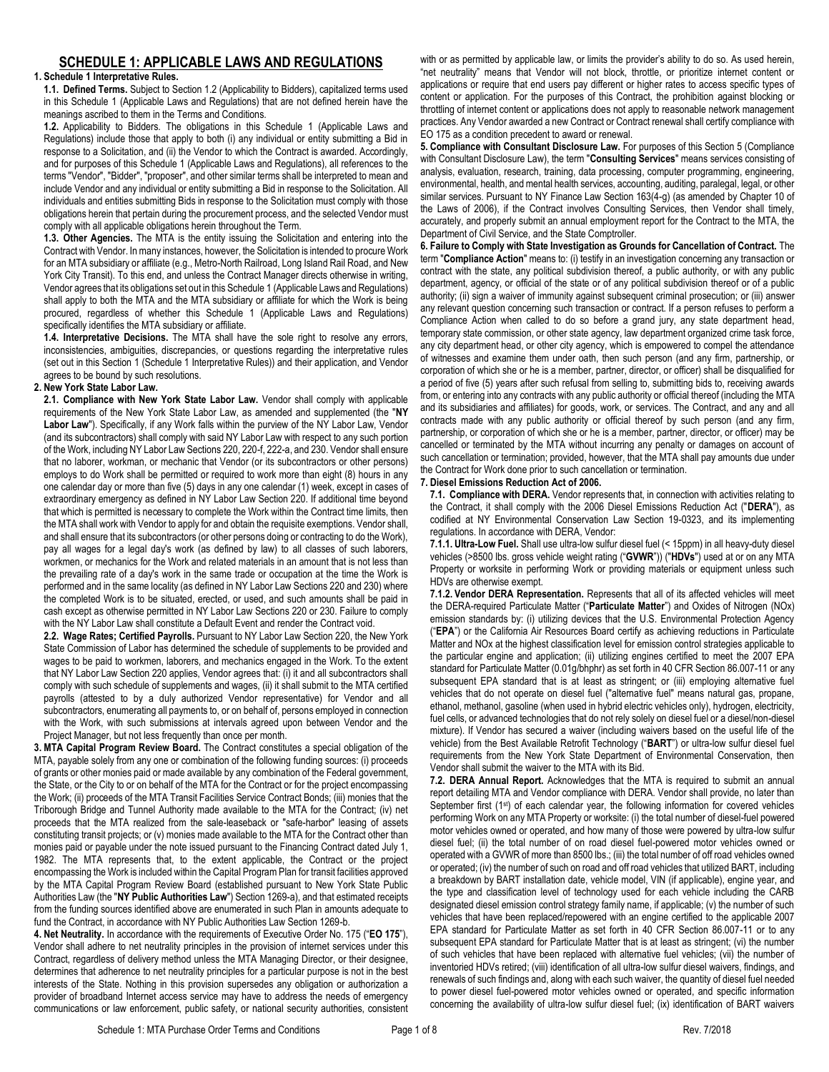# **SCHEDULE 1: APPLICABLE LAWS AND REGULATIONS**

## <span id="page-8-1"></span>**1. Schedule 1 Interpretative Rules.**

**1.1. Defined Terms.** Subject to Sectio[n 1.2](#page-8-0) (Applicability to Bidders), capitalized terms used in this Schedul[e 1](#page-8-1) (Applicable Laws and Regulations) that are not defined herein have the meanings ascribed to them in the Terms and Conditions.

<span id="page-8-0"></span>**1.2.** Applicability to Bidders. The obligations in this Schedule [1](#page-8-1) (Applicable Laws and Regulations) include those that apply to both (i) any individual or entity submitting a Bid in response to a Solicitation, and (ii) the Vendor to which the Contract is awarded. Accordingly, and for purposes of this Schedul[e 1](#page-8-1) (Applicable Laws and Regulations), all references to the terms "Vendor", "Bidder", "proposer", and other similar terms shall be interpreted to mean and include Vendor and any individual or entity submitting a Bid in response to the Solicitation. All individuals and entities submitting Bids in response to the Solicitation must comply with those obligations herein that pertain during the procurement process, and the selected Vendor must comply with all applicable obligations herein throughout the Term.

**1.3. Other Agencies.** The MTA is the entity issuing the Solicitation and entering into the Contract with Vendor. In many instances, however, the Solicitation is intended to procure Work for an MTA subsidiary or affiliate (e.g., Metro-North Railroad, Long Island Rail Road, and New York City Transit). To this end, and unless the Contract Manager directs otherwise in writing, Vendor agrees that its obligations set out in this Schedul[e 1](#page-8-1) (Applicable Laws and Regulations) shall apply to both the MTA and the MTA subsidiary or affiliate for which the Work is being procured, regardless of whether this Schedule [1](#page-8-1) (Applicable Laws and Regulations) specifically identifies the MTA subsidiary or affiliate.

**1.4. Interpretative Decisions.** The MTA shall have the sole right to resolve any errors, inconsistencies, ambiguities, discrepancies, or questions regarding the interpretative rules (set out in this Sectio[n 1](#page-8-1) (Schedule 1 Interpretative Rules)) and their application, and Vendor agrees to be bound by such resolutions.

## **2. New York State Labor Law.**

**2.1. Compliance with New York State Labor Law.** Vendor shall comply with applicable requirements of the New York State Labor Law, as amended and supplemented (the "**NY**  Labor Law"). Specifically, if any Work falls within the purview of the NY Labor Law, Vendor (and its subcontractors) shall comply with said NY Labor Law with respect to any such portion of the Work, including NY Labor Law Sections 220, 220-f, 222-a, and 230. Vendor shall ensure that no laborer, workman, or mechanic that Vendor (or its subcontractors or other persons) employs to do Work shall be permitted or required to work more than eight (8) hours in any one calendar day or more than five (5) days in any one calendar (1) week, except in cases of extraordinary emergency as defined in NY Labor Law Section 220. If additional time beyond that which is permitted is necessary to complete the Work within the Contract time limits, then the MTA shall work with Vendor to apply for and obtain the requisite exemptions. Vendor shall, and shall ensure that its subcontractors (or other persons doing or contracting to do the Work), pay all wages for a legal day's work (as defined by law) to all classes of such laborers, workmen, or mechanics for the Work and related materials in an amount that is not less than the prevailing rate of a day's work in the same trade or occupation at the time the Work is performed and in the same locality (as defined in NY Labor Law Sections 220 and 230) where the completed Work is to be situated, erected, or used, and such amounts shall be paid in cash except as otherwise permitted in NY Labor Law Sections 220 or 230. Failure to comply with the NY Labor Law shall constitute a Default Event and render the Contract void.

**2.2. Wage Rates; Certified Payrolls.** Pursuant to NY Labor Law Section 220, the New York State Commission of Labor has determined the schedule of supplements to be provided and wages to be paid to workmen, laborers, and mechanics engaged in the Work. To the extent that NY Labor Law Section 220 applies, Vendor agrees that: (i) it and all subcontractors shall comply with such schedule of supplements and wages, (ii) it shall submit to the MTA certified payrolls (attested to by a duly authorized Vendor representative) for Vendor and all subcontractors, enumerating all payments to, or on behalf of, persons employed in connection with the Work, with such submissions at intervals agreed upon between Vendor and the Project Manager, but not less frequently than once per month.

**3. MTA Capital Program Review Board.** The Contract constitutes a special obligation of the MTA, payable solely from any one or combination of the following funding sources: (i) proceeds of grants or other monies paid or made available by any combination of the Federal government, the State, or the City to or on behalf of the MTA for the Contract or for the project encompassing the Work; (ii) proceeds of the MTA Transit Facilities Service Contract Bonds; (iii) monies that the Triborough Bridge and Tunnel Authority made available to the MTA for the Contract; (iv) net proceeds that the MTA realized from the sale-leaseback or "safe-harbor" leasing of assets constituting transit projects; or (v) monies made available to the MTA for the Contract other than monies paid or payable under the note issued pursuant to the Financing Contract dated July 1, 1982. The MTA represents that, to the extent applicable, the Contract or the project encompassing the Work is included within the Capital Program Plan for transit facilities approved by the MTA Capital Program Review Board (established pursuant to New York State Public Authorities Law (the "**NY Public Authorities Law**") Section 1269-a), and that estimated receipts from the funding sources identified above are enumerated in such Plan in amounts adequate to fund the Contract, in accordance with NY Public Authorities Law Section 1269-b.

**4. Net Neutrality.** In accordance with the requirements of Executive Order No. 175 ("**EO 175**"), Vendor shall adhere to net neutrality principles in the provision of internet services under this Contract, regardless of delivery method unless the MTA Managing Director, or their designee, determines that adherence to net neutrality principles for a particular purpose is not in the best interests of the State. Nothing in this provision supersedes any obligation or authorization a provider of broadband Internet access service may have to address the needs of emergency communications or law enforcement, public safety, or national security authorities, consistent

with or as permitted by applicable law, or limits the provider's ability to do so. As used herein, "net neutrality" means that Vendor will not block, throttle, or prioritize internet content or applications or require that end users pay different or higher rates to access specific types of content or application. For the purposes of this Contract, the prohibition against blocking or throttling of internet content or applications does not apply to reasonable network management practices. Any Vendor awarded a new Contract or Contract renewal shall certify compliance with EO 175 as a condition precedent to award or renewal.

**5. Compliance with Consultant Disclosure Law.** For purposes of this Section 5 (Compliance with Consultant Disclosure Law), the term "**Consulting Services**" means services consisting of analysis, evaluation, research, training, data processing, computer programming, engineering, environmental, health, and mental health services, accounting, auditing, paralegal, legal, or other similar services. Pursuant to NY Finance Law Section 163(4-g) (as amended by Chapter 10 of the Laws of 2006), if the Contract involves Consulting Services, then Vendor shall timely, accurately, and properly submit an annual employment report for the Contract to the MTA, the Department of Civil Service, and the State Comptroller.

**6. Failure to Comply with State Investigation as Grounds for Cancellation of Contract.** The term "**Compliance Action**" means to: (i) testify in an investigation concerning any transaction or contract with the state, any political subdivision thereof, a public authority, or with any public department, agency, or official of the state or of any political subdivision thereof or of a public authority; (ii) sign a waiver of immunity against subsequent criminal prosecution; or (iii) answer any relevant question concerning such transaction or contract. If a person refuses to perform a Compliance Action when called to do so before a grand jury, any state department head, temporary state commission, or other state agency, law department organized crime task force, any city department head, or other city agency, which is empowered to compel the attendance of witnesses and examine them under oath, then such person (and any firm, partnership, or corporation of which she or he is a member, partner, director, or officer) shall be disqualified for a period of five (5) years after such refusal from selling to, submitting bids to, receiving awards from, or entering into any contracts with any public authority or official thereof (including the MTA and its subsidiaries and affiliates) for goods, work, or services. The Contract, and any and all contracts made with any public authority or official thereof by such person (and any firm, partnership, or corporation of which she or he is a member, partner, director, or officer) may be cancelled or terminated by the MTA without incurring any penalty or damages on account of such cancellation or termination; provided, however, that the MTA shall pay amounts due under the Contract for Work done prior to such cancellation or termination.

## **7. Diesel Emissions Reduction Act of 2006.**

**7.1. Compliance with DERA.** Vendor represents that, in connection with activities relating to the Contract, it shall comply with the 2006 Diesel Emissions Reduction Act ("**DERA**"), as codified at NY Environmental Conservation Law Section 19-0323, and its implementing regulations. In accordance with DERA, Vendor:

**7.1.1. Ultra-Low Fuel.** Shall use ultra-low sulfur diesel fuel (< 15ppm) in all heavy-duty diesel vehicles (>8500 lbs. gross vehicle weight rating ("**GVWR**")) ("**HDVs**") used at or on any MTA Property or worksite in performing Work or providing materials or equipment unless such HDVs are otherwise exempt.

**7.1.2. Vendor DERA Representation.** Represents that all of its affected vehicles will meet the DERA-required Particulate Matter ("**Particulate Matter**") and Oxides of Nitrogen (NOx) emission standards by: (i) utilizing devices that the U.S. Environmental Protection Agency ("**EPA**") or the California Air Resources Board certify as achieving reductions in Particulate Matter and NOx at the highest classification level for emission control strategies applicable to the particular engine and application; (ii) utilizing engines certified to meet the 2007 EPA standard for Particulate Matter (0.01g/bhphr) as set forth in 40 CFR Section 86.007-11 or any subsequent EPA standard that is at least as stringent; or (iii) employing alternative fuel vehicles that do not operate on diesel fuel ("alternative fuel" means natural gas, propane, ethanol, methanol, gasoline (when used in hybrid electric vehicles only), hydrogen, electricity, fuel cells, or advanced technologies that do not rely solely on diesel fuel or a diesel/non-diesel mixture). If Vendor has secured a waiver (including waivers based on the useful life of the vehicle) from the Best Available Retrofit Technology ("**BART**") or ultra-low sulfur diesel fuel requirements from the New York State Department of Environmental Conservation, then Vendor shall submit the waiver to the MTA with its Bid.

**7.2. DERA Annual Report.** Acknowledges that the MTA is required to submit an annual report detailing MTA and Vendor compliance with DERA. Vendor shall provide, no later than September first (1<sup>st</sup>) of each calendar year, the following information for covered vehicles performing Work on any MTA Property or worksite: (i) the total number of diesel-fuel powered motor vehicles owned or operated, and how many of those were powered by ultra-low sulfur diesel fuel; (ii) the total number of on road diesel fuel-powered motor vehicles owned or operated with a GVWR of more than 8500 lbs.; (iii) the total number of off road vehicles owned or operated; (iv) the number of such on road and off road vehicles that utilized BART, including a breakdown by BART installation date, vehicle model, VIN (if applicable), engine year, and the type and classification level of technology used for each vehicle including the CARB designated diesel emission control strategy family name, if applicable; (v) the number of such vehicles that have been replaced/repowered with an engine certified to the applicable 2007 EPA standard for Particulate Matter as set forth in 40 CFR Section 86.007-11 or to any subsequent EPA standard for Particulate Matter that is at least as stringent; (vi) the number of such vehicles that have been replaced with alternative fuel vehicles; (vii) the number of inventoried HDVs retired; (viii) identification of all ultra-low sulfur diesel waivers, findings, and renewals of such findings and, along with each such waiver, the quantity of diesel fuel needed to power diesel fuel-powered motor vehicles owned or operated, and specific information concerning the availability of ultra-low sulfur diesel fuel; (ix) identification of BART waivers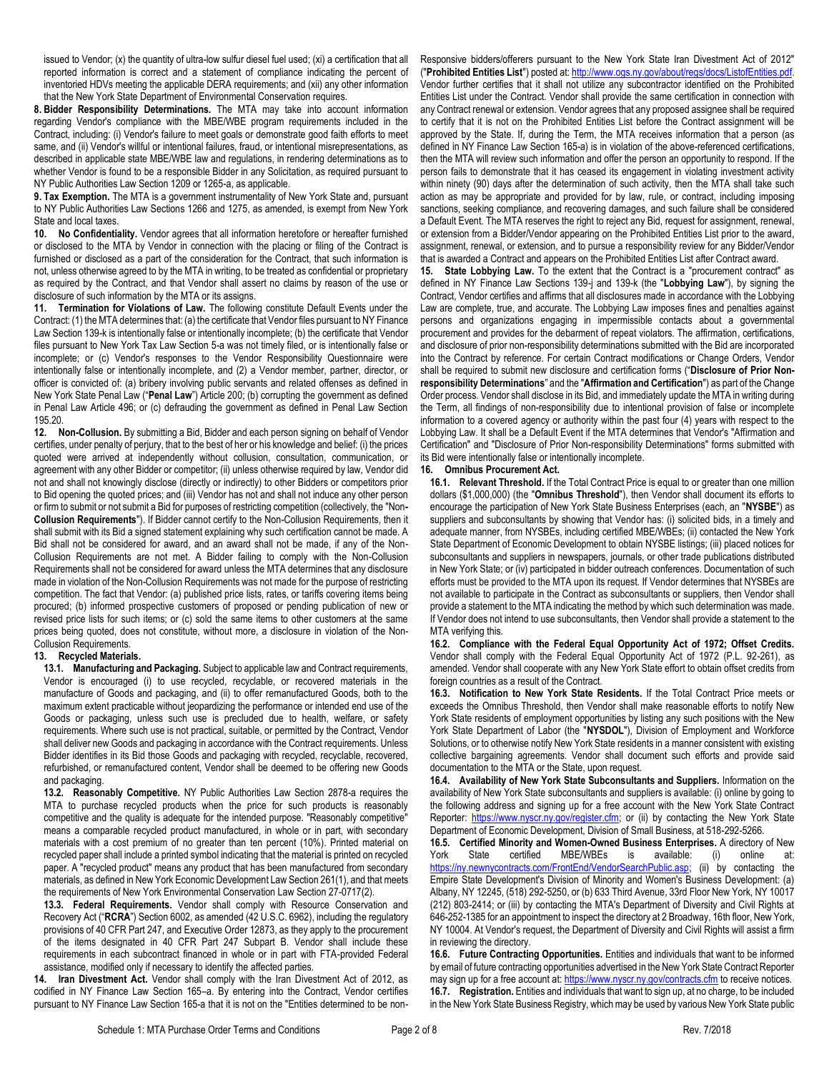issued to Vendor; (x) the quantity of ultra-low sulfur diesel fuel used; (xi) a certification that all reported information is correct and a statement of compliance indicating the percent of inventoried HDVs meeting the applicable DERA requirements; and (xii) any other information that the New York State Department of Environmental Conservation requires.

**8. Bidder Responsibility Determinations.** The MTA may take into account information regarding Vendor's compliance with the MBE/WBE program requirements included in the Contract, including: (i) Vendor's failure to meet goals or demonstrate good faith efforts to meet same, and (ii) Vendor's willful or intentional failures, fraud, or intentional misrepresentations, as described in applicable state MBE/WBE law and regulations, in rendering determinations as to whether Vendor is found to be a responsible Bidder in any Solicitation, as required pursuant to NY Public Authorities Law Section 1209 or 1265-a, as applicable.

**9. Tax Exemption.** The MTA is a government instrumentality of New York State and, pursuant to NY Public Authorities Law Sections 1266 and 1275, as amended, is exempt from New York State and local taxes.

**10. No Confidentiality.** Vendor agrees that all information heretofore or hereafter furnished or disclosed to the MTA by Vendor in connection with the placing or filing of the Contract is furnished or disclosed as a part of the consideration for the Contract, that such information is not, unless otherwise agreed to by the MTA in writing, to be treated as confidential or proprietary as required by the Contract, and that Vendor shall assert no claims by reason of the use or disclosure of such information by the MTA or its assigns.

**11. Termination for Violations of Law.** The following constitute Default Events under the Contract: (1) the MTA determines that: (a) the certificate that Vendor files pursuant to NY Finance Law Section 139-k is intentionally false or intentionally incomplete; (b) the certificate that Vendor files pursuant to New York Tax Law Section 5-a was not timely filed, or is intentionally false or incomplete; or (c) Vendor's responses to the Vendor Responsibility Questionnaire were intentionally false or intentionally incomplete, and (2) a Vendor member, partner, director, or officer is convicted of: (a) bribery involving public servants and related offenses as defined in New York State Penal Law ("**Penal Law**") Article 200; (b) corrupting the government as defined in Penal Law Article 496; or (c) defrauding the government as defined in Penal Law Section 195.20.

**12. Non-Collusion.** By submitting a Bid, Bidder and each person signing on behalf of Vendor certifies, under penalty of perjury, that to the best of her or his knowledge and belief: (i) the prices quoted were arrived at independently without collusion, consultation, communication, or agreement with any other Bidder or competitor; (ii) unless otherwise required by law, Vendor did not and shall not knowingly disclose (directly or indirectly) to other Bidders or competitors prior to Bid opening the quoted prices; and (iii) Vendor has not and shall not induce any other person or firm to submit or not submit a Bid for purposes of restricting competition (collectively, the "Non**-Collusion Requirements**"). If Bidder cannot certify to the Non-Collusion Requirements, then it shall submit with its Bid a signed statement explaining why such certification cannot be made. A Bid shall not be considered for award, and an award shall not be made, if any of the Non-Collusion Requirements are not met. A Bidder failing to comply with the Non-Collusion Requirements shall not be considered for award unless the MTA determines that any disclosure made in violation of the Non-Collusion Requirements was not made for the purpose of restricting competition. The fact that Vendor: (a) published price lists, rates, or tariffs covering items being procured; (b) informed prospective customers of proposed or pending publication of new or revised price lists for such items; or (c) sold the same items to other customers at the same prices being quoted, does not constitute, without more, a disclosure in violation of the Non-Collusion Requirements.

## **13. Recycled Materials.**

**13.1. Manufacturing and Packaging.** Subject to applicable law and Contract requirements, Vendor is encouraged (i) to use recycled, recyclable, or recovered materials in the manufacture of Goods and packaging, and (ii) to offer remanufactured Goods, both to the maximum extent practicable without jeopardizing the performance or intended end use of the Goods or packaging, unless such use is precluded due to health, welfare, or safety requirements. Where such use is not practical, suitable, or permitted by the Contract, Vendor shall deliver new Goods and packaging in accordance with the Contract requirements. Unless Bidder identifies in its Bid those Goods and packaging with recycled, recyclable, recovered, refurbished, or remanufactured content, Vendor shall be deemed to be offering new Goods and packaging.

**13.2. Reasonably Competitive.** NY Public Authorities Law Section 2878-a requires the MTA to purchase recycled products when the price for such products is reasonably competitive and the quality is adequate for the intended purpose. "Reasonably competitive" means a comparable recycled product manufactured, in whole or in part, with secondary materials with a cost premium of no greater than ten percent (10%). Printed material on recycled paper shall include a printed symbol indicating that the material is printed on recycled paper. A "recycled product" means any product that has been manufactured from secondary materials, as defined in New York Economic Development Law Section 261(1), and that meets the requirements of New York Environmental Conservation Law Section 27-0717(2).

**13.3. Federal Requirements.** Vendor shall comply with Resource Conservation and Recovery Act ("**RCRA**") Section 6002, as amended (42 U.S.C. 6962), including the regulatory provisions of 40 CFR Part 247, and Executive Order 12873, as they apply to the procurement of the items designated in 40 CFR Part 247 Subpart B. Vendor shall include these requirements in each subcontract financed in whole or in part with FTA-provided Federal assistance, modified only if necessary to identify the affected parties.

**14. Iran Divestment Act.** Vendor shall comply with the Iran Divestment Act of 2012, as codified in NY Finance Law Section 165–a. By entering into the Contract, Vendor certifies pursuant to NY Finance Law Section 165-a that it is not on the "Entities determined to be non-

Responsive bidders/offerers pursuant to the New York State Iran Divestment Act of 2012" ("**Prohibited Entities List**") posted at[: http://www.ogs.ny.gov/about/regs/docs/ListofEntities.pdf.](http://www.ogs.ny.gov/about/regs/docs/ListofEntities.pdf) Vendor further certifies that it shall not utilize any subcontractor identified on the Prohibited Entities List under the Contract. Vendor shall provide the same certification in connection with any Contract renewal or extension. Vendor agrees that any proposed assignee shall be required to certify that it is not on the Prohibited Entities List before the Contract assignment will be approved by the State. If, during the Term, the MTA receives information that a person (as defined in NY Finance Law Section 165-a) is in violation of the above-referenced certifications, then the MTA will review such information and offer the person an opportunity to respond. If the person fails to demonstrate that it has ceased its engagement in violating investment activity within ninety (90) days after the determination of such activity, then the MTA shall take such action as may be appropriate and provided for by law, rule, or contract, including imposing sanctions, seeking compliance, and recovering damages, and such failure shall be considered a Default Event. The MTA reserves the right to reject any Bid, request for assignment, renewal, or extension from a Bidder/Vendor appearing on the Prohibited Entities List prior to the award, assignment, renewal, or extension, and to pursue a responsibility review for any Bidder/Vendor that is awarded a Contract and appears on the Prohibited Entities List after Contract award.

**15. State Lobbying Law.** To the extent that the Contract is a "procurement contract" as defined in NY Finance Law Sections 139-j and 139-k (the "**Lobbying Law**"), by signing the Contract, Vendor certifies and affirms that all disclosures made in accordance with the Lobbying Law are complete, true, and accurate. The Lobbying Law imposes fines and penalties against persons and organizations engaging in impermissible contacts about a governmental procurement and provides for the debarment of repeat violators. The affirmation, certifications, and disclosure of prior non-responsibility determinations submitted with the Bid are incorporated into the Contract by reference. For certain Contract modifications or Change Orders, Vendor shall be required to submit new disclosure and certification forms ("**Disclosure of Prior Nonresponsibility Determinations**" and the "**Affirmation and Certification**") as part of the Change Order process. Vendor shall disclose in its Bid, and immediately update the MTA in writing during the Term, all findings of non-responsibility due to intentional provision of false or incomplete information to a covered agency or authority within the past four (4) years with respect to the Lobbying Law. It shall be a Default Event if the MTA determines that Vendor's "Affirmation and Certification" and "Disclosure of Prior Non-responsibility Determinations" forms submitted with its Bid were intentionally false or intentionally incomplete.

## **16. Omnibus Procurement Act.**

**16.1. Relevant Threshold.** If the Total Contract Price is equal to or greater than one million dollars (\$1,000,000) (the "**Omnibus Threshold**"), then Vendor shall document its efforts to encourage the participation of New York State Business Enterprises (each, an "**NYSBE**") as suppliers and subconsultants by showing that Vendor has: (i) solicited bids, in a timely and adequate manner, from NYSBEs, including certified MBE/WBEs; (ii) contacted the New York State Department of Economic Development to obtain NYSBE listings; (iii) placed notices for subconsultants and suppliers in newspapers, journals, or other trade publications distributed in New York State; or (iv) participated in bidder outreach conferences. Documentation of such efforts must be provided to the MTA upon its request. If Vendor determines that NYSBEs are not available to participate in the Contract as subconsultants or suppliers, then Vendor shall provide a statement to the MTA indicating the method by which such determination was made. If Vendor does not intend to use subconsultants, then Vendor shall provide a statement to the MTA verifying this.

**16.2. Compliance with the Federal Equal Opportunity Act of 1972; Offset Credits.** Vendor shall comply with the Federal Equal Opportunity Act of 1972 (P.L. 92-261), as amended. Vendor shall cooperate with any New York State effort to obtain offset credits from foreign countries as a result of the Contract.

**16.3. Notification to New York State Residents.** If the Total Contract Price meets or exceeds the Omnibus Threshold, then Vendor shall make reasonable efforts to notify New York State residents of employment opportunities by listing any such positions with the New York State Department of Labor (the "**NYSDOL**"), Division of Employment and Workforce Solutions, or to otherwise notify New York State residents in a manner consistent with existing collective bargaining agreements. Vendor shall document such efforts and provide said documentation to the MTA or the State, upon request.

**16.4. Availability of New York State Subconsultants and Suppliers.** Information on the availability of New York State subconsultants and suppliers is available: (i) online by going to the following address and signing up for a free account with the New York State Contract Reporter: [https://www.nyscr.ny.gov/register.cfm;](https://www.nyscr.ny.gov/register.cfm) or (ii) by contacting the New York State Department of Economic Development, Division of Small Business, at 518-292-5266.

**16.5. Certified Minority and Women-Owned Business Enterprises.** A directory of New York State certified MBE/WBEs is available: (i) online at: [https://ny.newnycontracts.com/FrontEnd/VendorSearchPublic.asp;](https://ny.newnycontracts.com/FrontEnd/VendorSearchPublic.asp) (ii) by contacting the Empire State Development's Division of Minority and Women's Business Development: (a) Albany, NY 12245, (518) 292-5250, or (b) 633 Third Avenue, 33rd Floor New York, NY 10017 (212) 803-2414; or (iii) by contacting the MTA's Department of Diversity and Civil Rights at 646-252-1385 for an appointment to inspect the directory at 2 Broadway, 16th floor, New York, NY 10004. At Vendor's request, the Department of Diversity and Civil Rights will assist a firm in reviewing the directory.

**16.6. Future Contracting Opportunities.** Entities and individuals that want to be informed by email of future contracting opportunities advertised in the New York State Contract Reporter may sign up for a free account at[: https://www.nyscr.ny.gov/contracts.cfm](https://www.nyscr.ny.gov/contracts.cfm) to receive notices. **16.7. Registration.** Entities and individuals that want to sign up, at no charge, to be included in the New York State Business Registry, which may be used by various New York State public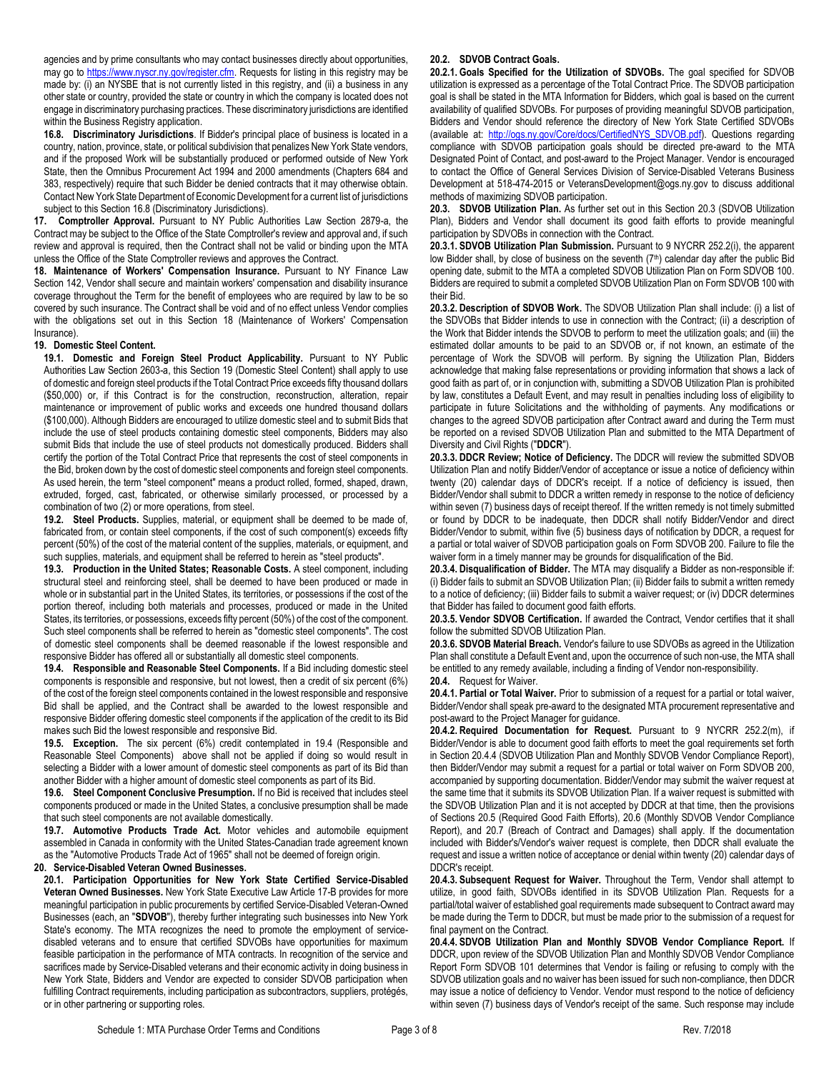agencies and by prime consultants who may contact businesses directly about opportunities, may go t[o https://www.nyscr.ny.gov/register.cfm.](https://www.nyscr.ny.gov/register.cfm) Requests for listing in this registry may be made by: (i) an NYSBE that is not currently listed in this registry, and (ii) a business in any other state or country, provided the state or country in which the company is located does not engage in discriminatory purchasing practices. These discriminatory jurisdictions are identified within the Business Registry application.

<span id="page-10-0"></span>**16.8. Discriminatory Jurisdictions**. If Bidder's principal place of business is located in a country, nation, province, state, or political subdivision that penalizes New York State vendors, and if the proposed Work will be substantially produced or performed outside of New York State, then the Omnibus Procurement Act 1994 and 2000 amendments (Chapters 684 and 383, respectively) require that such Bidder be denied contracts that it may otherwise obtain. Contact New York State Department of Economic Development for a current list of jurisdictions subject to this Sectio[n 16.8](#page-10-0) (Discriminatory Jurisdictions).

**17. Comptroller Approval.** Pursuant to NY Public Authorities Law Section 2879-a, the Contract may be subject to the Office of the State Comptroller's review and approval and, if such review and approval is required, then the Contract shall not be valid or binding upon the MTA unless the Office of the State Comptroller reviews and approves the Contract.

<span id="page-10-1"></span>**18. Maintenance of Workers' Compensation Insurance.** Pursuant to NY Finance Law Section 142, Vendor shall secure and maintain workers' compensation and disability insurance coverage throughout the Term for the benefit of employees who are required by law to be so covered by such insurance. The Contract shall be void and of no effect unless Vendor complies with the obligations set out in this Section [18](#page-10-1) (Maintenance of Workers' Compensation Insurance).

## **19. Domestic Steel Content.**

**19.1. Domestic and Foreign Steel Product Applicability.** Pursuant to NY Public Authorities Law Section 2603-a, this Section 19 (Domestic Steel Content) shall apply to use of domestic and foreign steel products if the Total Contract Price exceeds fifty thousand dollars (\$50,000) or, if this Contract is for the construction, reconstruction, alteration, repair maintenance or improvement of public works and exceeds one hundred thousand dollars (\$100,000). Although Bidders are encouraged to utilize domestic steel and to submit Bids that include the use of steel products containing domestic steel components, Bidders may also submit Bids that include the use of steel products not domestically produced. Bidders shall certify the portion of the Total Contract Price that represents the cost of steel components in the Bid, broken down by the cost of domestic steel components and foreign steel components. As used herein, the term "steel component" means a product rolled, formed, shaped, drawn, extruded, forged, cast, fabricated, or otherwise similarly processed, or processed by a combination of two (2) or more operations, from steel.

**19.2. Steel Products.** Supplies, material, or equipment shall be deemed to be made of, fabricated from, or contain steel components, if the cost of such component(s) exceeds fifty percent (50%) of the cost of the material content of the supplies, materials, or equipment, and such supplies, materials, and equipment shall be referred to herein as "steel products".

**19.3. Production in the United States; Reasonable Costs.** A steel component, including structural steel and reinforcing steel, shall be deemed to have been produced or made in whole or in substantial part in the United States, its territories, or possessions if the cost of the portion thereof, including both materials and processes, produced or made in the United States, its territories, or possessions, exceeds fifty percent (50%) of the cost of the component. Such steel components shall be referred to herein as "domestic steel components". The cost of domestic steel components shall be deemed reasonable if the lowest responsible and responsive Bidder has offered all or substantially all domestic steel components.

**19.4. Responsible and Reasonable Steel Components.** If a Bid including domestic steel components is responsible and responsive, but not lowest, then a credit of six percent (6%) of the cost of the foreign steel components contained in the lowest responsible and responsive Bid shall be applied, and the Contract shall be awarded to the lowest responsible and responsive Bidder offering domestic steel components if the application of the credit to its Bid makes such Bid the lowest responsible and responsive Bid.

**19.5. Exception.** The six percent (6%) credit contemplated in 19.4 (Responsible and Reasonable Steel Components) above shall not be applied if doing so would result in selecting a Bidder with a lower amount of domestic steel components as part of its Bid than another Bidder with a higher amount of domestic steel components as part of its Bid.

**19.6. Steel Component Conclusive Presumption.** If no Bid is received that includes steel components produced or made in the United States, a conclusive presumption shall be made that such steel components are not available domestically.

**19.7. Automotive Products Trade Act.** Motor vehicles and automobile equipment assembled in Canada in conformity with the United States-Canadian trade agreement known as the "Automotive Products Trade Act of 1965" shall not be deemed of foreign origin.

## **20. Service-Disabled Veteran Owned Businesses.**

**20.1. Participation Opportunities for New York State Certified Service-Disabled Veteran Owned Businesses.** New York State Executive Law Article 17-B provides for more meaningful participation in public procurements by certified Service-Disabled Veteran-Owned Businesses (each, an "**SDVOB**"), thereby further integrating such businesses into New York State's economy. The MTA recognizes the need to promote the employment of servicedisabled veterans and to ensure that certified SDVOBs have opportunities for maximum feasible participation in the performance of MTA contracts. In recognition of the service and sacrifices made by Service-Disabled veterans and their economic activity in doing business in New York State, Bidders and Vendor are expected to consider SDVOB participation when fulfilling Contract requirements, including participation as subcontractors, suppliers, protégés, or in other partnering or supporting roles.

#### **20.2. SDVOB Contract Goals.**

**20.2.1. Goals Specified for the Utilization of SDVOBs.** The goal specified for SDVOB utilization is expressed as a percentage of the Total Contract Price. The SDVOB participation goal is shall be stated in the MTA Information for Bidders, which goal is based on the current availability of qualified SDVOBs. For purposes of providing meaningful SDVOB participation, Bidders and Vendor should reference the directory of New York State Certified SDVOBs (available at: [http://ogs.ny.gov/Core/docs/CertifiedNYS\\_SDVOB.pdf\)](http://ogs.ny.gov/Core/docs/CertifiedNYS_SDVOB.pdf). Questions regarding compliance with SDVOB participation goals should be directed pre-award to the MTA Designated Point of Contact, and post-award to the Project Manager. Vendor is encouraged to contact the Office of General Services Division of Service-Disabled Veterans Business Development at 518-474-2015 or VeteransDevelopment@ogs.ny.gov to discuss additional methods of maximizing SDVOB participation.

<span id="page-10-2"></span>**20.3. SDVOB Utilization Plan.** As further set out in this Sectio[n 20.3](#page-10-2) (SDVOB Utilization Plan), Bidders and Vendor shall document its good faith efforts to provide meaningful participation by SDVOBs in connection with the Contract.

**20.3.1. SDVOB Utilization Plan Submission.** Pursuant to 9 NYCRR 252.2(i), the apparent low Bidder shall, by close of business on the seventh (7<sup>th</sup>) calendar day after the public Bid opening date, submit to the MTA a completed SDVOB Utilization Plan on Form SDVOB 100. Bidders are required to submit a completed SDVOB Utilization Plan on Form SDVOB 100 with their Bid.

**20.3.2. Description of SDVOB Work.** The SDVOB Utilization Plan shall include: (i) a list of the SDVOBs that Bidder intends to use in connection with the Contract; (ii) a description of the Work that Bidder intends the SDVOB to perform to meet the utilization goals; and (iii) the estimated dollar amounts to be paid to an SDVOB or, if not known, an estimate of the percentage of Work the SDVOB will perform. By signing the Utilization Plan, Bidders acknowledge that making false representations or providing information that shows a lack of good faith as part of, or in conjunction with, submitting a SDVOB Utilization Plan is prohibited by law, constitutes a Default Event, and may result in penalties including loss of eligibility to participate in future Solicitations and the withholding of payments. Any modifications or changes to the agreed SDVOB participation after Contract award and during the Term must be reported on a revised SDVOB Utilization Plan and submitted to the MTA Department of Diversity and Civil Rights ("**DDCR**").

**20.3.3. DDCR Review; Notice of Deficiency.** The DDCR will review the submitted SDVOB Utilization Plan and notify Bidder/Vendor of acceptance or issue a notice of deficiency within twenty (20) calendar days of DDCR's receipt. If a notice of deficiency is issued, then Bidder/Vendor shall submit to DDCR a written remedy in response to the notice of deficiency within seven (7) business days of receipt thereof. If the written remedy is not timely submitted or found by DDCR to be inadequate, then DDCR shall notify Bidder/Vendor and direct Bidder/Vendor to submit, within five (5) business days of notification by DDCR, a request for a partial or total waiver of SDVOB participation goals on Form SDVOB 200. Failure to file the waiver form in a timely manner may be grounds for disqualification of the Bid.

**20.3.4. Disqualification of Bidder.** The MTA may disqualify a Bidder as non-responsible if: (i) Bidder fails to submit an SDVOB Utilization Plan; (ii) Bidder fails to submit a written remedy to a notice of deficiency; (iii) Bidder fails to submit a waiver request; or (iv) DDCR determines that Bidder has failed to document good faith efforts.

**20.3.5. Vendor SDVOB Certification.** If awarded the Contract, Vendor certifies that it shall follow the submitted SDVOB Utilization Plan.

**20.3.6. SDVOB Material Breach.** Vendor's failure to use SDVOBs as agreed in the Utilization Plan shall constitute a Default Event and, upon the occurrence of such non-use, the MTA shall be entitled to any remedy available, including a finding of Vendor non-responsibility. **20.4.** Request for Waiver.

**20.4.1. Partial or Total Waiver.** Prior to submission of a request for a partial or total waiver, Bidder/Vendor shall speak pre-award to the designated MTA procurement representative and post-award to the Project Manager for guidance.

**20.4.2. Required Documentation for Request.** Pursuant to 9 NYCRR 252.2(m), if Bidder/Vendor is able to document good faith efforts to meet the goal requirements set forth in Sectio[n 20.4.4](#page-10-3) (SDVOB Utilization Plan and Monthly SDVOB Vendor Compliance Report), then Bidder/Vendor may submit a request for a partial or total waiver on Form SDVOB 200, accompanied by supporting documentation. Bidder/Vendor may submit the waiver request at the same time that it submits its SDVOB Utilization Plan. If a waiver request is submitted with the SDVOB Utilization Plan and it is not accepted by DDCR at that time, then the provisions of Sections [20.5](#page-11-0) (Required Good Faith Efforts)[, 20.6](#page-11-1) (Monthly SDVOB Vendor Compliance Report), and [20.7](#page-11-2) (Breach of Contract and Damages) shall apply. If the documentation included with Bidder's/Vendor's waiver request is complete, then DDCR shall evaluate the request and issue a written notice of acceptance or denial within twenty (20) calendar days of DDCR's receipt.

**20.4.3. Subsequent Request for Waiver.** Throughout the Term, Vendor shall attempt to utilize, in good faith, SDVOBs identified in its SDVOB Utilization Plan. Requests for a partial/total waiver of established goal requirements made subsequent to Contract award may be made during the Term to DDCR, but must be made prior to the submission of a request for final payment on the Contract.

<span id="page-10-3"></span>**20.4.4. SDVOB Utilization Plan and Monthly SDVOB Vendor Compliance Report.** If DDCR, upon review of the SDVOB Utilization Plan and Monthly SDVOB Vendor Compliance Report Form SDVOB 101 determines that Vendor is failing or refusing to comply with the SDVOB utilization goals and no waiver has been issued for such non-compliance, then DDCR may issue a notice of deficiency to Vendor. Vendor must respond to the notice of deficiency within seven (7) business days of Vendor's receipt of the same. Such response may include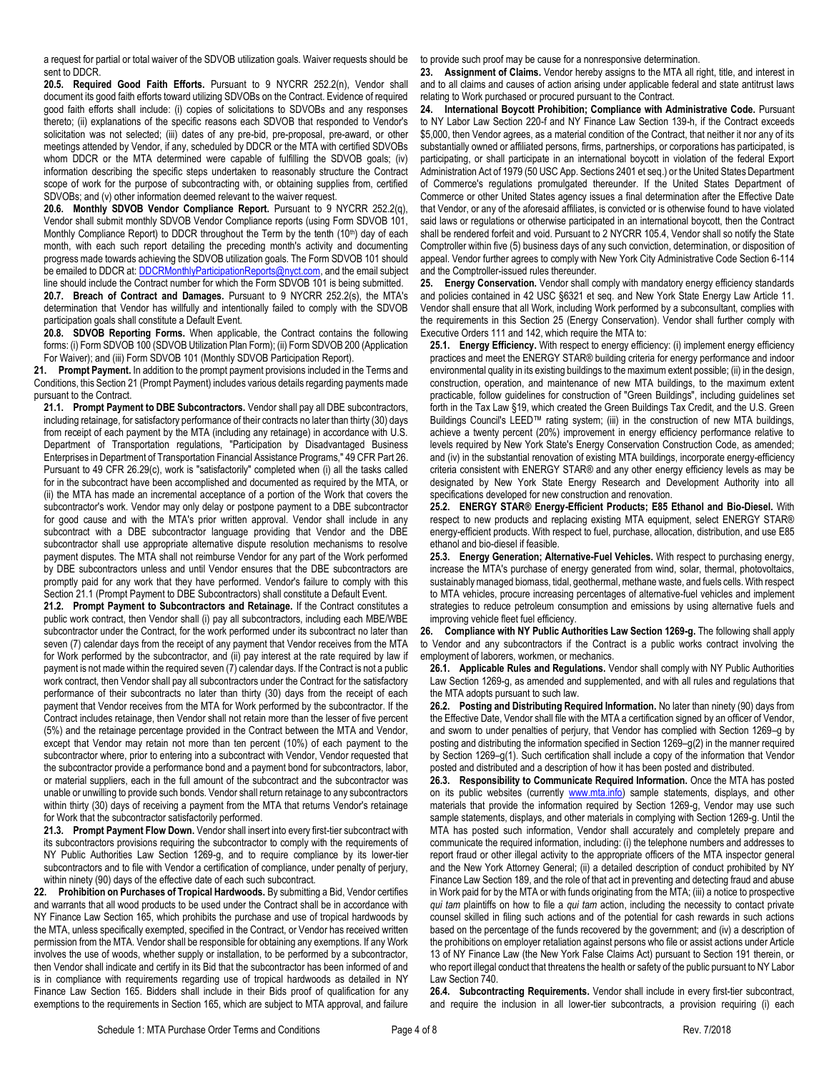a request for partial or total waiver of the SDVOB utilization goals. Waiver requests should be sent to DDCR.

<span id="page-11-0"></span>**20.5. Required Good Faith Efforts.** Pursuant to 9 NYCRR 252.2(n), Vendor shall document its good faith efforts toward utilizing SDVOBs on the Contract. Evidence of required good faith efforts shall include: (i) copies of solicitations to SDVOBs and any responses thereto; (ii) explanations of the specific reasons each SDVOB that responded to Vendor's solicitation was not selected; (iii) dates of any pre-bid, pre-proposal, pre-award, or other meetings attended by Vendor, if any, scheduled by DDCR or the MTA with certified SDVOBs whom DDCR or the MTA determined were capable of fulfilling the SDVOB goals; (iv) information describing the specific steps undertaken to reasonably structure the Contract scope of work for the purpose of subcontracting with, or obtaining supplies from, certified SDVOBs; and (v) other information deemed relevant to the waiver request.

<span id="page-11-1"></span>**20.6. Monthly SDVOB Vendor Compliance Report.** Pursuant to 9 NYCRR 252.2(q), Vendor shall submit monthly SDVOB Vendor Compliance reports (using Form SDVOB 101, Monthly Compliance Report) to DDCR throughout the Term by the tenth (10<sup>th</sup>) day of each month, with each such report detailing the preceding month's activity and documenting progress made towards achieving the SDVOB utilization goals. The Form SDVOB 101 should be emailed to DDCR at: **DDCRMonthlyParticipationReports@nyct.com**, and the email subject line should include the Contract number for which the Form SDVOB 101 is being submitted.

<span id="page-11-2"></span>**20.7. Breach of Contract and Damages.** Pursuant to 9 NYCRR 252.2(s), the MTA's determination that Vendor has willfully and intentionally failed to comply with the SDVOB participation goals shall constitute a Default Event.

**20.8. SDVOB Reporting Forms.** When applicable, the Contract contains the following forms: (i) Form SDVOB 100 (SDVOB Utilization Plan Form); (ii) Form SDVOB 200 (Application For Waiver); and (iii) Form SDVOB 101 (Monthly SDVOB Participation Report).

**21. Prompt Payment.** In addition to the prompt payment provisions included in the Terms and Conditions, this Section 21 (Prompt Payment) includes various details regarding payments made pursuant to the Contract.

<span id="page-11-3"></span>**21.1. Prompt Payment to DBE Subcontractors.** Vendor shall pay all DBE subcontractors, including retainage, for satisfactory performance of their contracts no later than thirty (30) days from receipt of each payment by the MTA (including any retainage) in accordance with U.S. Department of Transportation regulations, "Participation by Disadvantaged Business Enterprises in Department of Transportation Financial Assistance Programs," 49 CFR Part 26. Pursuant to 49 CFR 26.29(c), work is "satisfactorily" completed when (i) all the tasks called for in the subcontract have been accomplished and documented as required by the MTA, or (ii) the MTA has made an incremental acceptance of a portion of the Work that covers the subcontractor's work. Vendor may only delay or postpone payment to a DBE subcontractor for good cause and with the MTA's prior written approval. Vendor shall include in any subcontract with a DBE subcontractor language providing that Vendor and the DBE subcontractor shall use appropriate alternative dispute resolution mechanisms to resolve payment disputes. The MTA shall not reimburse Vendor for any part of the Work performed by DBE subcontractors unless and until Vendor ensures that the DBE subcontractors are promptly paid for any work that they have performed. Vendor's failure to comply with this Sectio[n 21.1](#page-11-3) (Prompt Payment to DBE Subcontractors) shall constitute a Default Event.

**21.2. Prompt Payment to Subcontractors and Retainage.** If the Contract constitutes a public work contract, then Vendor shall (i) pay all subcontractors, including each MBE/WBE subcontractor under the Contract, for the work performed under its subcontract no later than seven (7) calendar days from the receipt of any payment that Vendor receives from the MTA for Work performed by the subcontractor, and (ii) pay interest at the rate required by law if payment is not made within the required seven (7) calendar days. If the Contract is not a public work contract, then Vendor shall pay all subcontractors under the Contract for the satisfactory performance of their subcontracts no later than thirty (30) days from the receipt of each payment that Vendor receives from the MTA for Work performed by the subcontractor. If the Contract includes retainage, then Vendor shall not retain more than the lesser of five percent (5%) and the retainage percentage provided in the Contract between the MTA and Vendor, except that Vendor may retain not more than ten percent (10%) of each payment to the subcontractor where, prior to entering into a subcontract with Vendor, Vendor requested that the subcontractor provide a performance bond and a payment bond for subcontractors, labor, or material suppliers, each in the full amount of the subcontract and the subcontractor was unable or unwilling to provide such bonds. Vendor shall return retainage to any subcontractors within thirty (30) days of receiving a payment from the MTA that returns Vendor's retainage for Work that the subcontractor satisfactorily performed.

**21.3. Prompt Payment Flow Down.** Vendor shall insert into every first-tier subcontract with its subcontractors provisions requiring the subcontractor to comply with the requirements of NY Public Authorities Law Section 1269-g, and to require compliance by its lower-tier subcontractors and to file with Vendor a certification of compliance, under penalty of perjury,

within ninety (90) days of the effective date of each such subcontract.<br>22. Prohibition on Purchases of Tropical Hardwoods. By submitting **22. Prohibition on Purchases of Tropical Hardwoods.** By submitting a Bid, Vendor certifies and warrants that all wood products to be used under the Contract shall be in accordance with NY Finance Law Section 165, which prohibits the purchase and use of tropical hardwoods by the MTA, unless specifically exempted, specified in the Contract, or Vendor has received written permission from the MTA. Vendor shall be responsible for obtaining any exemptions. If any Work involves the use of woods, whether supply or installation, to be performed by a subcontractor, then Vendor shall indicate and certify in its Bid that the subcontractor has been informed of and is in compliance with requirements regarding use of tropical hardwoods as detailed in NY Finance Law Section 165. Bidders shall include in their Bids proof of qualification for any exemptions to the requirements in Section 165, which are subject to MTA approval, and failure

to provide such proof may be cause for a nonresponsive determination.

**23. Assignment of Claims.** Vendor hereby assigns to the MTA all right, title, and interest in and to all claims and causes of action arising under applicable federal and state antitrust laws relating to Work purchased or procured pursuant to the Contract.

**24. International Boycott Prohibition; Compliance with Administrative Code.** Pursuant to NY Labor Law Section 220-f and NY Finance Law Section 139-h, if the Contract exceeds \$5,000, then Vendor agrees, as a material condition of the Contract, that neither it nor any of its substantially owned or affiliated persons, firms, partnerships, or corporations has participated, is participating, or shall participate in an international boycott in violation of the federal Export Administration Act of 1979 (50 USC App. Sections 2401 et seq.) or the United States Department of Commerce's regulations promulgated thereunder. If the United States Department of Commerce or other United States agency issues a final determination after the Effective Date that Vendor, or any of the aforesaid affiliates, is convicted or is otherwise found to have violated said laws or regulations or otherwise participated in an international boycott, then the Contract shall be rendered forfeit and void. Pursuant to 2 NYCRR 105.4, Vendor shall so notify the State Comptroller within five (5) business days of any such conviction, determination, or disposition of appeal. Vendor further agrees to comply with New York City Administrative Code Section 6-114 and the Comptroller-issued rules thereunder.

**25. Energy Conservation.** Vendor shall comply with mandatory energy efficiency standards and policies contained in 42 USC §6321 et seq. and New York State Energy Law Article 11. Vendor shall ensure that all Work, including Work performed by a subconsultant, complies with the requirements in this Section 25 (Energy Conservation). Vendor shall further comply with Executive Orders 111 and 142, which require the MTA to:

**25.1. Energy Efficiency.** With respect to energy efficiency: (i) implement energy efficiency practices and meet the ENERGY STAR® building criteria for energy performance and indoor environmental quality in its existing buildings to the maximum extent possible; (ii) in the design, construction, operation, and maintenance of new MTA buildings, to the maximum extent practicable, follow guidelines for construction of "Green Buildings", including guidelines set forth in the Tax Law §19, which created the Green Buildings Tax Credit, and the U.S. Green Buildings Council's LEED™ rating system; (iii) in the construction of new MTA buildings, achieve a twenty percent (20%) improvement in energy efficiency performance relative to levels required by New York State's Energy Conservation Construction Code, as amended; and (iv) in the substantial renovation of existing MTA buildings, incorporate energy-efficiency criteria consistent with ENERGY STAR® and any other energy efficiency levels as may be designated by New York State Energy Research and Development Authority into all specifications developed for new construction and renovation.

**25.2. ENERGY STAR® Energy-Efficient Products; E85 Ethanol and Bio-Diesel.** With respect to new products and replacing existing MTA equipment, select ENERGY STAR® energy-efficient products. With respect to fuel, purchase, allocation, distribution, and use E85 ethanol and bio-diesel if feasible.

**25.3. Energy Generation; Alternative-Fuel Vehicles.** With respect to purchasing energy, increase the MTA's purchase of energy generated from wind, solar, thermal, photovoltaics, sustainably managed biomass, tidal, geothermal, methane waste, and fuels cells. With respect to MTA vehicles, procure increasing percentages of alternative-fuel vehicles and implement strategies to reduce petroleum consumption and emissions by using alternative fuels and improving vehicle fleet fuel efficiency.

**26. Compliance with NY Public Authorities Law Section 1269-g.** The following shall apply to Vendor and any subcontractors if the Contract is a public works contract involving the employment of laborers, workmen, or mechanics.

**26.1. Applicable Rules and Regulations.** Vendor shall comply with NY Public Authorities Law Section 1269-g, as amended and supplemented, and with all rules and regulations that the MTA adopts pursuant to such law.

**26.2. Posting and Distributing Required Information.** No later than ninety (90) days from the Effective Date, Vendor shall file with the MTA a certification signed by an officer of Vendor, and sworn to under penalties of perjury, that Vendor has complied with Section 1269–g by posting and distributing the information specified in Section 1269–g(2) in the manner required by Section 1269–g(1). Such certification shall include a copy of the information that Vendor posted and distributed and a description of how it has been posted and distributed.

**26.3. Responsibility to Communicate Required Information.** Once the MTA has posted on its public websites (currently [www.mta.info\)](http://www.mta.info/) sample statements, displays, and other materials that provide the information required by Section 1269-g, Vendor may use such sample statements, displays, and other materials in complying with Section 1269-g. Until the MTA has posted such information, Vendor shall accurately and completely prepare and communicate the required information, including: (i) the telephone numbers and addresses to report fraud or other illegal activity to the appropriate officers of the MTA inspector general and the New York Attorney General; (ii) a detailed description of conduct prohibited by NY Finance Law Section 189, and the role of that act in preventing and detecting fraud and abuse in Work paid for by the MTA or with funds originating from the MTA; (iii) a notice to prospective *qui tam* plaintiffs on how to file a *qui tam* action, including the necessity to contact private counsel skilled in filing such actions and of the potential for cash rewards in such actions based on the percentage of the funds recovered by the government; and (iv) a description of the prohibitions on employer retaliation against persons who file or assist actions under Article 13 of NY Finance Law (the New York False Claims Act) pursuant to Section 191 therein, or who report illegal conduct that threatens the health or safety of the public pursuant to NY Labor Law Section 740.

**26.4. Subcontracting Requirements.** Vendor shall include in every first-tier subcontract, and require the inclusion in all lower-tier subcontracts, a provision requiring (i) each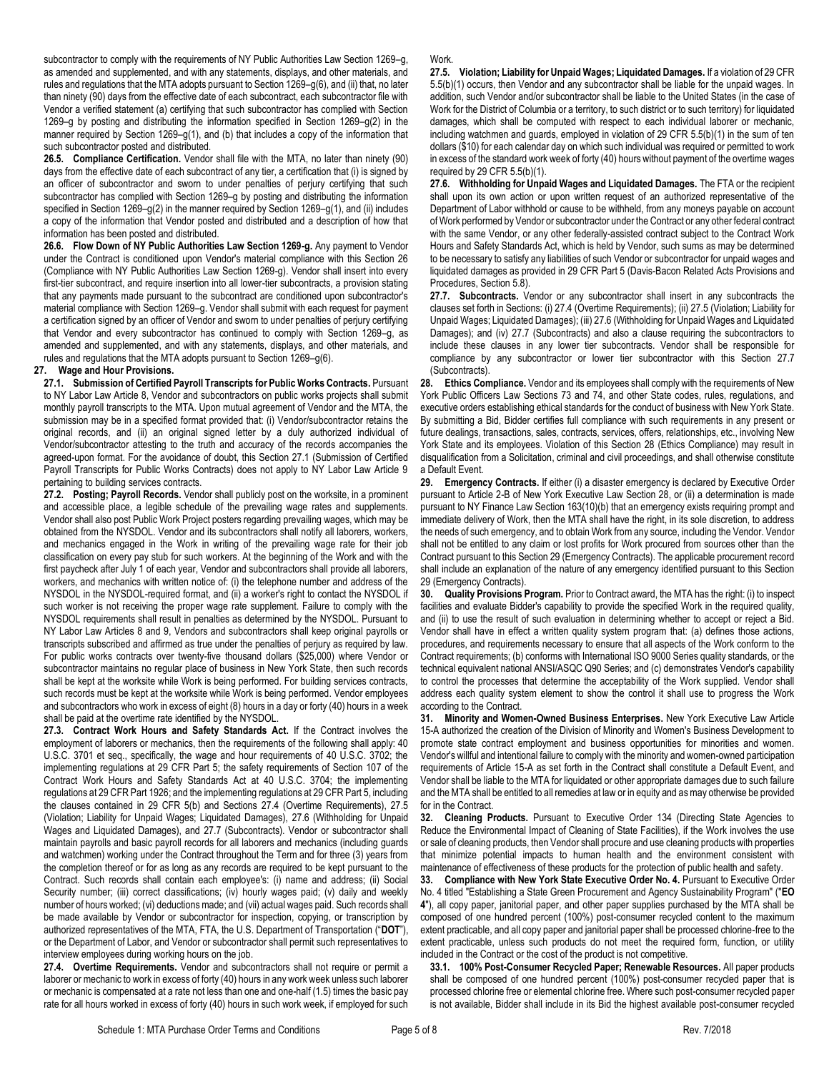subcontractor to comply with the requirements of NY Public Authorities Law Section 1269–g, as amended and supplemented, and with any statements, displays, and other materials, and rules and regulations that the MTA adopts pursuant to Section 1269–g(6), and (ii) that, no later than ninety (90) days from the effective date of each subcontract, each subcontractor file with Vendor a verified statement (a) certifying that such subcontractor has complied with Section 1269–g by posting and distributing the information specified in Section 1269–g(2) in the manner required by Section 1269–g(1), and (b) that includes a copy of the information that such subcontractor posted and distributed.

**26.5. Compliance Certification.** Vendor shall file with the MTA, no later than ninety (90) days from the effective date of each subcontract of any tier, a certification that (i) is signed by an officer of subcontractor and sworn to under penalties of perjury certifying that such subcontractor has complied with Section 1269–g by posting and distributing the information specified in Section 1269–g(2) in the manner required by Section 1269–g(1), and (ii) includes a copy of the information that Vendor posted and distributed and a description of how that information has been posted and distributed.

**26.6. Flow Down of NY Public Authorities Law Section 1269-g.** Any payment to Vendor under the Contract is conditioned upon Vendor's material compliance with this Section 26 (Compliance with NY Public Authorities Law Section 1269-g). Vendor shall insert into every first-tier subcontract, and require insertion into all lower-tier subcontracts, a provision stating that any payments made pursuant to the subcontract are conditioned upon subcontractor's material compliance with Section 1269–g. Vendor shall submit with each request for payment a certification signed by an officer of Vendor and sworn to under penalties of perjury certifying that Vendor and every subcontractor has continued to comply with Section 1269–g, as amended and supplemented, and with any statements, displays, and other materials, and rules and regulations that the MTA adopts pursuant to Section 1269–g(6).

## **27. Wage and Hour Provisions.**

<span id="page-12-0"></span>**27.1. Submission of Certified Payroll Transcripts for Public Works Contracts.** Pursuant to NY Labor Law Article 8, Vendor and subcontractors on public works projects shall submit monthly payroll transcripts to the MTA. Upon mutual agreement of Vendor and the MTA, the submission may be in a specified format provided that: (i) Vendor/subcontractor retains the original records, and (ii) an original signed letter by a duly authorized individual of Vendor/subcontractor attesting to the truth and accuracy of the records accompanies the agreed-upon format. For the avoidance of doubt, this Sectio[n 27.1](#page-12-0) (Submission of Certified Payroll Transcripts for Public Works Contracts) does not apply to NY Labor Law Article 9 pertaining to building services contracts.

**27.2. Posting; Payroll Records.** Vendor shall publicly post on the worksite, in a prominent and accessible place, a legible schedule of the prevailing wage rates and supplements. Vendor shall also post Public Work Project posters regarding prevailing wages, which may be obtained from the NYSDOL. Vendor and its subcontractors shall notify all laborers, workers, and mechanics engaged in the Work in writing of the prevailing wage rate for their job classification on every pay stub for such workers. At the beginning of the Work and with the first paycheck after July 1 of each year, Vendor and subcontractors shall provide all laborers, workers, and mechanics with written notice of: (i) the telephone number and address of the NYSDOL in the NYSDOL-required format, and (ii) a worker's right to contact the NYSDOL if such worker is not receiving the proper wage rate supplement. Failure to comply with the NYSDOL requirements shall result in penalties as determined by the NYSDOL. Pursuant to NY Labor Law Articles 8 and 9, Vendors and subcontractors shall keep original payrolls or transcripts subscribed and affirmed as true under the penalties of perjury as required by law. For public works contracts over twenty-five thousand dollars (\$25,000) where Vendor or subcontractor maintains no regular place of business in New York State, then such records shall be kept at the worksite while Work is being performed. For building services contracts, such records must be kept at the worksite while Work is being performed. Vendor employees and subcontractors who work in excess of eight (8) hours in a day or forty (40) hours in a week shall be paid at the overtime rate identified by the NYSDOL.

**27.3. Contract Work Hours and Safety Standards Act.** If the Contract involves the employment of laborers or mechanics, then the requirements of the following shall apply: 40 U.S.C. 3701 et seq., specifically, the wage and hour requirements of 40 U.S.C. 3702; the implementing regulations at 29 CFR Part 5; the safety requirements of Section 107 of the Contract Work Hours and Safety Standards Act at 40 U.S.C. 3704; the implementing regulations at 29 CFR Part 1926; and the implementing regulations at 29 CFR Part 5, including the clauses contained in 29 CFR 5(b) and Sections [27.4](#page-12-1) (Overtime Requirements), [27.5](#page-12-2) (Violation; Liability for Unpaid Wages; Liquidated Damages), [27.6](#page-12-3) (Withholding for Unpaid Wages and Liquidated Damages), and [27.7](#page-12-4) (Subcontracts). Vendor or subcontractor shall maintain payrolls and basic payroll records for all laborers and mechanics (including guards and watchmen) working under the Contract throughout the Term and for three (3) years from the completion thereof or for as long as any records are required to be kept pursuant to the Contract. Such records shall contain each employee's: (i) name and address; (ii) Social Security number; (iii) correct classifications; (iv) hourly wages paid; (v) daily and weekly number of hours worked; (vi) deductions made; and (vii) actual wages paid. Such records shall be made available by Vendor or subcontractor for inspection, copying, or transcription by authorized representatives of the MTA, FTA, the U.S. Department of Transportation ("**DOT**"), or the Department of Labor, and Vendor or subcontractor shall permit such representatives to interview employees during working hours on the job.

<span id="page-12-1"></span>**27.4. Overtime Requirements.** Vendor and subcontractors shall not require or permit a laborer or mechanic to work in excess of forty (40) hours in any work week unless such laborer or mechanic is compensated at a rate not less than one and one-half (1.5) times the basic pay rate for all hours worked in excess of forty (40) hours in such work week, if employed for such

#### Work.

<span id="page-12-2"></span>**27.5. Violation; Liability for Unpaid Wages; Liquidated Damages.** If a violation of 29 CFR 5.5(b)(1) occurs, then Vendor and any subcontractor shall be liable for the unpaid wages. In addition, such Vendor and/or subcontractor shall be liable to the United States (in the case of Work for the District of Columbia or a territory, to such district or to such territory) for liquidated damages, which shall be computed with respect to each individual laborer or mechanic, including watchmen and guards, employed in violation of 29 CFR 5.5(b)(1) in the sum of ten dollars (\$10) for each calendar day on which such individual was required or permitted to work in excess of the standard work week of forty (40) hours without payment of the overtime wages required by 29 CFR 5.5(b)(1).

<span id="page-12-3"></span>**27.6. Withholding for Unpaid Wages and Liquidated Damages.** The FTA or the recipient shall upon its own action or upon written request of an authorized representative of the Department of Labor withhold or cause to be withheld, from any moneys payable on account of Work performed by Vendor or subcontractor under the Contract or any other federal contract with the same Vendor, or any other federally-assisted contract subject to the Contract Work Hours and Safety Standards Act, which is held by Vendor, such sums as may be determined to be necessary to satisfy any liabilities of such Vendor or subcontractor for unpaid wages and liquidated damages as provided in 29 CFR Part 5 (Davis-Bacon Related Acts Provisions and Procedures, Section 5.8).

<span id="page-12-4"></span>**27.7. Subcontracts.** Vendor or any subcontractor shall insert in any subcontracts the clauses set forth in Sections: (i[\) 27.4](#page-12-1) (Overtime Requirements); (ii[\) 27.5](#page-12-2) (Violation; Liability for Unpaid Wages; Liquidated Damages); (iii[\) 27.6](#page-12-3) (Withholding for Unpaid Wages and Liquidated Damages); and (iv) [27.7](#page-12-4) (Subcontracts) and also a clause requiring the subcontractors to include these clauses in any lower tier subcontracts. Vendor shall be responsible for compliance by any subcontractor or lower tier subcontractor with this Section [27.7](#page-12-4) (Subcontracts).

**28. Ethics Compliance.** Vendor and its employees shall comply with the requirements of New York Public Officers Law Sections 73 and 74, and other State codes, rules, regulations, and executive orders establishing ethical standards for the conduct of business with New York State. By submitting a Bid, Bidder certifies full compliance with such requirements in any present or future dealings, transactions, sales, contracts, services, offers, relationships, etc., involving New York State and its employees. Violation of this Section 28 (Ethics Compliance) may result in disqualification from a Solicitation, criminal and civil proceedings, and shall otherwise constitute a Default Event.

**29. Emergency Contracts.** If either (i) a disaster emergency is declared by Executive Order pursuant to Article 2-B of New York Executive Law Section 28, or (ii) a determination is made pursuant to NY Finance Law Section 163(10)(b) that an emergency exists requiring prompt and immediate delivery of Work, then the MTA shall have the right, in its sole discretion, to address the needs of such emergency, and to obtain Work from any source, including the Vendor. Vendor shall not be entitled to any claim or lost profits for Work procured from sources other than the Contract pursuant to this Section 29 (Emergency Contracts). The applicable procurement record shall include an explanation of the nature of any emergency identified pursuant to this Section 29 (Emergency Contracts).

**30. Quality Provisions Program.** Prior to Contract award, the MTA has the right: (i) to inspect facilities and evaluate Bidder's capability to provide the specified Work in the required quality, and (ii) to use the result of such evaluation in determining whether to accept or reject a Bid. Vendor shall have in effect a written quality system program that: (a) defines those actions, procedures, and requirements necessary to ensure that all aspects of the Work conform to the Contract requirements; (b) conforms with International ISO 9000 Series quality standards, or the technical equivalent national ANSI/ASQC Q90 Series; and (c) demonstrates Vendor's capability to control the processes that determine the acceptability of the Work supplied. Vendor shall address each quality system element to show the control it shall use to progress the Work according to the Contract.

**31. Minority and Women-Owned Business Enterprises.** New York Executive Law Article 15-A authorized the creation of the Division of Minority and Women's Business Development to promote state contract employment and business opportunities for minorities and women. Vendor's willful and intentional failure to comply with the minority and women-owned participation requirements of Article 15-A as set forth in the Contract shall constitute a Default Event, and Vendor shall be liable to the MTA for liquidated or other appropriate damages due to such failure and the MTA shall be entitled to all remedies at law or in equity and as may otherwise be provided for in the Contract.

**32. Cleaning Products.** Pursuant to Executive Order 134 (Directing State Agencies to Reduce the Environmental Impact of Cleaning of State Facilities), if the Work involves the use or sale of cleaning products, then Vendor shall procure and use cleaning products with properties that minimize potential impacts to human health and the environment consistent with maintenance of effectiveness of these products for the protection of public health and safety.

**33. Compliance with New York State Executive Order No. 4.** Pursuant to Executive Order No. 4 titled "Establishing a State Green Procurement and Agency Sustainability Program" ("**EO 4**"), all copy paper, janitorial paper, and other paper supplies purchased by the MTA shall be composed of one hundred percent (100%) post-consumer recycled content to the maximum extent practicable, and all copy paper and janitorial paper shall be processed chlorine-free to the extent practicable, unless such products do not meet the required form, function, or utility included in the Contract or the cost of the product is not competitive.

<span id="page-12-5"></span>**33.1. 100% Post-Consumer Recycled Paper; Renewable Resources.** All paper products shall be composed of one hundred percent (100%) post-consumer recycled paper that is processed chlorine free or elemental chlorine free. Where such post-consumer recycled paper is not available, Bidder shall include in its Bid the highest available post-consumer recycled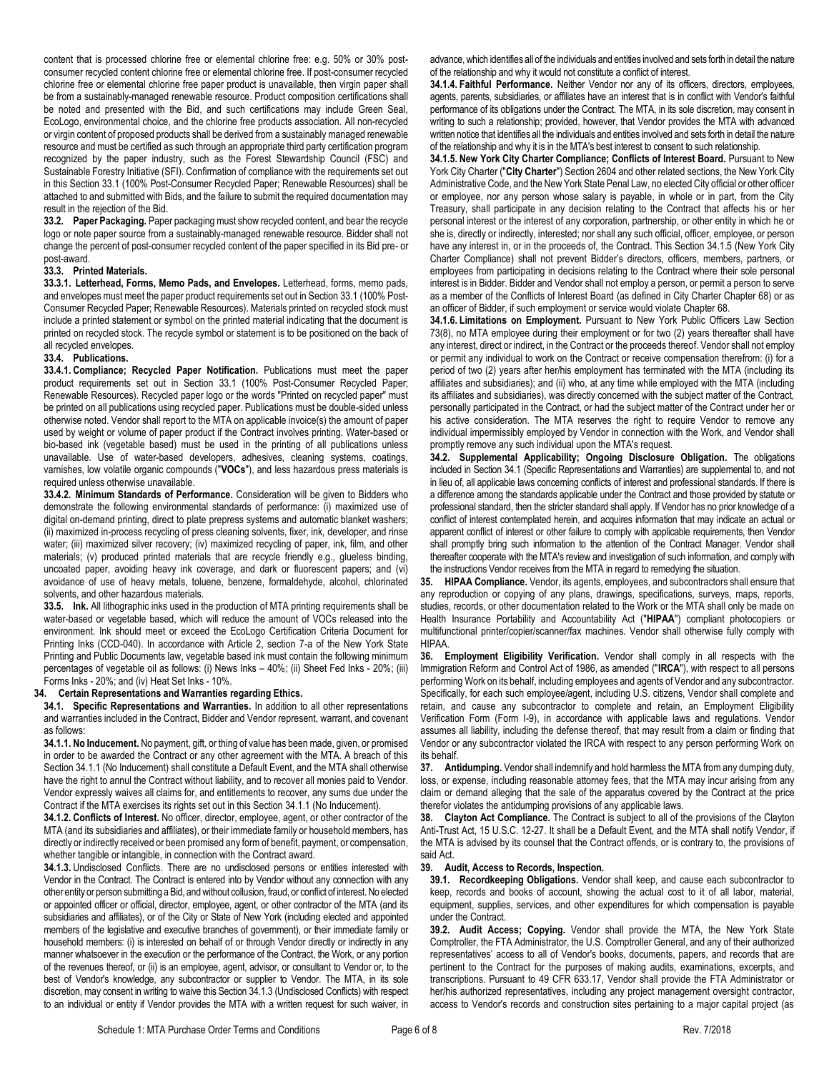content that is processed chlorine free or elemental chlorine free: e.g. 50% or 30% postconsumer recycled content chlorine free or elemental chlorine free. If post-consumer recycled chlorine free or elemental chlorine free paper product is unavailable, then virgin paper shall be from a sustainably-managed renewable resource. Product composition certifications shall be noted and presented with the Bid, and such certifications may include Green Seal, EcoLogo, environmental choice, and the chlorine free products association. All non-recycled or virgin content of proposed products shall be derived from a sustainably managed renewable resource and must be certified as such through an appropriate third party certification program recognized by the paper industry, such as the Forest Stewardship Council (FSC) and Sustainable Forestry Initiative (SFI). Confirmation of compliance with the requirements set out in this Sectio[n 33.1](#page-12-5) (100% Post-Consumer Recycled Paper; Renewable Resources) shall be attached to and submitted with Bids, and the failure to submit the required documentation may result in the rejection of the Bid.

**33.2. Paper Packaging.** Paper packaging must show recycled content, and bear the recycle logo or note paper source from a sustainably-managed renewable resource. Bidder shall not change the percent of post-consumer recycled content of the paper specified in its Bid pre- or post-award.

## **33.3. Printed Materials.**

**33.3.1. Letterhead, Forms, Memo Pads, and Envelopes.** Letterhead, forms, memo pads, and envelopes must meet the paper product requirements set out in Sectio[n 33.1](#page-12-5) (100% Post-Consumer Recycled Paper; Renewable Resources). Materials printed on recycled stock must include a printed statement or symbol on the printed material indicating that the document is printed on recycled stock. The recycle symbol or statement is to be positioned on the back of all recycled envelopes.

## **33.4. Publications.**

**33.4.1. Compliance; Recycled Paper Notification.** Publications must meet the paper product requirements set out in Section [33.1](#page-12-5) (100% Post-Consumer Recycled Paper; Renewable Resources). Recycled paper logo or the words "Printed on recycled paper" must be printed on all publications using recycled paper. Publications must be double-sided unless otherwise noted. Vendor shall report to the MTA on applicable invoice(s) the amount of paper used by weight or volume of paper product if the Contract involves printing. Water-based or bio-based ink (vegetable based) must be used in the printing of all publications unless unavailable. Use of water-based developers, adhesives, cleaning systems, coatings, varnishes, low volatile organic compounds ("**VOCs**"), and less hazardous press materials is required unless otherwise unavailable.

**33.4.2. Minimum Standards of Performance.** Consideration will be given to Bidders who demonstrate the following environmental standards of performance: (i) maximized use of digital on-demand printing, direct to plate prepress systems and automatic blanket washers; (ii) maximized in-process recycling of press cleaning solvents, fixer, ink, developer, and rinse water; (iii) maximized silver recovery; (iv) maximized recycling of paper, ink, film, and other materials; (v) produced printed materials that are recycle friendly e.g., glueless binding, uncoated paper, avoiding heavy ink coverage, and dark or fluorescent papers; and (vi) avoidance of use of heavy metals, toluene, benzene, formaldehyde, alcohol, chlorinated solvents, and other hazardous materials.

**33.5. Ink.** All lithographic inks used in the production of MTA printing requirements shall be water-based or vegetable based, which will reduce the amount of VOCs released into the environment. Ink should meet or exceed the EcoLogo Certification Criteria Document for Printing Inks (CCD-040). In accordance with Article 2, section 7-a of the New York State Printing and Public Documents law, vegetable based ink must contain the following minimum percentages of vegetable oil as follows: (i) News Inks – 40%; (ii) Sheet Fed Inks - 20%; (iii) Forms Inks - 20%; and (iv) Heat Set Inks - 10%.

## **34. Certain Representations and Warranties regarding Ethics.**

<span id="page-13-3"></span>**34.1. Specific Representations and Warranties.** In addition to all other representations and warranties included in the Contract, Bidder and Vendor represent, warrant, and covenant as follows:

<span id="page-13-0"></span>**34.1.1. No Inducement.** No payment, gift, or thing of value has been made, given, or promised in order to be awarded the Contract or any other agreement with the MTA. A breach of this Sectio[n 34.1.1](#page-13-0) (No Inducement) shall constitute a Default Event, and the MTA shall otherwise have the right to annul the Contract without liability, and to recover all monies paid to Vendor. Vendor expressly waives all claims for, and entitlements to recover, any sums due under the Contract if the MTA exercises its rights set out in this Sectio[n 34.1.1](#page-13-0) (No Inducement).

**34.1.2. Conflicts of Interest.** No officer, director, employee, agent, or other contractor of the MTA (and its subsidiaries and affiliates), or their immediate family or household members, has directly or indirectly received or been promised any form of benefit, payment, or compensation, whether tangible or intangible, in connection with the Contract award.

<span id="page-13-1"></span>**34.1.3.** Undisclosed Conflicts. There are no undisclosed persons or entities interested with Vendor in the Contract. The Contract is entered into by Vendor without any connection with any other entity or person submitting a Bid, and without collusion, fraud, or conflict of interest. No elected or appointed officer or official, director, employee, agent, or other contractor of the MTA (and its subsidiaries and affiliates), or of the City or State of New York (including elected and appointed members of the legislative and executive branches of government), or their immediate family or household members: (i) is interested on behalf of or through Vendor directly or indirectly in any manner whatsoever in the execution or the performance of the Contract, the Work, or any portion of the revenues thereof, or (ii) is an employee, agent, advisor, or consultant to Vendor or, to the best of Vendor's knowledge, any subcontractor or supplier to Vendor. The MTA, in its sole discretion, may consent in writing to waive this Sectio[n 34.1.3](#page-13-1) (Undisclosed Conflicts) with respect to an individual or entity if Vendor provides the MTA with a written request for such waiver, in advance, which identifies all of the individuals and entities involved and sets forth in detail the nature of the relationship and why it would not constitute a conflict of interest.

**34.1.4. Faithful Performance.** Neither Vendor nor any of its officers, directors, employees, agents, parents, subsidiaries, or affiliates have an interest that is in conflict with Vendor's faithful performance of its obligations under the Contract. The MTA, in its sole discretion, may consent in writing to such a relationship; provided, however, that Vendor provides the MTA with advanced written notice that identifies all the individuals and entities involved and sets forth in detail the nature of the relationship and why it is in the MTA's best interest to consent to such relationship.

<span id="page-13-2"></span>**34.1.5. New York City Charter Compliance; Conflicts of Interest Board.** Pursuant to New York City Charter ("**City Charter**") Section 2604 and other related sections, the New York City Administrative Code, and the New York State Penal Law, no elected City official or other officer or employee, nor any person whose salary is payable, in whole or in part, from the City Treasury, shall participate in any decision relating to the Contract that affects his or her personal interest or the interest of any corporation, partnership, or other entity in which he or she is, directly or indirectly, interested; nor shall any such official, officer, employee, or person have any interest in, or in the proceeds of, the Contract. This Sectio[n 34.1.5](#page-13-2) (New York City Charter Compliance) shall not prevent Bidder's directors, officers, members, partners, or employees from participating in decisions relating to the Contract where their sole personal interest is in Bidder. Bidder and Vendor shall not employ a person, or permit a person to serve as a member of the Conflicts of Interest Board (as defined in City Charter Chapter 68) or as an officer of Bidder, if such employment or service would violate Chapter 68.

**34.1.6. Limitations on Employment.** Pursuant to New York Public Officers Law Section 73(8), no MTA employee during their employment or for two (2) years thereafter shall have any interest, direct or indirect, in the Contract or the proceeds thereof. Vendor shall not employ or permit any individual to work on the Contract or receive compensation therefrom: (i) for a period of two (2) years after her/his employment has terminated with the MTA (including its affiliates and subsidiaries); and (ii) who, at any time while employed with the MTA (including its affiliates and subsidiaries), was directly concerned with the subject matter of the Contract, personally participated in the Contract, or had the subject matter of the Contract under her or his active consideration. The MTA reserves the right to require Vendor to remove any individual impermissibly employed by Vendor in connection with the Work, and Vendor shall promptly remove any such individual upon the MTA's request.

**34.2. Supplemental Applicability; Ongoing Disclosure Obligation.** The obligations included in Sectio[n 34.1](#page-13-3) (Specific Representations and Warranties) are supplemental to, and not in lieu of, all applicable laws concerning conflicts of interest and professional standards. If there is a difference among the standards applicable under the Contract and those provided by statute or professional standard, then the stricter standard shall apply. If Vendor has no prior knowledge of a conflict of interest contemplated herein, and acquires information that may indicate an actual or apparent conflict of interest or other failure to comply with applicable requirements, then Vendor shall promptly bring such information to the attention of the Contract Manager. Vendor shall thereafter cooperate with the MTA's review and investigation of such information, and comply with the instructions Vendor receives from the MTA in regard to remedying the situation.

**35. HIPAA Compliance.** Vendor, its agents, employees, and subcontractors shall ensure that any reproduction or copying of any plans, drawings, specifications, surveys, maps, reports, studies, records, or other documentation related to the Work or the MTA shall only be made on Health Insurance Portability and Accountability Act ("**HIPAA**") compliant photocopiers or multifunctional printer/copier/scanner/fax machines. Vendor shall otherwise fully comply with HIPAA.

**36. Employment Eligibility Verification.** Vendor shall comply in all respects with the Immigration Reform and Control Act of 1986, as amended ("**IRCA**"), with respect to all persons performing Work on its behalf, including employees and agents of Vendor and any subcontractor. Specifically, for each such employee/agent, including U.S. citizens, Vendor shall complete and retain, and cause any subcontractor to complete and retain, an Employment Eligibility Verification Form (Form I-9), in accordance with applicable laws and regulations. Vendor assumes all liability, including the defense thereof, that may result from a claim or finding that Vendor or any subcontractor violated the IRCA with respect to any person performing Work on its behalf.

**37. Antidumping.** Vendor shall indemnify and hold harmless the MTA from any dumping duty, loss, or expense, including reasonable attorney fees, that the MTA may incur arising from any claim or demand alleging that the sale of the apparatus covered by the Contract at the price therefor violates the antidumping provisions of any applicable laws.

**38. Clayton Act Compliance.** The Contract is subject to all of the provisions of the Clayton Anti-Trust Act, 15 U.S.C. 12-27. It shall be a Default Event, and the MTA shall notify Vendor, if the MTA is advised by its counsel that the Contract offends, or is contrary to, the provisions of said Act.

# **39. Audit, Access to Records, Inspection.**

**39.1. Recordkeeping Obligations.** Vendor shall keep, and cause each subcontractor to keep, records and books of account, showing the actual cost to it of all labor, material, equipment, supplies, services, and other expenditures for which compensation is payable under the Contract.

**39.2. Audit Access; Copying.** Vendor shall provide the MTA, the New York State Comptroller, the FTA Administrator, the U.S. Comptroller General, and any of their authorized representatives' access to all of Vendor's books, documents, papers, and records that are pertinent to the Contract for the purposes of making audits, examinations, excerpts, and transcriptions. Pursuant to 49 CFR 633.17, Vendor shall provide the FTA Administrator or her/his authorized representatives, including any project management oversight contractor, access to Vendor's records and construction sites pertaining to a major capital project (as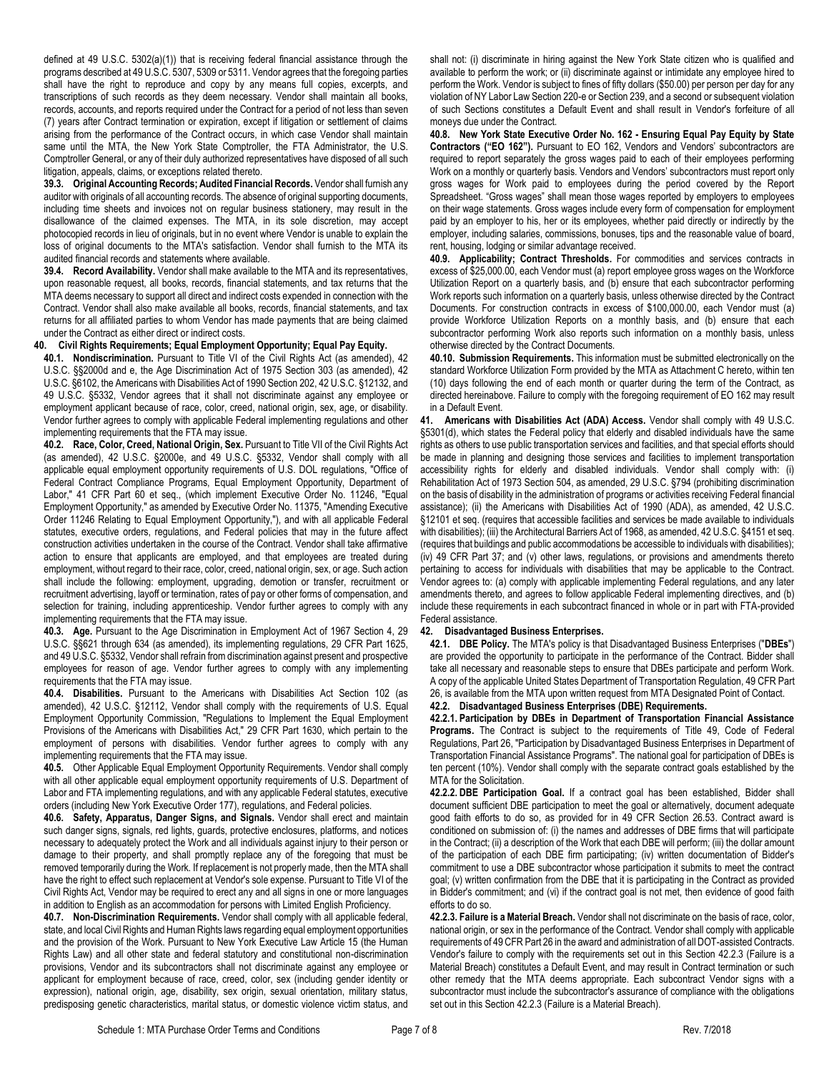defined at 49 U.S.C. 5302(a)(1)) that is receiving federal financial assistance through the programs described at 49 U.S.C. 5307, 5309 or 5311. Vendor agrees that the foregoing parties shall have the right to reproduce and copy by any means full copies, excerpts, and transcriptions of such records as they deem necessary. Vendor shall maintain all books, records, accounts, and reports required under the Contract for a period of not less than seven (7) years after Contract termination or expiration, except if litigation or settlement of claims arising from the performance of the Contract occurs, in which case Vendor shall maintain same until the MTA, the New York State Comptroller, the FTA Administrator, the U.S. Comptroller General, or any of their duly authorized representatives have disposed of all such litigation, appeals, claims, or exceptions related thereto.

**39.3. Original Accounting Records; Audited Financial Records.** Vendor shall furnish any auditor with originals of all accounting records. The absence of original supporting documents, including time sheets and invoices not on regular business stationery, may result in the disallowance of the claimed expenses. The MTA, in its sole discretion, may accept photocopied records in lieu of originals, but in no event where Vendor is unable to explain the loss of original documents to the MTA's satisfaction. Vendor shall furnish to the MTA its audited financial records and statements where available.

**39.4. Record Availability.** Vendor shall make available to the MTA and its representatives, upon reasonable request, all books, records, financial statements, and tax returns that the MTA deems necessary to support all direct and indirect costs expended in connection with the Contract. Vendor shall also make available all books, records, financial statements, and tax returns for all affiliated parties to whom Vendor has made payments that are being claimed under the Contract as either direct or indirect costs.

## **40. Civil Rights Requirements; Equal Employment Opportunity; Equal Pay Equity.**

**40.1. Nondiscrimination.** Pursuant to Title VI of the Civil Rights Act (as amended), 42 U.S.C. §§2000d and e, the Age Discrimination Act of 1975 Section 303 (as amended), 42 U.S.C. §6102, the Americans with Disabilities Act of 1990 Section 202, 42 U.S.C. §12132, and 49 U.S.C. §5332, Vendor agrees that it shall not discriminate against any employee or employment applicant because of race, color, creed, national origin, sex, age, or disability. Vendor further agrees to comply with applicable Federal implementing regulations and other implementing requirements that the FTA may issue.

**40.2. Race, Color, Creed, National Origin, Sex.** Pursuant to Title VII of the Civil Rights Act (as amended), 42 U.S.C. §2000e, and 49 U.S.C. §5332, Vendor shall comply with all applicable equal employment opportunity requirements of U.S. DOL regulations, "Office of Federal Contract Compliance Programs, Equal Employment Opportunity, Department of Labor," 41 CFR Part 60 et seq., (which implement Executive Order No. 11246, "Equal Employment Opportunity," as amended by Executive Order No. 11375, "Amending Executive Order 11246 Relating to Equal Employment Opportunity,"), and with all applicable Federal statutes, executive orders, regulations, and Federal policies that may in the future affect construction activities undertaken in the course of the Contract. Vendor shall take affirmative action to ensure that applicants are employed, and that employees are treated during employment, without regard to their race, color, creed, national origin, sex, or age. Such action shall include the following: employment, upgrading, demotion or transfer, recruitment or recruitment advertising, layoff or termination, rates of pay or other forms of compensation, and selection for training, including apprenticeship. Vendor further agrees to comply with any implementing requirements that the FTA may issue.

**40.3. Age.** Pursuant to the Age Discrimination in Employment Act of 1967 Section 4, 29 U.S.C. §§621 through 634 (as amended), its implementing regulations, 29 CFR Part 1625, and 49 U.S.C. §5332, Vendor shall refrain from discrimination against present and prospective employees for reason of age. Vendor further agrees to comply with any implementing requirements that the FTA may issue.

**40.4. Disabilities.** Pursuant to the Americans with Disabilities Act Section 102 (as amended), 42 U.S.C. §12112, Vendor shall comply with the requirements of U.S. Equal Employment Opportunity Commission, "Regulations to Implement the Equal Employment Provisions of the Americans with Disabilities Act," 29 CFR Part 1630, which pertain to the employment of persons with disabilities. Vendor further agrees to comply with any implementing requirements that the FTA may issue.

**40.5.** Other Applicable Equal Employment Opportunity Requirements. Vendor shall comply with all other applicable equal employment opportunity requirements of U.S. Department of Labor and FTA implementing regulations, and with any applicable Federal statutes, executive orders (including New York Executive Order 177), regulations, and Federal policies.

**40.6. Safety, Apparatus, Danger Signs, and Signals.** Vendor shall erect and maintain such danger signs, signals, red lights, guards, protective enclosures, platforms, and notices necessary to adequately protect the Work and all individuals against injury to their person or damage to their property, and shall promptly replace any of the foregoing that must be removed temporarily during the Work. If replacement is not properly made, then the MTA shall have the right to effect such replacement at Vendor's sole expense. Pursuant to Title VI of the Civil Rights Act, Vendor may be required to erect any and all signs in one or more languages in addition to English as an accommodation for persons with Limited English Proficiency.

**40.7. Non-Discrimination Requirements.** Vendor shall comply with all applicable federal, state, and local Civil Rights and Human Rights laws regarding equal employment opportunities and the provision of the Work. Pursuant to New York Executive Law Article 15 (the Human Rights Law) and all other state and federal statutory and constitutional non-discrimination provisions, Vendor and its subcontractors shall not discriminate against any employee or applicant for employment because of race, creed, color, sex (including gender identity or expression), national origin, age, disability, sex origin, sexual orientation, military status, predisposing genetic characteristics, marital status, or domestic violence victim status, and

shall not: (i) discriminate in hiring against the New York State citizen who is qualified and available to perform the work; or (ii) discriminate against or intimidate any employee hired to perform the Work. Vendor is subject to fines of fifty dollars (\$50.00) per person per day for any violation of NY Labor Law Section 220-e or Section 239, and a second or subsequent violation of such Sections constitutes a Default Event and shall result in Vendor's forfeiture of all moneys due under the Contract.

**40.8. New York State Executive Order No. 162 - Ensuring Equal Pay Equity by State Contractors ("EO 162").** Pursuant to EO 162, Vendors and Vendors' subcontractors are required to report separately the gross wages paid to each of their employees performing Work on a monthly or quarterly basis. Vendors and Vendors' subcontractors must report only gross wages for Work paid to employees during the period covered by the Report Spreadsheet. "Gross wages" shall mean those wages reported by employers to employees on their wage statements. Gross wages include every form of compensation for employment paid by an employer to his, her or its employees, whether paid directly or indirectly by the employer, including salaries, commissions, bonuses, tips and the reasonable value of board, rent, housing, lodging or similar advantage received.

**40.9. Applicability; Contract Thresholds.** For commodities and services contracts in excess of \$25,000.00, each Vendor must (a) report employee gross wages on the Workforce Utilization Report on a quarterly basis, and (b) ensure that each subcontractor performing Work reports such information on a quarterly basis, unless otherwise directed by the Contract Documents. For construction contracts in excess of \$100,000.00, each Vendor must (a) provide Workforce Utilization Reports on a monthly basis, and (b) ensure that each subcontractor performing Work also reports such information on a monthly basis, unless otherwise directed by the Contract Documents.

**40.10. Submission Requirements.** This information must be submitted electronically on the standard Workforce Utilization Form provided by the MTA as Attachment C hereto, within ten (10) days following the end of each month or quarter during the term of the Contract, as directed hereinabove. Failure to comply with the foregoing requirement of EO 162 may result in a Default Event.

**41. Americans with Disabilities Act (ADA) Access.** Vendor shall comply with 49 U.S.C. §5301(d), which states the Federal policy that elderly and disabled individuals have the same rights as others to use public transportation services and facilities, and that special efforts should be made in planning and designing those services and facilities to implement transportation accessibility rights for elderly and disabled individuals. Vendor shall comply with: (i) Rehabilitation Act of 1973 Section 504, as amended, 29 U.S.C. §794 (prohibiting discrimination on the basis of disability in the administration of programs or activities receiving Federal financial assistance); (ii) the Americans with Disabilities Act of 1990 (ADA), as amended, 42 U.S.C. §12101 et seq. (requires that accessible facilities and services be made available to individuals with disabilities); (iii) the Architectural Barriers Act of 1968, as amended, 42 U.S.C. §4151 et seq. (requires that buildings and public accommodations be accessible to individuals with disabilities); (iv) 49 CFR Part 37; and (v) other laws, regulations, or provisions and amendments thereto pertaining to access for individuals with disabilities that may be applicable to the Contract. Vendor agrees to: (a) comply with applicable implementing Federal regulations, and any later amendments thereto, and agrees to follow applicable Federal implementing directives, and (b) include these requirements in each subcontract financed in whole or in part with FTA-provided Federal assistance.

# **42. Disadvantaged Business Enterprises.**

**42.1. DBE Policy.** The MTA's policy is that Disadvantaged Business Enterprises ("**DBEs**") are provided the opportunity to participate in the performance of the Contract. Bidder shall take all necessary and reasonable steps to ensure that DBEs participate and perform Work. A copy of the applicable United States Department of Transportation Regulation, 49 CFR Part 26, is available from the MTA upon written request from MTA Designated Point of Contact.

#### **42.2. Disadvantaged Business Enterprises (DBE) Requirements. 42.2.1. Participation by DBEs in Department of Transportation Financial Assistance**

**Programs.** The Contract is subject to the requirements of Title 49, Code of Federal Regulations, Part 26, "Participation by Disadvantaged Business Enterprises in Department of Transportation Financial Assistance Programs". The national goal for participation of DBEs is ten percent (10%). Vendor shall comply with the separate contract goals established by the MTA for the Solicitation.

**42.2.2. DBE Participation Goal.** If a contract goal has been established, Bidder shall document sufficient DBE participation to meet the goal or alternatively, document adequate good faith efforts to do so, as provided for in 49 CFR Section 26.53. Contract award is conditioned on submission of: (i) the names and addresses of DBE firms that will participate in the Contract; (ii) a description of the Work that each DBE will perform; (iii) the dollar amount of the participation of each DBE firm participating; (iv) written documentation of Bidder's commitment to use a DBE subcontractor whose participation it submits to meet the contract goal; (v) written confirmation from the DBE that it is participating in the Contract as provided in Bidder's commitment; and (vi) if the contract goal is not met, then evidence of good faith efforts to do so.

<span id="page-14-0"></span>**42.2.3. Failure is a Material Breach.** Vendor shall not discriminate on the basis of race, color, national origin, or sex in the performance of the Contract. Vendor shall comply with applicable requirements of 49 CFR Part 26 in the award and administration of all DOT-assisted Contracts. Vendor's failure to comply with the requirements set out in this Sectio[n 42.2.3](#page-14-0) (Failure is a Material Breach) constitutes a Default Event, and may result in Contract termination or such other remedy that the MTA deems appropriate. Each subcontract Vendor signs with a subcontractor must include the subcontractor's assurance of compliance with the obligations set out in this Sectio[n 42.2.3](#page-14-0) (Failure is a Material Breach).